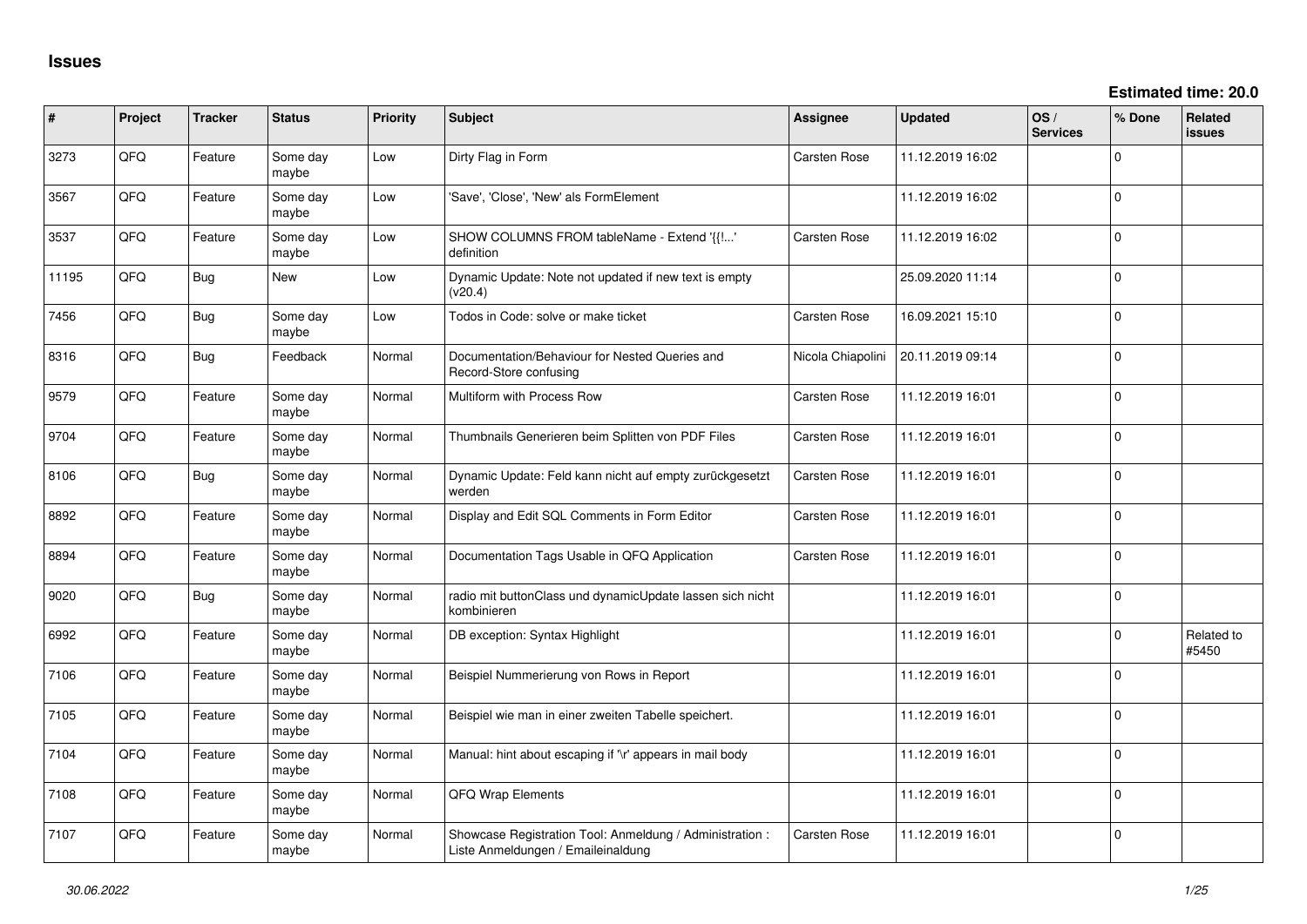| #     | Project | <b>Tracker</b> | <b>Status</b>     | Priority | Subject                                                                                        | Assignee          | <b>Updated</b>   | OS/<br><b>Services</b> | % Done         | Related<br><b>issues</b> |
|-------|---------|----------------|-------------------|----------|------------------------------------------------------------------------------------------------|-------------------|------------------|------------------------|----------------|--------------------------|
| 3273  | QFQ     | Feature        | Some day<br>maybe | Low      | Dirty Flag in Form                                                                             | Carsten Rose      | 11.12.2019 16:02 |                        | 0              |                          |
| 3567  | QFQ     | Feature        | Some day<br>maybe | Low      | 'Save', 'Close', 'New' als FormElement                                                         |                   | 11.12.2019 16:02 |                        | 0              |                          |
| 3537  | QFQ     | Feature        | Some day<br>maybe | Low      | SHOW COLUMNS FROM tableName - Extend '{{!'<br>definition                                       | Carsten Rose      | 11.12.2019 16:02 |                        | 0              |                          |
| 11195 | QFQ     | <b>Bug</b>     | <b>New</b>        | Low      | Dynamic Update: Note not updated if new text is empty<br>(v20.4)                               |                   | 25.09.2020 11:14 |                        | 0              |                          |
| 7456  | QFQ     | Bug            | Some day<br>maybe | Low      | Todos in Code: solve or make ticket                                                            | Carsten Rose      | 16.09.2021 15:10 |                        | 0              |                          |
| 8316  | QFQ     | Bug            | Feedback          | Normal   | Documentation/Behaviour for Nested Queries and<br>Record-Store confusing                       | Nicola Chiapolini | 20.11.2019 09:14 |                        | $\overline{0}$ |                          |
| 9579  | QFQ     | Feature        | Some day<br>maybe | Normal   | Multiform with Process Row                                                                     | Carsten Rose      | 11.12.2019 16:01 |                        | $\Omega$       |                          |
| 9704  | QFQ     | Feature        | Some day<br>maybe | Normal   | Thumbnails Generieren beim Splitten von PDF Files                                              | Carsten Rose      | 11.12.2019 16:01 |                        | $\mathbf 0$    |                          |
| 8106  | QFQ     | Bug            | Some day<br>maybe | Normal   | Dynamic Update: Feld kann nicht auf empty zurückgesetzt<br>werden                              | Carsten Rose      | 11.12.2019 16:01 |                        | $\mathbf 0$    |                          |
| 8892  | QFQ     | Feature        | Some day<br>maybe | Normal   | Display and Edit SQL Comments in Form Editor                                                   | Carsten Rose      | 11.12.2019 16:01 |                        | $\mathbf 0$    |                          |
| 8894  | QFQ     | Feature        | Some day<br>maybe | Normal   | Documentation Tags Usable in QFQ Application                                                   | Carsten Rose      | 11.12.2019 16:01 |                        | 0              |                          |
| 9020  | QFQ     | Bug            | Some day<br>maybe | Normal   | radio mit buttonClass und dynamicUpdate lassen sich nicht<br>kombinieren                       |                   | 11.12.2019 16:01 |                        | 0              |                          |
| 6992  | QFQ     | Feature        | Some day<br>maybe | Normal   | DB exception: Syntax Highlight                                                                 |                   | 11.12.2019 16:01 |                        | 0              | Related to<br>#5450      |
| 7106  | QFQ     | Feature        | Some day<br>maybe | Normal   | Beispiel Nummerierung von Rows in Report                                                       |                   | 11.12.2019 16:01 |                        | $\Omega$       |                          |
| 7105  | QFQ     | Feature        | Some day<br>maybe | Normal   | Beispiel wie man in einer zweiten Tabelle speichert.                                           |                   | 11.12.2019 16:01 |                        | 0              |                          |
| 7104  | QFQ     | Feature        | Some day<br>maybe | Normal   | Manual: hint about escaping if '\r' appears in mail body                                       |                   | 11.12.2019 16:01 |                        | 0              |                          |
| 7108  | QFQ     | Feature        | Some day<br>maybe | Normal   | QFQ Wrap Elements                                                                              |                   | 11.12.2019 16:01 |                        | $\Omega$       |                          |
| 7107  | QFQ     | Feature        | Some day<br>maybe | Normal   | Showcase Registration Tool: Anmeldung / Administration :<br>Liste Anmeldungen / Emaileinaldung | Carsten Rose      | 11.12.2019 16:01 |                        | $\mathbf 0$    |                          |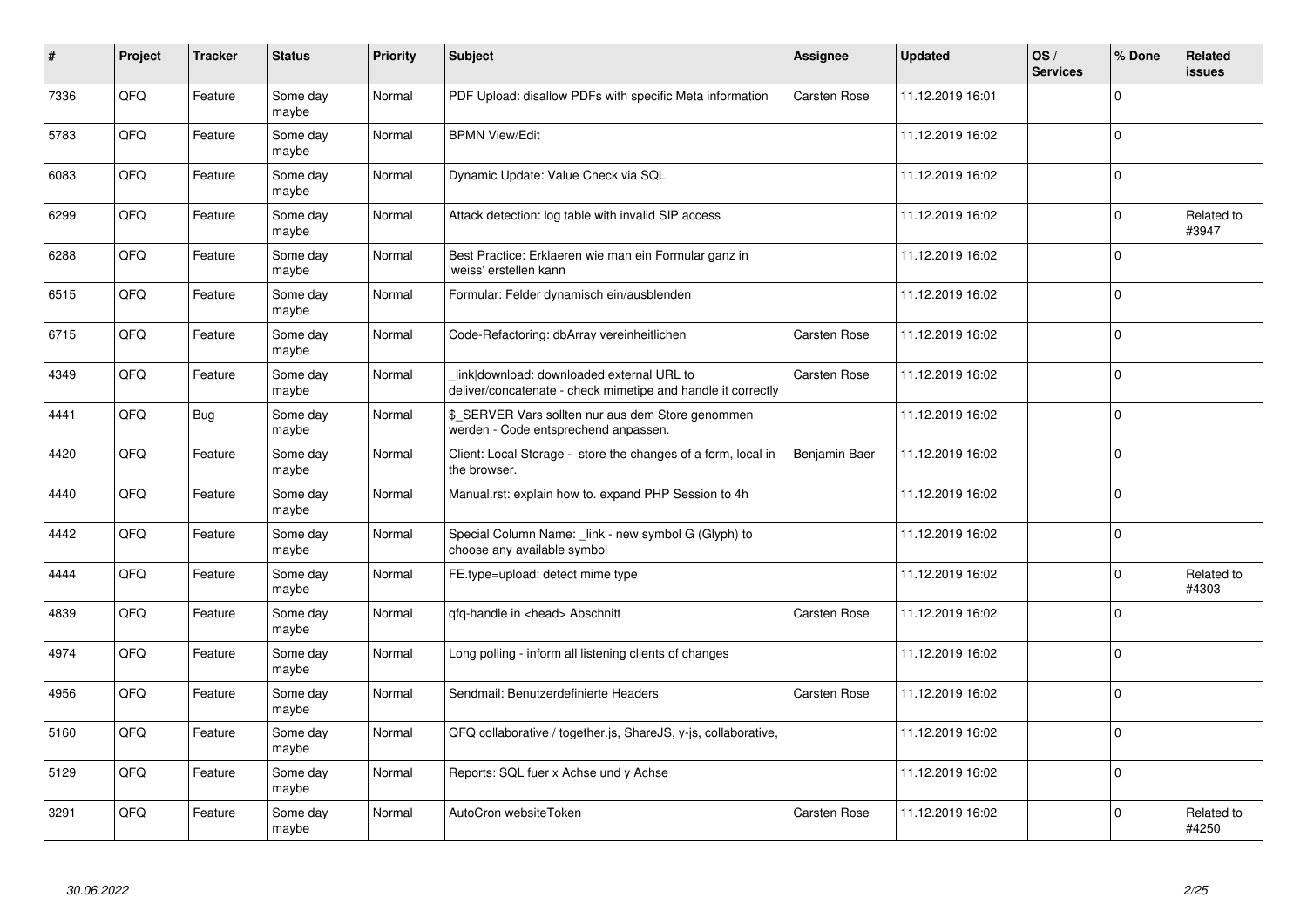| #    | Project | <b>Tracker</b> | <b>Status</b>     | <b>Priority</b> | <b>Subject</b>                                                                                            | Assignee            | <b>Updated</b>   | OS/<br><b>Services</b> | % Done      | Related<br>issues   |
|------|---------|----------------|-------------------|-----------------|-----------------------------------------------------------------------------------------------------------|---------------------|------------------|------------------------|-------------|---------------------|
| 7336 | QFQ     | Feature        | Some day<br>maybe | Normal          | PDF Upload: disallow PDFs with specific Meta information                                                  | Carsten Rose        | 11.12.2019 16:01 |                        | $\Omega$    |                     |
| 5783 | QFQ     | Feature        | Some day<br>maybe | Normal          | <b>BPMN View/Edit</b>                                                                                     |                     | 11.12.2019 16:02 |                        | $\Omega$    |                     |
| 6083 | QFQ     | Feature        | Some day<br>maybe | Normal          | Dynamic Update: Value Check via SQL                                                                       |                     | 11.12.2019 16:02 |                        | $\mathbf 0$ |                     |
| 6299 | QFQ     | Feature        | Some day<br>maybe | Normal          | Attack detection: log table with invalid SIP access                                                       |                     | 11.12.2019 16:02 |                        | $\Omega$    | Related to<br>#3947 |
| 6288 | QFQ     | Feature        | Some day<br>maybe | Normal          | Best Practice: Erklaeren wie man ein Formular ganz in<br>'weiss' erstellen kann                           |                     | 11.12.2019 16:02 |                        | $\Omega$    |                     |
| 6515 | QFQ     | Feature        | Some day<br>maybe | Normal          | Formular: Felder dynamisch ein/ausblenden                                                                 |                     | 11.12.2019 16:02 |                        | $\mathbf 0$ |                     |
| 6715 | QFQ     | Feature        | Some day<br>maybe | Normal          | Code-Refactoring: dbArray vereinheitlichen                                                                | <b>Carsten Rose</b> | 11.12.2019 16:02 |                        | $\Omega$    |                     |
| 4349 | QFQ     | Feature        | Some day<br>maybe | Normal          | link download: downloaded external URL to<br>deliver/concatenate - check mimetipe and handle it correctly | <b>Carsten Rose</b> | 11.12.2019 16:02 |                        | $\Omega$    |                     |
| 4441 | QFQ     | Bug            | Some day<br>maybe | Normal          | \$ SERVER Vars sollten nur aus dem Store genommen<br>werden - Code entsprechend anpassen.                 |                     | 11.12.2019 16:02 |                        | $\Omega$    |                     |
| 4420 | QFQ     | Feature        | Some day<br>maybe | Normal          | Client: Local Storage - store the changes of a form, local in<br>the browser.                             | Benjamin Baer       | 11.12.2019 16:02 |                        | $\mathbf 0$ |                     |
| 4440 | QFQ     | Feature        | Some day<br>maybe | Normal          | Manual.rst: explain how to. expand PHP Session to 4h                                                      |                     | 11.12.2019 16:02 |                        | $\Omega$    |                     |
| 4442 | QFQ     | Feature        | Some day<br>maybe | Normal          | Special Column Name: _link - new symbol G (Glyph) to<br>choose any available symbol                       |                     | 11.12.2019 16:02 |                        | $\Omega$    |                     |
| 4444 | QFQ     | Feature        | Some day<br>maybe | Normal          | FE.type=upload: detect mime type                                                                          |                     | 11.12.2019 16:02 |                        | $\Omega$    | Related to<br>#4303 |
| 4839 | QFQ     | Feature        | Some day<br>maybe | Normal          | qfq-handle in <head> Abschnitt</head>                                                                     | Carsten Rose        | 11.12.2019 16:02 |                        | $\Omega$    |                     |
| 4974 | QFQ     | Feature        | Some day<br>maybe | Normal          | Long polling - inform all listening clients of changes                                                    |                     | 11.12.2019 16:02 |                        | $\Omega$    |                     |
| 4956 | QFQ     | Feature        | Some day<br>maybe | Normal          | Sendmail: Benutzerdefinierte Headers                                                                      | Carsten Rose        | 11.12.2019 16:02 |                        | $\Omega$    |                     |
| 5160 | QFQ     | Feature        | Some day<br>maybe | Normal          | QFQ collaborative / together.js, ShareJS, y-js, collaborative,                                            |                     | 11.12.2019 16:02 |                        | $\Omega$    |                     |
| 5129 | QFQ     | Feature        | Some day<br>maybe | Normal          | Reports: SQL fuer x Achse und y Achse                                                                     |                     | 11.12.2019 16:02 |                        | $\Omega$    |                     |
| 3291 | QFQ     | Feature        | Some day<br>maybe | Normal          | AutoCron websiteToken                                                                                     | Carsten Rose        | 11.12.2019 16:02 |                        | $\Omega$    | Related to<br>#4250 |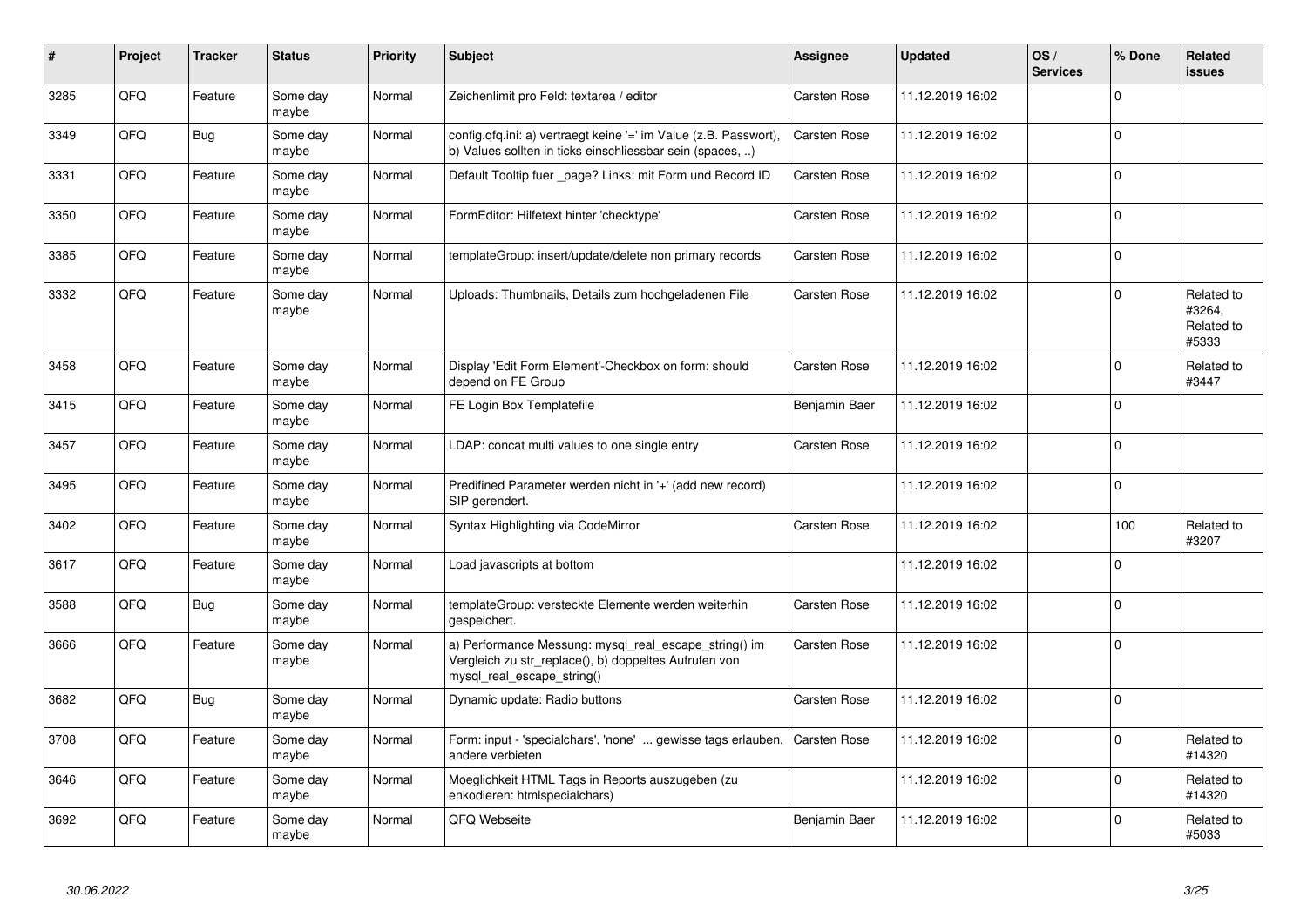| #    | Project | <b>Tracker</b> | <b>Status</b>     | <b>Priority</b> | <b>Subject</b>                                                                                                                               | <b>Assignee</b>     | <b>Updated</b>   | OS/<br><b>Services</b> | % Done       | Related<br><b>issues</b>                    |
|------|---------|----------------|-------------------|-----------------|----------------------------------------------------------------------------------------------------------------------------------------------|---------------------|------------------|------------------------|--------------|---------------------------------------------|
| 3285 | QFQ     | Feature        | Some day<br>maybe | Normal          | Zeichenlimit pro Feld: textarea / editor                                                                                                     | Carsten Rose        | 11.12.2019 16:02 |                        | $\Omega$     |                                             |
| 3349 | QFQ     | Bug            | Some day<br>maybe | Normal          | config.qfq.ini: a) vertraegt keine '=' im Value (z.B. Passwort),<br>b) Values sollten in ticks einschliessbar sein (spaces, )                | Carsten Rose        | 11.12.2019 16:02 |                        | $\Omega$     |                                             |
| 3331 | QFQ     | Feature        | Some day<br>maybe | Normal          | Default Tooltip fuer _page? Links: mit Form und Record ID                                                                                    | Carsten Rose        | 11.12.2019 16:02 |                        | $\Omega$     |                                             |
| 3350 | QFQ     | Feature        | Some day<br>maybe | Normal          | FormEditor: Hilfetext hinter 'checktype'                                                                                                     | <b>Carsten Rose</b> | 11.12.2019 16:02 |                        | $\Omega$     |                                             |
| 3385 | QFQ     | Feature        | Some day<br>maybe | Normal          | templateGroup: insert/update/delete non primary records                                                                                      | Carsten Rose        | 11.12.2019 16:02 |                        | $\Omega$     |                                             |
| 3332 | QFQ     | Feature        | Some day<br>maybe | Normal          | Uploads: Thumbnails, Details zum hochgeladenen File                                                                                          | Carsten Rose        | 11.12.2019 16:02 |                        | $\Omega$     | Related to<br>#3264,<br>Related to<br>#5333 |
| 3458 | QFQ     | Feature        | Some day<br>maybe | Normal          | Display 'Edit Form Element'-Checkbox on form: should<br>depend on FE Group                                                                   | <b>Carsten Rose</b> | 11.12.2019 16:02 |                        | $\Omega$     | Related to<br>#3447                         |
| 3415 | QFQ     | Feature        | Some day<br>maybe | Normal          | FE Login Box Templatefile                                                                                                                    | Benjamin Baer       | 11.12.2019 16:02 |                        | 0            |                                             |
| 3457 | QFQ     | Feature        | Some day<br>maybe | Normal          | LDAP: concat multi values to one single entry                                                                                                | Carsten Rose        | 11.12.2019 16:02 |                        | $\mathbf 0$  |                                             |
| 3495 | QFQ     | Feature        | Some day<br>maybe | Normal          | Predifined Parameter werden nicht in '+' (add new record)<br>SIP gerendert.                                                                  |                     | 11.12.2019 16:02 |                        | <sup>0</sup> |                                             |
| 3402 | QFQ     | Feature        | Some day<br>maybe | Normal          | Syntax Highlighting via CodeMirror                                                                                                           | Carsten Rose        | 11.12.2019 16:02 |                        | 100          | Related to<br>#3207                         |
| 3617 | QFQ     | Feature        | Some day<br>maybe | Normal          | Load javascripts at bottom                                                                                                                   |                     | 11.12.2019 16:02 |                        | 0            |                                             |
| 3588 | QFQ     | <b>Bug</b>     | Some day<br>maybe | Normal          | templateGroup: versteckte Elemente werden weiterhin<br>gespeichert.                                                                          | <b>Carsten Rose</b> | 11.12.2019 16:02 |                        | $\Omega$     |                                             |
| 3666 | QFQ     | Feature        | Some day<br>maybe | Normal          | a) Performance Messung: mysql_real_escape_string() im<br>Vergleich zu str replace(), b) doppeltes Aufrufen von<br>mysql_real_escape_string() | <b>Carsten Rose</b> | 11.12.2019 16:02 |                        | $\Omega$     |                                             |
| 3682 | QFQ     | Bug            | Some day<br>maybe | Normal          | Dynamic update: Radio buttons                                                                                                                | Carsten Rose        | 11.12.2019 16:02 |                        | $\Omega$     |                                             |
| 3708 | QFQ     | Feature        | Some day<br>maybe | Normal          | Form: input - 'specialchars', 'none'  gewisse tags erlauben,<br>andere verbieten                                                             | <b>Carsten Rose</b> | 11.12.2019 16:02 |                        | $\Omega$     | Related to<br>#14320                        |
| 3646 | QFQ     | Feature        | Some day<br>maybe | Normal          | Moeglichkeit HTML Tags in Reports auszugeben (zu<br>enkodieren: htmlspecialchars)                                                            |                     | 11.12.2019 16:02 |                        | 0            | Related to<br>#14320                        |
| 3692 | QFQ     | Feature        | Some day<br>maybe | Normal          | QFQ Webseite                                                                                                                                 | Benjamin Baer       | 11.12.2019 16:02 |                        | $\Omega$     | Related to<br>#5033                         |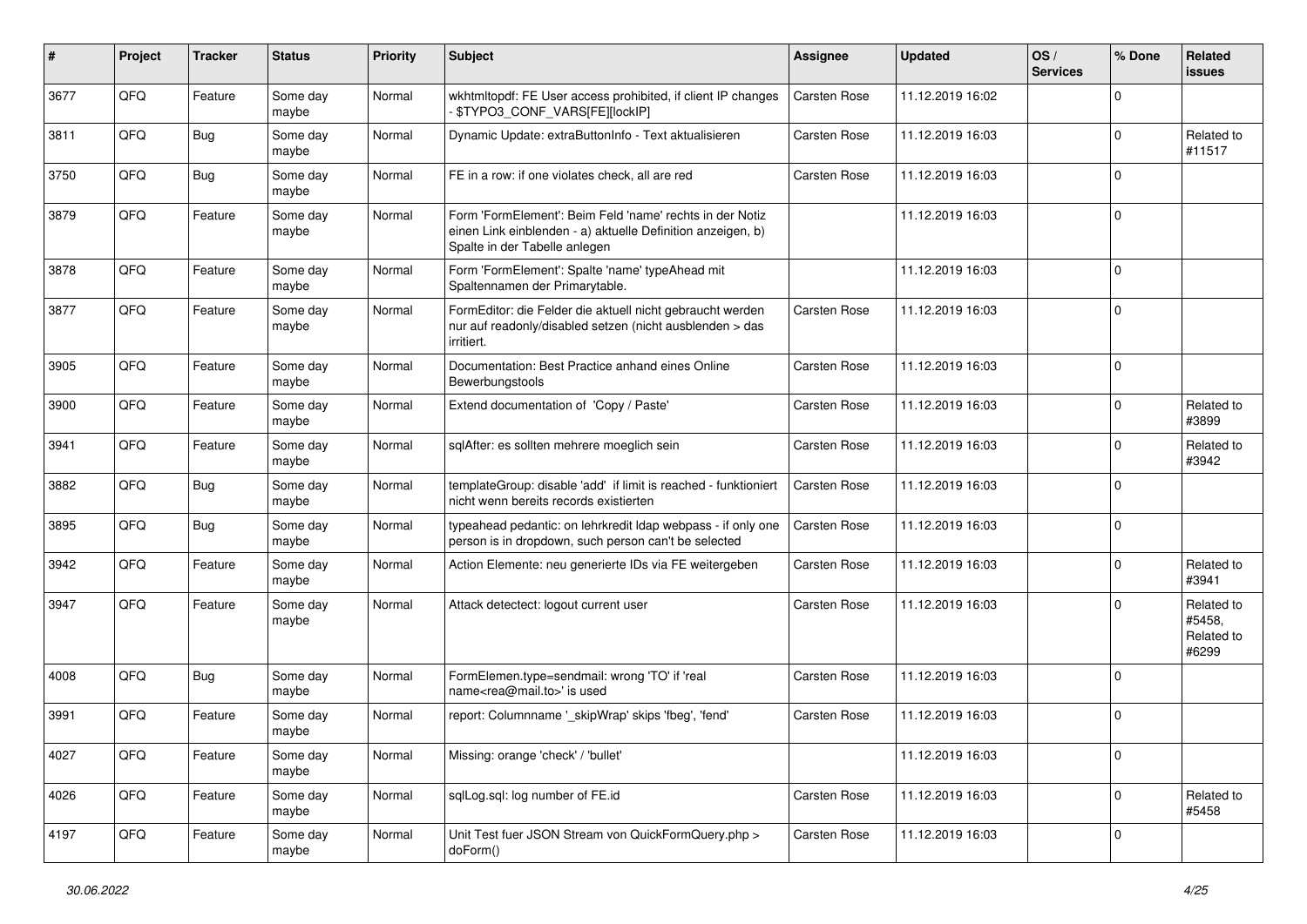| #    | Project | <b>Tracker</b> | <b>Status</b>     | Priority | Subject                                                                                                                                                  | <b>Assignee</b>     | <b>Updated</b>   | OS/<br><b>Services</b> | % Done       | Related<br>issues                           |
|------|---------|----------------|-------------------|----------|----------------------------------------------------------------------------------------------------------------------------------------------------------|---------------------|------------------|------------------------|--------------|---------------------------------------------|
| 3677 | QFQ     | Feature        | Some day<br>maybe | Normal   | wkhtmltopdf: FE User access prohibited, if client IP changes<br>\$TYPO3_CONF_VARS[FE][lockIP]                                                            | <b>Carsten Rose</b> | 11.12.2019 16:02 |                        | 0            |                                             |
| 3811 | QFQ     | <b>Bug</b>     | Some day<br>maybe | Normal   | Dynamic Update: extraButtonInfo - Text aktualisieren                                                                                                     | Carsten Rose        | 11.12.2019 16:03 |                        | $\mathbf 0$  | Related to<br>#11517                        |
| 3750 | QFQ     | Bug            | Some day<br>maybe | Normal   | FE in a row: if one violates check, all are red                                                                                                          | Carsten Rose        | 11.12.2019 16:03 |                        | $\mathbf 0$  |                                             |
| 3879 | QFQ     | Feature        | Some day<br>maybe | Normal   | Form 'FormElement': Beim Feld 'name' rechts in der Notiz<br>einen Link einblenden - a) aktuelle Definition anzeigen, b)<br>Spalte in der Tabelle anlegen |                     | 11.12.2019 16:03 |                        | $\mathbf 0$  |                                             |
| 3878 | QFQ     | Feature        | Some day<br>maybe | Normal   | Form 'FormElement': Spalte 'name' typeAhead mit<br>Spaltennamen der Primarytable.                                                                        |                     | 11.12.2019 16:03 |                        | $\mathbf 0$  |                                             |
| 3877 | QFQ     | Feature        | Some day<br>maybe | Normal   | FormEditor: die Felder die aktuell nicht gebraucht werden<br>nur auf readonly/disabled setzen (nicht ausblenden > das<br>irritiert.                      | Carsten Rose        | 11.12.2019 16:03 |                        | $\mathbf 0$  |                                             |
| 3905 | QFQ     | Feature        | Some day<br>maybe | Normal   | Documentation: Best Practice anhand eines Online<br>Bewerbungstools                                                                                      | <b>Carsten Rose</b> | 11.12.2019 16:03 |                        | $\mathbf 0$  |                                             |
| 3900 | QFQ     | Feature        | Some day<br>maybe | Normal   | Extend documentation of 'Copy / Paste'                                                                                                                   | Carsten Rose        | 11.12.2019 16:03 |                        | $\mathbf 0$  | Related to<br>#3899                         |
| 3941 | QFQ     | Feature        | Some day<br>maybe | Normal   | sqlAfter: es sollten mehrere moeglich sein                                                                                                               | Carsten Rose        | 11.12.2019 16:03 |                        | $\mathbf 0$  | Related to<br>#3942                         |
| 3882 | QFQ     | Bug            | Some day<br>maybe | Normal   | templateGroup: disable 'add' if limit is reached - funktioniert<br>nicht wenn bereits records existierten                                                | <b>Carsten Rose</b> | 11.12.2019 16:03 |                        | $\mathbf 0$  |                                             |
| 3895 | QFQ     | Bug            | Some day<br>maybe | Normal   | typeahead pedantic: on lehrkredit Idap webpass - if only one<br>person is in dropdown, such person can't be selected                                     | <b>Carsten Rose</b> | 11.12.2019 16:03 |                        | $\mathbf 0$  |                                             |
| 3942 | QFQ     | Feature        | Some day<br>maybe | Normal   | Action Elemente: neu generierte IDs via FE weitergeben                                                                                                   | Carsten Rose        | 11.12.2019 16:03 |                        | $\mathbf 0$  | Related to<br>#3941                         |
| 3947 | QFQ     | Feature        | Some day<br>maybe | Normal   | Attack detectect: logout current user                                                                                                                    | Carsten Rose        | 11.12.2019 16:03 |                        | $\Omega$     | Related to<br>#5458,<br>Related to<br>#6299 |
| 4008 | QFQ     | <b>Bug</b>     | Some day<br>maybe | Normal   | FormElemen.type=sendmail: wrong 'TO' if 'real<br>name <rea@mail.to>' is used</rea@mail.to>                                                               | <b>Carsten Rose</b> | 11.12.2019 16:03 |                        | $\mathbf 0$  |                                             |
| 3991 | QFQ     | Feature        | Some day<br>maybe | Normal   | report: Columnname '_skipWrap' skips 'fbeg', 'fend'                                                                                                      | Carsten Rose        | 11.12.2019 16:03 |                        | $\mathbf 0$  |                                             |
| 4027 | QFQ     | Feature        | Some day<br>maybe | Normal   | Missing: orange 'check' / 'bullet'                                                                                                                       |                     | 11.12.2019 16:03 |                        | 0            |                                             |
| 4026 | QFQ     | Feature        | Some day<br>maybe | Normal   | sqlLog.sql: log number of FE.id                                                                                                                          | Carsten Rose        | 11.12.2019 16:03 |                        | $\mathsf{O}$ | Related to<br>#5458                         |
| 4197 | QFQ     | Feature        | Some day<br>maybe | Normal   | Unit Test fuer JSON Stream von QuickFormQuery.php ><br>doForm()                                                                                          | Carsten Rose        | 11.12.2019 16:03 |                        | 0            |                                             |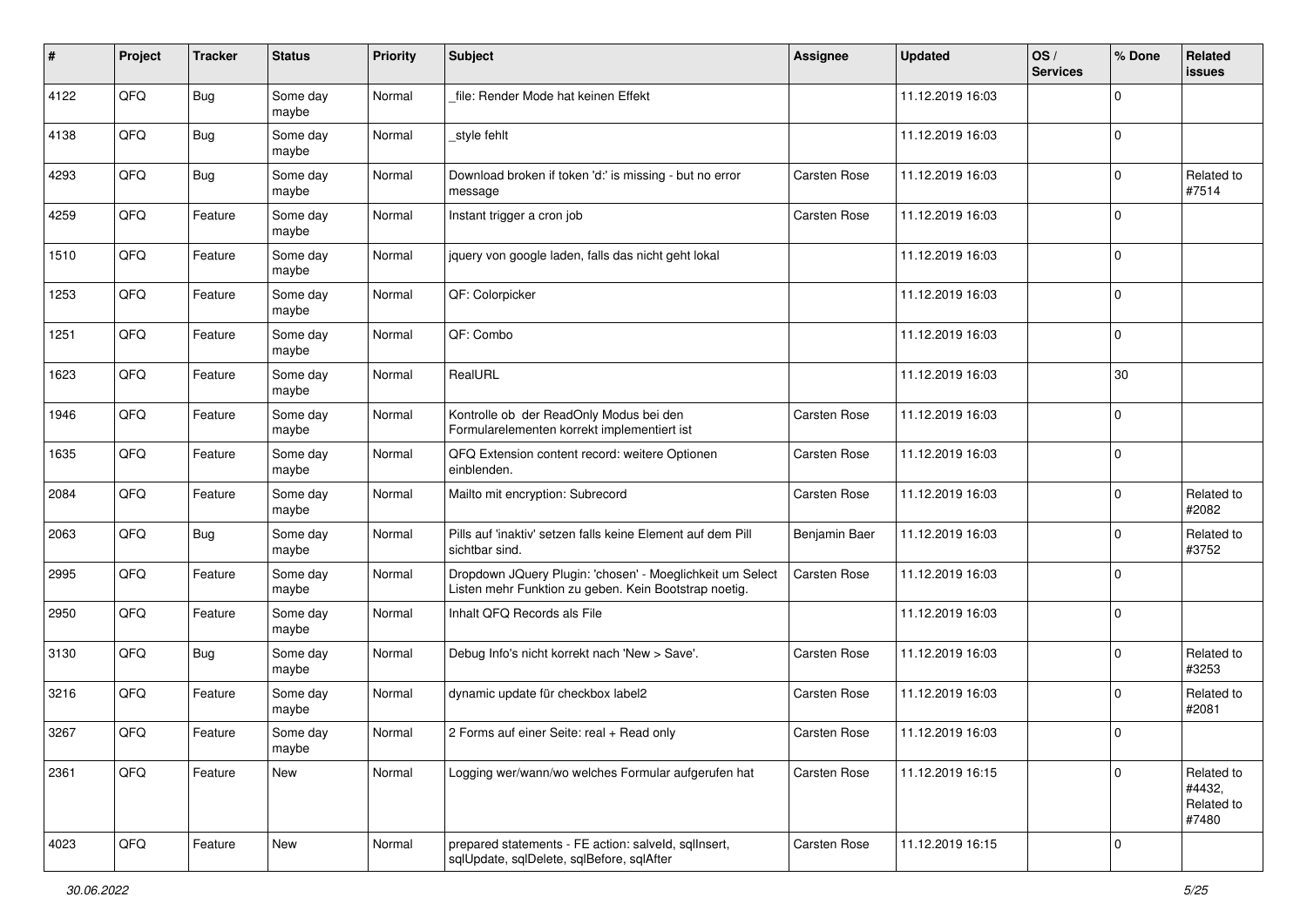| $\sharp$ | Project | <b>Tracker</b> | <b>Status</b>     | Priority | <b>Subject</b>                                                                                                     | <b>Assignee</b>     | <b>Updated</b>   | OS/<br><b>Services</b> | % Done      | Related<br>issues                           |
|----------|---------|----------------|-------------------|----------|--------------------------------------------------------------------------------------------------------------------|---------------------|------------------|------------------------|-------------|---------------------------------------------|
| 4122     | QFQ     | <b>Bug</b>     | Some day<br>maybe | Normal   | file: Render Mode hat keinen Effekt                                                                                |                     | 11.12.2019 16:03 |                        | 0           |                                             |
| 4138     | QFQ     | <b>Bug</b>     | Some day<br>maybe | Normal   | style fehlt                                                                                                        |                     | 11.12.2019 16:03 |                        | $\mathbf 0$ |                                             |
| 4293     | QFQ     | <b>Bug</b>     | Some day<br>maybe | Normal   | Download broken if token 'd:' is missing - but no error<br>message                                                 | Carsten Rose        | 11.12.2019 16:03 |                        | 0           | Related to<br>#7514                         |
| 4259     | QFQ     | Feature        | Some day<br>maybe | Normal   | Instant trigger a cron job                                                                                         | <b>Carsten Rose</b> | 11.12.2019 16:03 |                        | $\mathbf 0$ |                                             |
| 1510     | QFQ     | Feature        | Some day<br>maybe | Normal   | jquery von google laden, falls das nicht geht lokal                                                                |                     | 11.12.2019 16:03 |                        | 0           |                                             |
| 1253     | QFQ     | Feature        | Some day<br>maybe | Normal   | QF: Colorpicker                                                                                                    |                     | 11.12.2019 16:03 |                        | $\mathbf 0$ |                                             |
| 1251     | QFQ     | Feature        | Some day<br>maybe | Normal   | QF: Combo                                                                                                          |                     | 11.12.2019 16:03 |                        | $\mathbf 0$ |                                             |
| 1623     | QFQ     | Feature        | Some day<br>maybe | Normal   | RealURL                                                                                                            |                     | 11.12.2019 16:03 |                        | 30          |                                             |
| 1946     | QFQ     | Feature        | Some day<br>maybe | Normal   | Kontrolle ob der ReadOnly Modus bei den<br>Formularelementen korrekt implementiert ist                             | <b>Carsten Rose</b> | 11.12.2019 16:03 |                        | $\mathbf 0$ |                                             |
| 1635     | QFQ     | Feature        | Some day<br>maybe | Normal   | QFQ Extension content record: weitere Optionen<br>einblenden.                                                      | Carsten Rose        | 11.12.2019 16:03 |                        | $\mathbf 0$ |                                             |
| 2084     | QFQ     | Feature        | Some day<br>maybe | Normal   | Mailto mit encryption: Subrecord                                                                                   | <b>Carsten Rose</b> | 11.12.2019 16:03 |                        | $\mathbf 0$ | Related to<br>#2082                         |
| 2063     | QFQ     | Bug            | Some day<br>maybe | Normal   | Pills auf 'inaktiv' setzen falls keine Element auf dem Pill<br>sichtbar sind.                                      | Benjamin Baer       | 11.12.2019 16:03 |                        | $\mathbf 0$ | Related to<br>#3752                         |
| 2995     | QFQ     | Feature        | Some day<br>maybe | Normal   | Dropdown JQuery Plugin: 'chosen' - Moeglichkeit um Select<br>Listen mehr Funktion zu geben. Kein Bootstrap noetig. | Carsten Rose        | 11.12.2019 16:03 |                        | $\mathbf 0$ |                                             |
| 2950     | QFQ     | Feature        | Some day<br>maybe | Normal   | Inhalt QFQ Records als File                                                                                        |                     | 11.12.2019 16:03 |                        | $\mathbf 0$ |                                             |
| 3130     | QFQ     | <b>Bug</b>     | Some day<br>maybe | Normal   | Debug Info's nicht korrekt nach 'New > Save'.                                                                      | <b>Carsten Rose</b> | 11.12.2019 16:03 |                        | $\mathbf 0$ | Related to<br>#3253                         |
| 3216     | QFQ     | Feature        | Some day<br>maybe | Normal   | dynamic update für checkbox label2                                                                                 | Carsten Rose        | 11.12.2019 16:03 |                        | $\mathbf 0$ | Related to<br>#2081                         |
| 3267     | QFQ     | Feature        | Some day<br>maybe | Normal   | 2 Forms auf einer Seite: real + Read only                                                                          | <b>Carsten Rose</b> | 11.12.2019 16:03 |                        | $\Omega$    |                                             |
| 2361     | QFQ     | Feature        | New               | Normal   | Logging wer/wann/wo welches Formular aufgerufen hat                                                                | Carsten Rose        | 11.12.2019 16:15 |                        | $\mathbf 0$ | Related to<br>#4432,<br>Related to<br>#7480 |
| 4023     | QFQ     | Feature        | New               | Normal   | prepared statements - FE action: salveld, sqllnsert,<br>sqlUpdate, sqlDelete, sqlBefore, sqlAfter                  | Carsten Rose        | 11.12.2019 16:15 |                        | $\mathbf 0$ |                                             |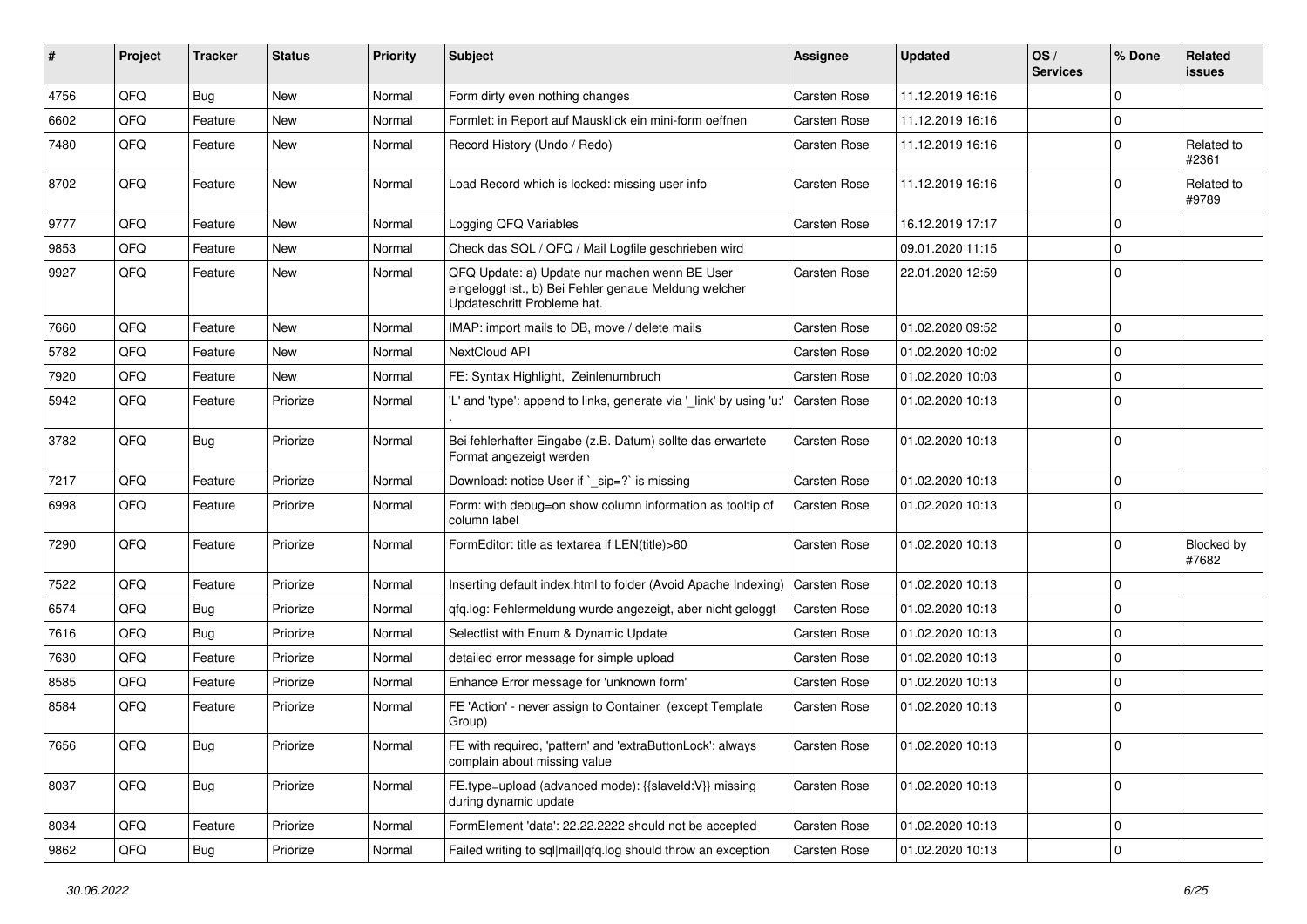| #    | <b>Project</b> | <b>Tracker</b> | <b>Status</b> | <b>Priority</b> | Subject                                                                                                                               | Assignee            | <b>Updated</b>   | OS/<br><b>Services</b> | % Done              | Related<br>issues          |
|------|----------------|----------------|---------------|-----------------|---------------------------------------------------------------------------------------------------------------------------------------|---------------------|------------------|------------------------|---------------------|----------------------------|
| 4756 | QFQ            | Bug            | New           | Normal          | Form dirty even nothing changes                                                                                                       | <b>Carsten Rose</b> | 11.12.2019 16:16 |                        | $\mathbf 0$         |                            |
| 6602 | QFQ            | Feature        | New           | Normal          | Formlet: in Report auf Mausklick ein mini-form oeffnen                                                                                | Carsten Rose        | 11.12.2019 16:16 |                        | $\mathbf 0$         |                            |
| 7480 | QFQ            | Feature        | New           | Normal          | Record History (Undo / Redo)                                                                                                          | <b>Carsten Rose</b> | 11.12.2019 16:16 |                        | $\mathbf 0$         | Related to<br>#2361        |
| 8702 | QFQ            | Feature        | <b>New</b>    | Normal          | Load Record which is locked: missing user info                                                                                        | Carsten Rose        | 11.12.2019 16:16 |                        | $\mathbf 0$         | Related to<br>#9789        |
| 9777 | QFQ            | Feature        | New           | Normal          | Logging QFQ Variables                                                                                                                 | <b>Carsten Rose</b> | 16.12.2019 17:17 |                        | 0                   |                            |
| 9853 | QFQ            | Feature        | New           | Normal          | Check das SQL / QFQ / Mail Logfile geschrieben wird                                                                                   |                     | 09.01.2020 11:15 |                        | $\mathbf 0$         |                            |
| 9927 | QFQ            | Feature        | New           | Normal          | QFQ Update: a) Update nur machen wenn BE User<br>eingeloggt ist., b) Bei Fehler genaue Meldung welcher<br>Updateschritt Probleme hat. | Carsten Rose        | 22.01.2020 12:59 |                        | $\mathbf 0$         |                            |
| 7660 | QFQ            | Feature        | <b>New</b>    | Normal          | IMAP: import mails to DB, move / delete mails                                                                                         | Carsten Rose        | 01.02.2020 09:52 |                        | $\mathbf 0$         |                            |
| 5782 | QFQ            | Feature        | New           | Normal          | NextCloud API                                                                                                                         | Carsten Rose        | 01.02.2020 10:02 |                        | $\mathbf 0$         |                            |
| 7920 | QFQ            | Feature        | New           | Normal          | FE: Syntax Highlight, Zeinlenumbruch                                                                                                  | <b>Carsten Rose</b> | 01.02.2020 10:03 |                        | $\mathbf 0$         |                            |
| 5942 | QFQ            | Feature        | Priorize      | Normal          | 'L' and 'type': append to links, generate via '_link' by using 'u:'                                                                   | <b>Carsten Rose</b> | 01.02.2020 10:13 |                        | $\mathbf 0$         |                            |
| 3782 | QFQ            | Bug            | Priorize      | Normal          | Bei fehlerhafter Eingabe (z.B. Datum) sollte das erwartete<br>Format angezeigt werden                                                 | Carsten Rose        | 01.02.2020 10:13 |                        | $\mathbf 0$         |                            |
| 7217 | QFQ            | Feature        | Priorize      | Normal          | Download: notice User if `_sip=?` is missing                                                                                          | Carsten Rose        | 01.02.2020 10:13 |                        | $\mathbf 0$         |                            |
| 6998 | QFQ            | Feature        | Priorize      | Normal          | Form: with debug=on show column information as tooltip of<br>column label                                                             | Carsten Rose        | 01.02.2020 10:13 |                        | $\mathbf 0$         |                            |
| 7290 | QFQ            | Feature        | Priorize      | Normal          | FormEditor: title as textarea if LEN(title)>60                                                                                        | Carsten Rose        | 01.02.2020 10:13 |                        | $\mathbf 0$         | <b>Blocked by</b><br>#7682 |
| 7522 | QFQ            | Feature        | Priorize      | Normal          | Inserting default index.html to folder (Avoid Apache Indexing)                                                                        | Carsten Rose        | 01.02.2020 10:13 |                        | $\mathbf 0$         |                            |
| 6574 | QFQ            | <b>Bug</b>     | Priorize      | Normal          | gfg.log: Fehlermeldung wurde angezeigt, aber nicht geloggt                                                                            | Carsten Rose        | 01.02.2020 10:13 |                        | $\mathbf 0$         |                            |
| 7616 | QFQ            | Bug            | Priorize      | Normal          | Selectlist with Enum & Dynamic Update                                                                                                 | Carsten Rose        | 01.02.2020 10:13 |                        | 0                   |                            |
| 7630 | QFQ            | Feature        | Priorize      | Normal          | detailed error message for simple upload                                                                                              | Carsten Rose        | 01.02.2020 10:13 |                        | $\mathbf 0$         |                            |
| 8585 | QFQ            | Feature        | Priorize      | Normal          | Enhance Error message for 'unknown form'                                                                                              | <b>Carsten Rose</b> | 01.02.2020 10:13 |                        | 0                   |                            |
| 8584 | QFQ            | Feature        | Priorize      | Normal          | FE 'Action' - never assign to Container (except Template<br>Group)                                                                    | Carsten Rose        | 01.02.2020 10:13 |                        | $\mathbf 0$         |                            |
| 7656 | QFQ            | Bug            | Priorize      | Normal          | FE with required, 'pattern' and 'extraButtonLock': always<br>complain about missing value                                             | <b>Carsten Rose</b> | 01.02.2020 10:13 |                        | 0                   |                            |
| 8037 | QFQ            | <b>Bug</b>     | Priorize      | Normal          | FE.type=upload (advanced mode): {{slaveld:V}} missing<br>during dynamic update                                                        | Carsten Rose        | 01.02.2020 10:13 |                        | $\mathsf{O}$        |                            |
| 8034 | QFQ            | Feature        | Priorize      | Normal          | FormElement 'data': 22.22.2222 should not be accepted                                                                                 | Carsten Rose        | 01.02.2020 10:13 |                        | 0                   |                            |
| 9862 | QFQ            | Bug            | Priorize      | Normal          | Failed writing to sql mail qfq.log should throw an exception                                                                          | Carsten Rose        | 01.02.2020 10:13 |                        | $\mathsf{O}\xspace$ |                            |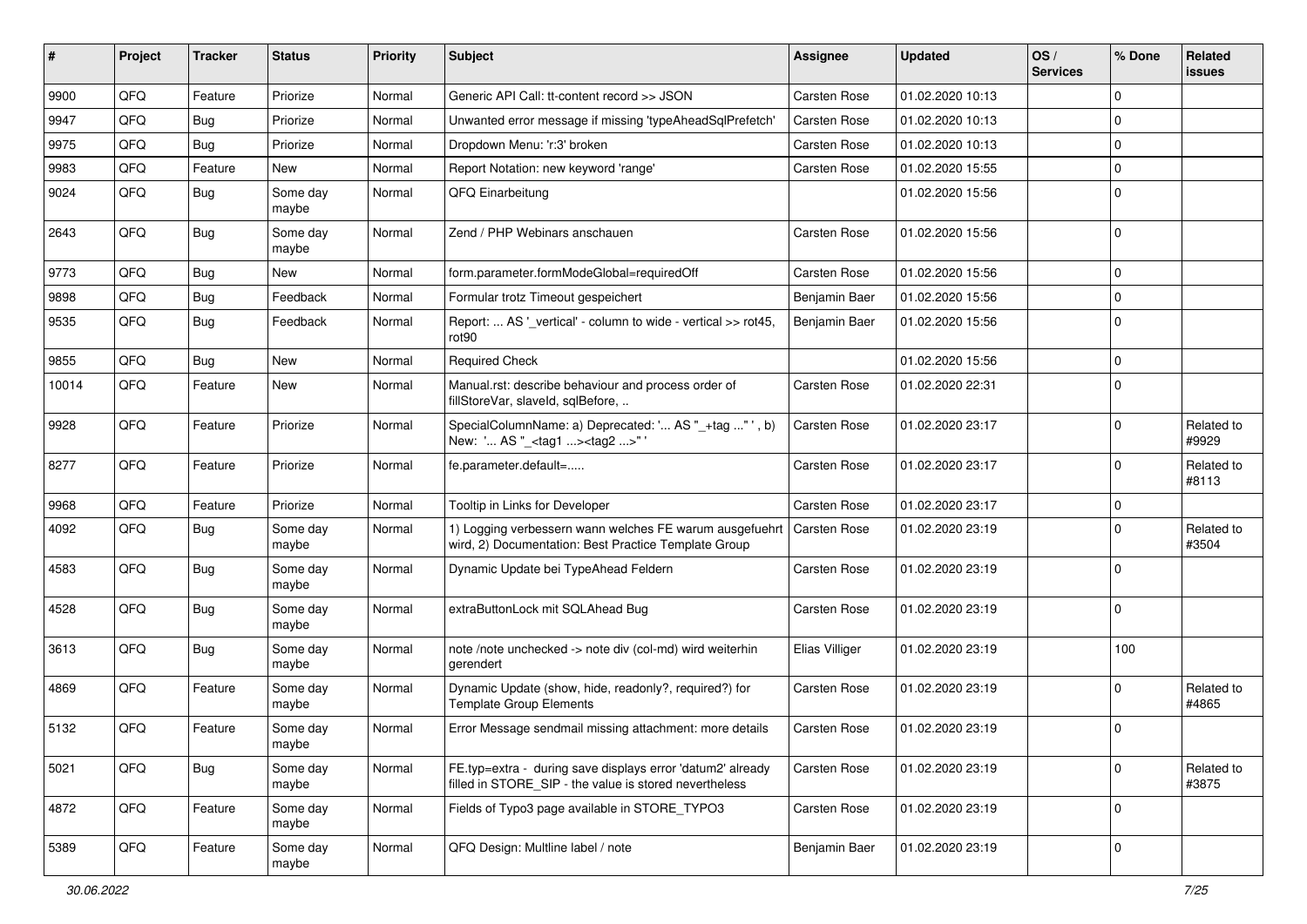| ∦     | Project | <b>Tracker</b> | <b>Status</b>     | <b>Priority</b> | <b>Subject</b>                                                                                                       | <b>Assignee</b>     | <b>Updated</b>   | OS/<br><b>Services</b> | % Done      | Related<br>issues   |
|-------|---------|----------------|-------------------|-----------------|----------------------------------------------------------------------------------------------------------------------|---------------------|------------------|------------------------|-------------|---------------------|
| 9900  | QFQ     | Feature        | Priorize          | Normal          | Generic API Call: tt-content record >> JSON                                                                          | Carsten Rose        | 01.02.2020 10:13 |                        | $\Omega$    |                     |
| 9947  | QFQ     | Bug            | Priorize          | Normal          | Unwanted error message if missing 'typeAheadSqlPrefetch'                                                             | <b>Carsten Rose</b> | 01.02.2020 10:13 |                        | $\Omega$    |                     |
| 9975  | QFQ     | Bug            | Priorize          | Normal          | Dropdown Menu: 'r:3' broken                                                                                          | <b>Carsten Rose</b> | 01.02.2020 10:13 |                        | $\Omega$    |                     |
| 9983  | QFQ     | Feature        | <b>New</b>        | Normal          | Report Notation: new keyword 'range'                                                                                 | Carsten Rose        | 01.02.2020 15:55 |                        | $\Omega$    |                     |
| 9024  | QFQ     | <b>Bug</b>     | Some day<br>maybe | Normal          | QFQ Einarbeitung                                                                                                     |                     | 01.02.2020 15:56 |                        | $\Omega$    |                     |
| 2643  | QFQ     | Bug            | Some day<br>maybe | Normal          | Zend / PHP Webinars anschauen                                                                                        | <b>Carsten Rose</b> | 01.02.2020 15:56 |                        | $\Omega$    |                     |
| 9773  | QFQ     | Bug            | <b>New</b>        | Normal          | form.parameter.formModeGlobal=requiredOff                                                                            | <b>Carsten Rose</b> | 01.02.2020 15:56 |                        | $\Omega$    |                     |
| 9898  | QFQ     | Bug            | Feedback          | Normal          | Formular trotz Timeout gespeichert                                                                                   | Benjamin Baer       | 01.02.2020 15:56 |                        | $\Omega$    |                     |
| 9535  | QFQ     | Bug            | Feedback          | Normal          | Report:  AS '_vertical' - column to wide - vertical >> rot45,<br>rot <sub>90</sub>                                   | Benjamin Baer       | 01.02.2020 15:56 |                        | $\mathbf 0$ |                     |
| 9855  | QFQ     | Bug            | <b>New</b>        | Normal          | <b>Required Check</b>                                                                                                |                     | 01.02.2020 15:56 |                        | $\mathbf 0$ |                     |
| 10014 | QFQ     | Feature        | New               | Normal          | Manual.rst: describe behaviour and process order of<br>fillStoreVar, slaveId, sqlBefore,                             | <b>Carsten Rose</b> | 01.02.2020 22:31 |                        | $\Omega$    |                     |
| 9928  | QFQ     | Feature        | Priorize          | Normal          | SpecialColumnName: a) Deprecated: ' AS "_+tag " ', b)<br>New: ' AS "_ <tag1><tag2>"</tag2></tag1>                    | Carsten Rose        | 01.02.2020 23:17 |                        | $\Omega$    | Related to<br>#9929 |
| 8277  | QFQ     | Feature        | Priorize          | Normal          | fe.parameter.default=                                                                                                | <b>Carsten Rose</b> | 01.02.2020 23:17 |                        | $\Omega$    | Related to<br>#8113 |
| 9968  | QFQ     | Feature        | Priorize          | Normal          | Tooltip in Links for Developer                                                                                       | <b>Carsten Rose</b> | 01.02.2020 23:17 |                        | $\mathbf 0$ |                     |
| 4092  | QFQ     | Bug            | Some day<br>maybe | Normal          | 1) Logging verbessern wann welches FE warum ausgefuehrt<br>wird, 2) Documentation: Best Practice Template Group      | <b>Carsten Rose</b> | 01.02.2020 23:19 |                        | $\Omega$    | Related to<br>#3504 |
| 4583  | QFQ     | Bug            | Some day<br>maybe | Normal          | Dynamic Update bei TypeAhead Feldern                                                                                 | Carsten Rose        | 01.02.2020 23:19 |                        | $\Omega$    |                     |
| 4528  | QFQ     | Bug            | Some day<br>maybe | Normal          | extraButtonLock mit SQLAhead Bug                                                                                     | Carsten Rose        | 01.02.2020 23:19 |                        | $\Omega$    |                     |
| 3613  | QFQ     | Bug            | Some day<br>maybe | Normal          | note /note unchecked -> note div (col-md) wird weiterhin<br>gerendert                                                | Elias Villiger      | 01.02.2020 23:19 |                        | 100         |                     |
| 4869  | QFQ     | Feature        | Some day<br>maybe | Normal          | Dynamic Update (show, hide, readonly?, required?) for<br><b>Template Group Elements</b>                              | <b>Carsten Rose</b> | 01.02.2020 23:19 |                        | $\Omega$    | Related to<br>#4865 |
| 5132  | QFQ     | Feature        | Some day<br>maybe | Normal          | Error Message sendmail missing attachment: more details                                                              | <b>Carsten Rose</b> | 01.02.2020 23:19 |                        | $\mathbf 0$ |                     |
| 5021  | QFQ     | <b>Bug</b>     | Some day<br>maybe | Normal          | FE.typ=extra - during save displays error 'datum2' already<br>filled in STORE SIP - the value is stored nevertheless | Carsten Rose        | 01.02.2020 23:19 |                        | $\Omega$    | Related to<br>#3875 |
| 4872  | QFQ     | Feature        | Some day<br>maybe | Normal          | Fields of Typo3 page available in STORE_TYPO3                                                                        | Carsten Rose        | 01.02.2020 23:19 |                        | $\mathbf 0$ |                     |
| 5389  | QFQ     | Feature        | Some day<br>maybe | Normal          | QFQ Design: Multline label / note                                                                                    | Benjamin Baer       | 01.02.2020 23:19 |                        | 0           |                     |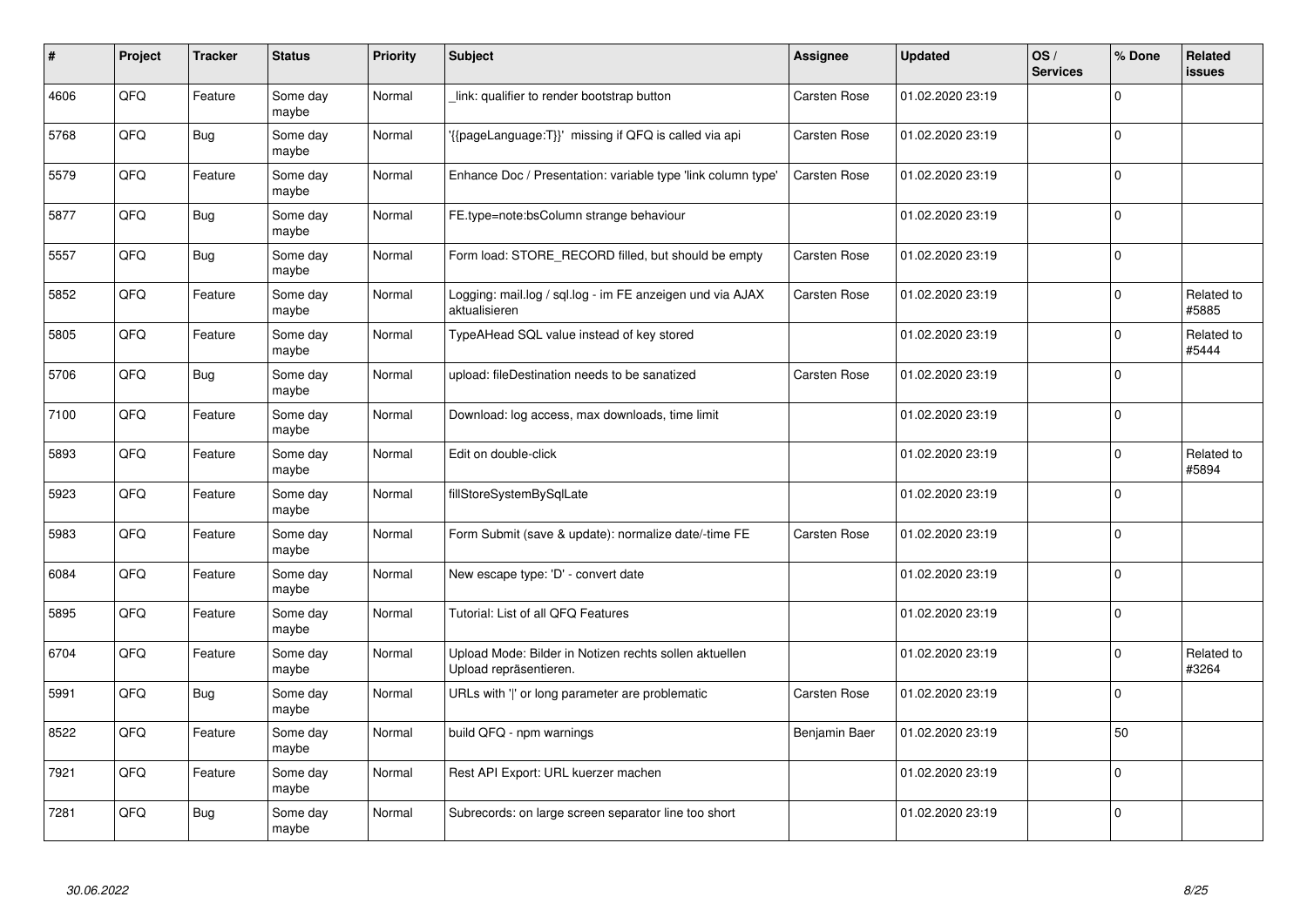| #    | Project | <b>Tracker</b> | <b>Status</b>     | <b>Priority</b> | <b>Subject</b>                                                                   | <b>Assignee</b>     | <b>Updated</b>   | OS/<br><b>Services</b> | % Done      | Related<br><b>issues</b> |
|------|---------|----------------|-------------------|-----------------|----------------------------------------------------------------------------------|---------------------|------------------|------------------------|-------------|--------------------------|
| 4606 | QFQ     | Feature        | Some day<br>maybe | Normal          | link: qualifier to render bootstrap button                                       | <b>Carsten Rose</b> | 01.02.2020 23:19 |                        | $\Omega$    |                          |
| 5768 | QFQ     | Bug            | Some day<br>maybe | Normal          | {{pageLanguage:T}}' missing if QFQ is called via api                             | Carsten Rose        | 01.02.2020 23:19 |                        | $\mathbf 0$ |                          |
| 5579 | QFQ     | Feature        | Some day<br>maybe | Normal          | Enhance Doc / Presentation: variable type 'link column type'                     | <b>Carsten Rose</b> | 01.02.2020 23:19 |                        | $\Omega$    |                          |
| 5877 | QFQ     | <b>Bug</b>     | Some day<br>maybe | Normal          | FE.type=note:bsColumn strange behaviour                                          |                     | 01.02.2020 23:19 |                        | $\Omega$    |                          |
| 5557 | QFQ     | Bug            | Some day<br>maybe | Normal          | Form load: STORE_RECORD filled, but should be empty                              | <b>Carsten Rose</b> | 01.02.2020 23:19 |                        | $\mathbf 0$ |                          |
| 5852 | QFQ     | Feature        | Some day<br>maybe | Normal          | Logging: mail.log / sql.log - im FE anzeigen und via AJAX<br>aktualisieren       | Carsten Rose        | 01.02.2020 23:19 |                        | $\Omega$    | Related to<br>#5885      |
| 5805 | QFQ     | Feature        | Some day<br>maybe | Normal          | TypeAHead SQL value instead of key stored                                        |                     | 01.02.2020 23:19 |                        | $\Omega$    | Related to<br>#5444      |
| 5706 | QFQ     | Bug            | Some day<br>maybe | Normal          | upload: fileDestination needs to be sanatized                                    | Carsten Rose        | 01.02.2020 23:19 |                        | $\Omega$    |                          |
| 7100 | QFQ     | Feature        | Some day<br>maybe | Normal          | Download: log access, max downloads, time limit                                  |                     | 01.02.2020 23:19 |                        | $\Omega$    |                          |
| 5893 | QFQ     | Feature        | Some day<br>maybe | Normal          | Edit on double-click                                                             |                     | 01.02.2020 23:19 |                        | $\mathbf 0$ | Related to<br>#5894      |
| 5923 | QFQ     | Feature        | Some day<br>maybe | Normal          | fillStoreSystemBySqlLate                                                         |                     | 01.02.2020 23:19 |                        | $\Omega$    |                          |
| 5983 | QFQ     | Feature        | Some day<br>maybe | Normal          | Form Submit (save & update): normalize date/-time FE                             | Carsten Rose        | 01.02.2020 23:19 |                        | $\Omega$    |                          |
| 6084 | QFQ     | Feature        | Some day<br>maybe | Normal          | New escape type: 'D' - convert date                                              |                     | 01.02.2020 23:19 |                        | $\Omega$    |                          |
| 5895 | QFQ     | Feature        | Some day<br>maybe | Normal          | Tutorial: List of all QFQ Features                                               |                     | 01.02.2020 23:19 |                        | $\mathbf 0$ |                          |
| 6704 | QFQ     | Feature        | Some day<br>maybe | Normal          | Upload Mode: Bilder in Notizen rechts sollen aktuellen<br>Upload repräsentieren. |                     | 01.02.2020 23:19 |                        | $\Omega$    | Related to<br>#3264      |
| 5991 | QFQ     | Bug            | Some day<br>maybe | Normal          | URLs with 'I' or long parameter are problematic                                  | <b>Carsten Rose</b> | 01.02.2020 23:19 |                        | $\Omega$    |                          |
| 8522 | QFQ     | Feature        | Some day<br>maybe | Normal          | build QFQ - npm warnings                                                         | Benjamin Baer       | 01.02.2020 23:19 |                        | 50          |                          |
| 7921 | QFQ     | Feature        | Some day<br>maybe | Normal          | Rest API Export: URL kuerzer machen                                              |                     | 01.02.2020 23:19 |                        | $\Omega$    |                          |
| 7281 | QFQ     | Bug            | Some day<br>maybe | Normal          | Subrecords: on large screen separator line too short                             |                     | 01.02.2020 23:19 |                        | $\Omega$    |                          |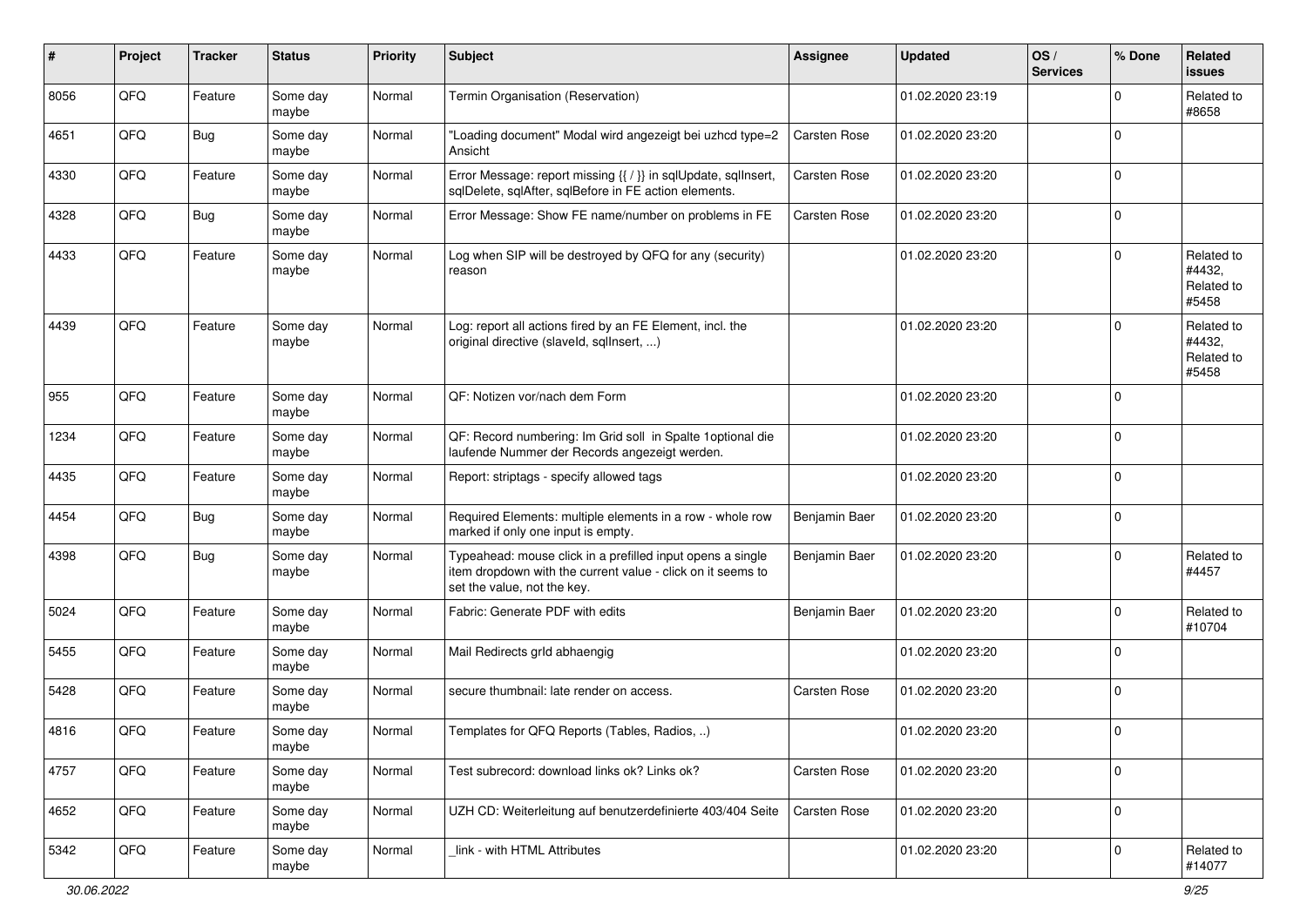| $\vert$ # | Project | <b>Tracker</b> | <b>Status</b>     | <b>Priority</b> | <b>Subject</b>                                                                                                                                           | <b>Assignee</b>     | <b>Updated</b>   | OS/<br><b>Services</b> | % Done      | Related<br><b>issues</b>                    |
|-----------|---------|----------------|-------------------|-----------------|----------------------------------------------------------------------------------------------------------------------------------------------------------|---------------------|------------------|------------------------|-------------|---------------------------------------------|
| 8056      | QFQ     | Feature        | Some day<br>maybe | Normal          | Termin Organisation (Reservation)                                                                                                                        |                     | 01.02.2020 23:19 |                        | 0           | Related to<br>#8658                         |
| 4651      | QFQ     | Bug            | Some day<br>maybe | Normal          | 'Loading document" Modal wird angezeigt bei uzhcd type=2<br>Ansicht                                                                                      | <b>Carsten Rose</b> | 01.02.2020 23:20 |                        | $\mathbf 0$ |                                             |
| 4330      | QFQ     | Feature        | Some day<br>maybe | Normal          | Error Message: report missing {{ / }} in sqlUpdate, sqlInsert,<br>sqlDelete, sqlAfter, sqlBefore in FE action elements.                                  | <b>Carsten Rose</b> | 01.02.2020 23:20 |                        | 0           |                                             |
| 4328      | QFQ     | Bug            | Some day<br>maybe | Normal          | Error Message: Show FE name/number on problems in FE                                                                                                     | <b>Carsten Rose</b> | 01.02.2020 23:20 |                        | $\mathbf 0$ |                                             |
| 4433      | QFQ     | Feature        | Some day<br>maybe | Normal          | Log when SIP will be destroyed by QFQ for any (security)<br>reason                                                                                       |                     | 01.02.2020 23:20 |                        | $\Omega$    | Related to<br>#4432,<br>Related to<br>#5458 |
| 4439      | QFQ     | Feature        | Some day<br>maybe | Normal          | Log: report all actions fired by an FE Element, incl. the<br>original directive (slaveld, sqllnsert, )                                                   |                     | 01.02.2020 23:20 |                        | $\Omega$    | Related to<br>#4432,<br>Related to<br>#5458 |
| 955       | QFQ     | Feature        | Some day<br>maybe | Normal          | QF: Notizen vor/nach dem Form                                                                                                                            |                     | 01.02.2020 23:20 |                        | $\mathbf 0$ |                                             |
| 1234      | QFQ     | Feature        | Some day<br>maybe | Normal          | QF: Record numbering: Im Grid soll in Spalte 1optional die<br>laufende Nummer der Records angezeigt werden.                                              |                     | 01.02.2020 23:20 |                        | 0           |                                             |
| 4435      | QFQ     | Feature        | Some day<br>maybe | Normal          | Report: striptags - specify allowed tags                                                                                                                 |                     | 01.02.2020 23:20 |                        | $\Omega$    |                                             |
| 4454      | QFQ     | <b>Bug</b>     | Some day<br>maybe | Normal          | Required Elements: multiple elements in a row - whole row<br>marked if only one input is empty.                                                          | Benjamin Baer       | 01.02.2020 23:20 |                        | $\Omega$    |                                             |
| 4398      | QFQ     | <b>Bug</b>     | Some day<br>maybe | Normal          | Typeahead: mouse click in a prefilled input opens a single<br>item dropdown with the current value - click on it seems to<br>set the value, not the key. | Benjamin Baer       | 01.02.2020 23:20 |                        | $\Omega$    | Related to<br>#4457                         |
| 5024      | QFQ     | Feature        | Some day<br>maybe | Normal          | Fabric: Generate PDF with edits                                                                                                                          | Benjamin Baer       | 01.02.2020 23:20 |                        | $\Omega$    | Related to<br>#10704                        |
| 5455      | QFQ     | Feature        | Some day<br>maybe | Normal          | Mail Redirects grld abhaengig                                                                                                                            |                     | 01.02.2020 23:20 |                        | $\Omega$    |                                             |
| 5428      | QFQ     | Feature        | Some day<br>maybe | Normal          | secure thumbnail: late render on access.                                                                                                                 | <b>Carsten Rose</b> | 01.02.2020 23:20 |                        | $\mathbf 0$ |                                             |
| 4816      | QFQ     | Feature        | Some day<br>maybe | Normal          | Templates for QFQ Reports (Tables, Radios, )                                                                                                             |                     | 01.02.2020 23:20 |                        | $\mathbf 0$ |                                             |
| 4757      | QFO     | Feature        | Some day<br>maybe | Normal          | Test subrecord: download links ok? Links ok?                                                                                                             | Carsten Rose        | 01.02.2020 23:20 |                        | $\mathbf 0$ |                                             |
| 4652      | QFQ     | Feature        | Some day<br>maybe | Normal          | UZH CD: Weiterleitung auf benutzerdefinierte 403/404 Seite                                                                                               | <b>Carsten Rose</b> | 01.02.2020 23:20 |                        | $\mathbf 0$ |                                             |
| 5342      | QFQ     | Feature        | Some day<br>maybe | Normal          | link - with HTML Attributes                                                                                                                              |                     | 01.02.2020 23:20 |                        | 0           | Related to<br>#14077                        |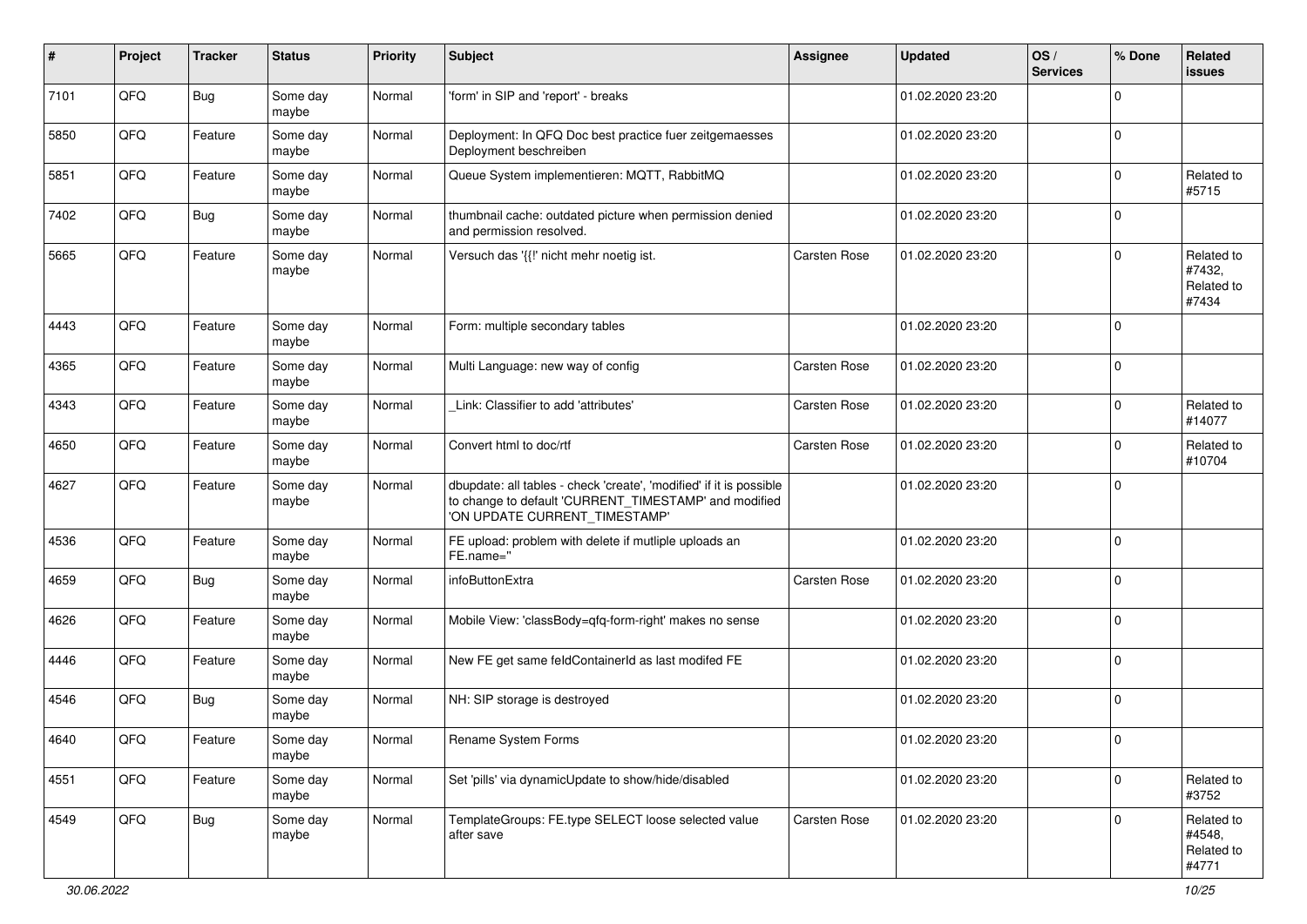| ∦    | Project        | <b>Tracker</b> | <b>Status</b>     | <b>Priority</b> | <b>Subject</b>                                                                                                                                                | <b>Assignee</b>     | <b>Updated</b>   | OS/<br><b>Services</b> | % Done      | Related<br><b>issues</b>                    |
|------|----------------|----------------|-------------------|-----------------|---------------------------------------------------------------------------------------------------------------------------------------------------------------|---------------------|------------------|------------------------|-------------|---------------------------------------------|
| 7101 | QFQ            | Bug            | Some day<br>maybe | Normal          | 'form' in SIP and 'report' - breaks                                                                                                                           |                     | 01.02.2020 23:20 |                        | 0           |                                             |
| 5850 | QFQ            | Feature        | Some day<br>maybe | Normal          | Deployment: In QFQ Doc best practice fuer zeitgemaesses<br>Deployment beschreiben                                                                             |                     | 01.02.2020 23:20 |                        | $\mathbf 0$ |                                             |
| 5851 | QFQ            | Feature        | Some day<br>maybe | Normal          | Queue System implementieren: MQTT, RabbitMQ                                                                                                                   |                     | 01.02.2020 23:20 |                        | 0           | Related to<br>#5715                         |
| 7402 | QFQ            | Bug            | Some day<br>maybe | Normal          | thumbnail cache: outdated picture when permission denied<br>and permission resolved.                                                                          |                     | 01.02.2020 23:20 |                        | $\mathbf 0$ |                                             |
| 5665 | QFQ            | Feature        | Some day<br>maybe | Normal          | Versuch das '{{!' nicht mehr noetig ist.                                                                                                                      | <b>Carsten Rose</b> | 01.02.2020 23:20 |                        | $\Omega$    | Related to<br>#7432,<br>Related to<br>#7434 |
| 4443 | QFQ            | Feature        | Some day<br>maybe | Normal          | Form: multiple secondary tables                                                                                                                               |                     | 01.02.2020 23:20 |                        | $\Omega$    |                                             |
| 4365 | QFQ            | Feature        | Some day<br>maybe | Normal          | Multi Language: new way of config                                                                                                                             | <b>Carsten Rose</b> | 01.02.2020 23:20 |                        | $\Omega$    |                                             |
| 4343 | QFQ            | Feature        | Some day<br>maybe | Normal          | Link: Classifier to add 'attributes'                                                                                                                          | <b>Carsten Rose</b> | 01.02.2020 23:20 |                        | $\Omega$    | Related to<br>#14077                        |
| 4650 | QFQ            | Feature        | Some day<br>maybe | Normal          | Convert html to doc/rtf                                                                                                                                       | <b>Carsten Rose</b> | 01.02.2020 23:20 |                        | 0           | Related to<br>#10704                        |
| 4627 | QFQ            | Feature        | Some day<br>maybe | Normal          | dbupdate: all tables - check 'create', 'modified' if it is possible<br>to change to default 'CURRENT_TIMESTAMP' and modified<br>'ON UPDATE CURRENT_TIMESTAMP' |                     | 01.02.2020 23:20 |                        | $\mathbf 0$ |                                             |
| 4536 | QFQ            | Feature        | Some day<br>maybe | Normal          | FE upload: problem with delete if mutliple uploads an<br>FE.name="                                                                                            |                     | 01.02.2020 23:20 |                        | $\Omega$    |                                             |
| 4659 | QFQ            | Bug            | Some day<br>maybe | Normal          | infoButtonExtra                                                                                                                                               | <b>Carsten Rose</b> | 01.02.2020 23:20 |                        | $\mathbf 0$ |                                             |
| 4626 | QFQ            | Feature        | Some day<br>maybe | Normal          | Mobile View: 'classBody=qfq-form-right' makes no sense                                                                                                        |                     | 01.02.2020 23:20 |                        | $\mathbf 0$ |                                             |
| 4446 | QFQ            | Feature        | Some day<br>maybe | Normal          | New FE get same feldContainerId as last modifed FE                                                                                                            |                     | 01.02.2020 23:20 |                        | $\Omega$    |                                             |
| 4546 | QFQ            | <b>Bug</b>     | Some day<br>maybe | Normal          | NH: SIP storage is destroyed                                                                                                                                  |                     | 01.02.2020 23:20 |                        | $\Omega$    |                                             |
| 4640 | $\mathsf{QFQ}$ | Feature        | Some day<br>maybe | Normal          | Rename System Forms                                                                                                                                           |                     | 01.02.2020 23:20 |                        | $\pmb{0}$   |                                             |
| 4551 | QFQ            | Feature        | Some day<br>maybe | Normal          | Set 'pills' via dynamicUpdate to show/hide/disabled                                                                                                           |                     | 01.02.2020 23:20 |                        | 0           | Related to<br>#3752                         |
| 4549 | QFQ            | Bug            | Some day<br>maybe | Normal          | TemplateGroups: FE.type SELECT loose selected value<br>after save                                                                                             | Carsten Rose        | 01.02.2020 23:20 |                        | $\Omega$    | Related to<br>#4548,<br>Related to<br>#4771 |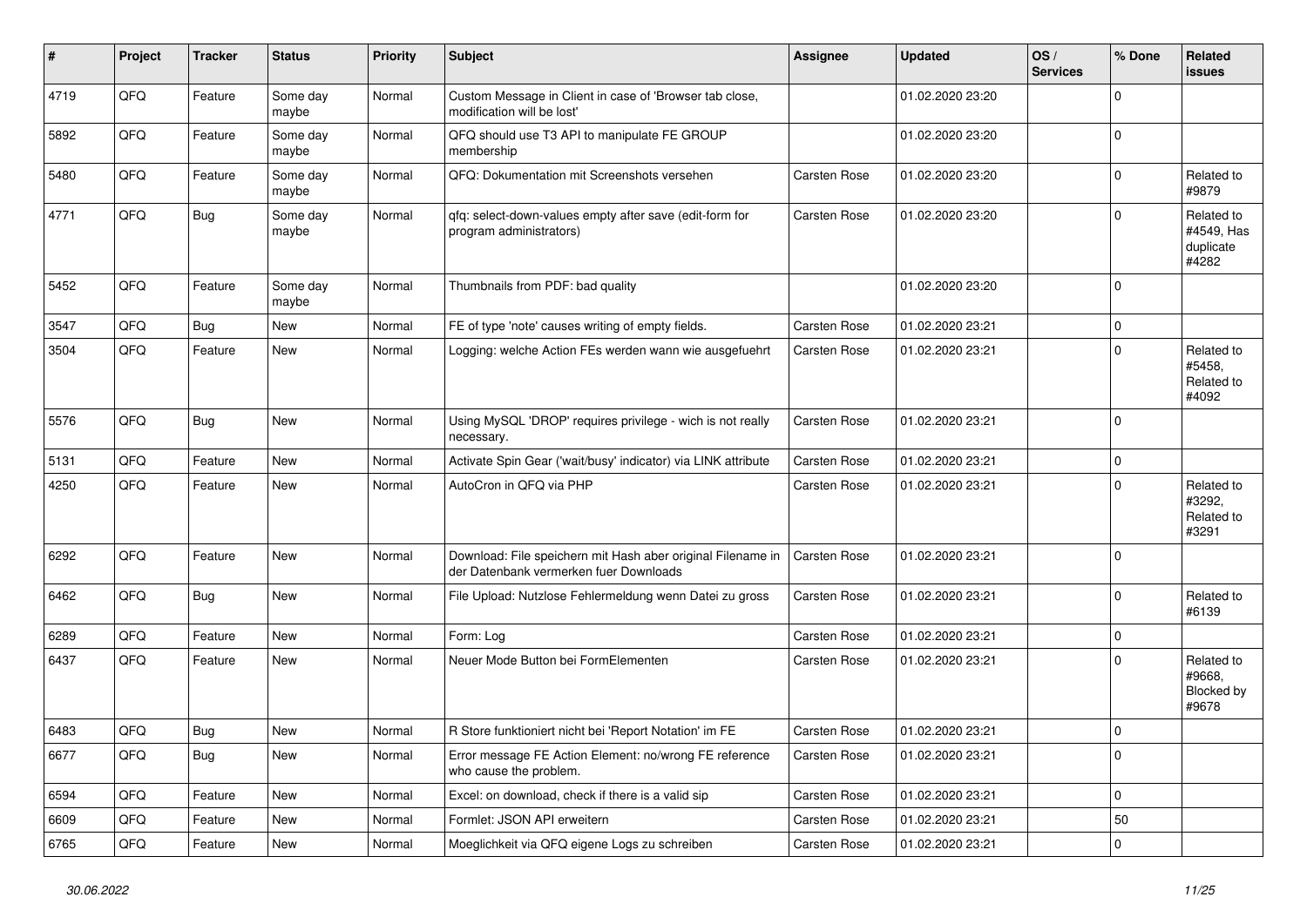| $\vert$ # | Project | <b>Tracker</b> | <b>Status</b>     | <b>Priority</b> | <b>Subject</b>                                                                                        | Assignee            | <b>Updated</b>   | OS/<br><b>Services</b> | % Done       | Related<br><b>issues</b>                       |
|-----------|---------|----------------|-------------------|-----------------|-------------------------------------------------------------------------------------------------------|---------------------|------------------|------------------------|--------------|------------------------------------------------|
| 4719      | QFQ     | Feature        | Some day<br>maybe | Normal          | Custom Message in Client in case of 'Browser tab close,<br>modification will be lost'                 |                     | 01.02.2020 23:20 |                        | $\Omega$     |                                                |
| 5892      | QFQ     | Feature        | Some day<br>maybe | Normal          | QFQ should use T3 API to manipulate FE GROUP<br>membership                                            |                     | 01.02.2020 23:20 |                        | $\Omega$     |                                                |
| 5480      | QFQ     | Feature        | Some day<br>maybe | Normal          | QFQ: Dokumentation mit Screenshots versehen                                                           | Carsten Rose        | 01.02.2020 23:20 |                        | <sup>0</sup> | Related to<br>#9879                            |
| 4771      | QFQ     | <b>Bug</b>     | Some day<br>maybe | Normal          | qfq: select-down-values empty after save (edit-form for<br>program administrators)                    | Carsten Rose        | 01.02.2020 23:20 |                        | $\Omega$     | Related to<br>#4549, Has<br>duplicate<br>#4282 |
| 5452      | QFQ     | Feature        | Some day<br>maybe | Normal          | Thumbnails from PDF: bad quality                                                                      |                     | 01.02.2020 23:20 |                        | $\Omega$     |                                                |
| 3547      | QFQ     | Bug            | New               | Normal          | FE of type 'note' causes writing of empty fields.                                                     | <b>Carsten Rose</b> | 01.02.2020 23:21 |                        | 0            |                                                |
| 3504      | QFQ     | Feature        | <b>New</b>        | Normal          | Logging: welche Action FEs werden wann wie ausgefuehrt                                                | Carsten Rose        | 01.02.2020 23:21 |                        | $\Omega$     | Related to<br>#5458,<br>Related to<br>#4092    |
| 5576      | QFQ     | Bug            | <b>New</b>        | Normal          | Using MySQL 'DROP' requires privilege - wich is not really<br>necessary.                              | <b>Carsten Rose</b> | 01.02.2020 23:21 |                        | $\Omega$     |                                                |
| 5131      | QFQ     | Feature        | <b>New</b>        | Normal          | Activate Spin Gear ('wait/busy' indicator) via LINK attribute                                         | <b>Carsten Rose</b> | 01.02.2020 23:21 |                        | 0            |                                                |
| 4250      | QFQ     | Feature        | <b>New</b>        | Normal          | AutoCron in QFQ via PHP                                                                               | Carsten Rose        | 01.02.2020 23:21 |                        | $\Omega$     | Related to<br>#3292,<br>Related to<br>#3291    |
| 6292      | QFQ     | Feature        | <b>New</b>        | Normal          | Download: File speichern mit Hash aber original Filename in<br>der Datenbank vermerken fuer Downloads | <b>Carsten Rose</b> | 01.02.2020 23:21 |                        | $\Omega$     |                                                |
| 6462      | QFQ     | Bug            | New               | Normal          | File Upload: Nutzlose Fehlermeldung wenn Datei zu gross                                               | Carsten Rose        | 01.02.2020 23:21 |                        | $\Omega$     | Related to<br>#6139                            |
| 6289      | QFQ     | Feature        | <b>New</b>        | Normal          | Form: Log                                                                                             | Carsten Rose        | 01.02.2020 23:21 |                        | $\Omega$     |                                                |
| 6437      | QFQ     | Feature        | <b>New</b>        | Normal          | Neuer Mode Button bei FormElementen                                                                   | Carsten Rose        | 01.02.2020 23:21 |                        | $\Omega$     | Related to<br>#9668,<br>Blocked by<br>#9678    |
| 6483      | QFQ     | <b>Bug</b>     | <b>New</b>        | Normal          | R Store funktioniert nicht bei 'Report Notation' im FE                                                | Carsten Rose        | 01.02.2020 23:21 |                        | $\Omega$     |                                                |
| 6677      | QFQ     | Bug            | New               | Normal          | Error message FE Action Element: no/wrong FE reference<br>who cause the problem.                      | Carsten Rose        | 01.02.2020 23:21 |                        | $\Omega$     |                                                |
| 6594      | QFQ     | Feature        | <b>New</b>        | Normal          | Excel: on download, check if there is a valid sip                                                     | Carsten Rose        | 01.02.2020 23:21 |                        | $\Omega$     |                                                |
| 6609      | QFQ     | Feature        | <b>New</b>        | Normal          | Formlet: JSON API erweitern                                                                           | Carsten Rose        | 01.02.2020 23:21 |                        | 50           |                                                |
| 6765      | QFQ     | Feature        | New               | Normal          | Moeglichkeit via QFQ eigene Logs zu schreiben                                                         | Carsten Rose        | 01.02.2020 23:21 |                        | $\Omega$     |                                                |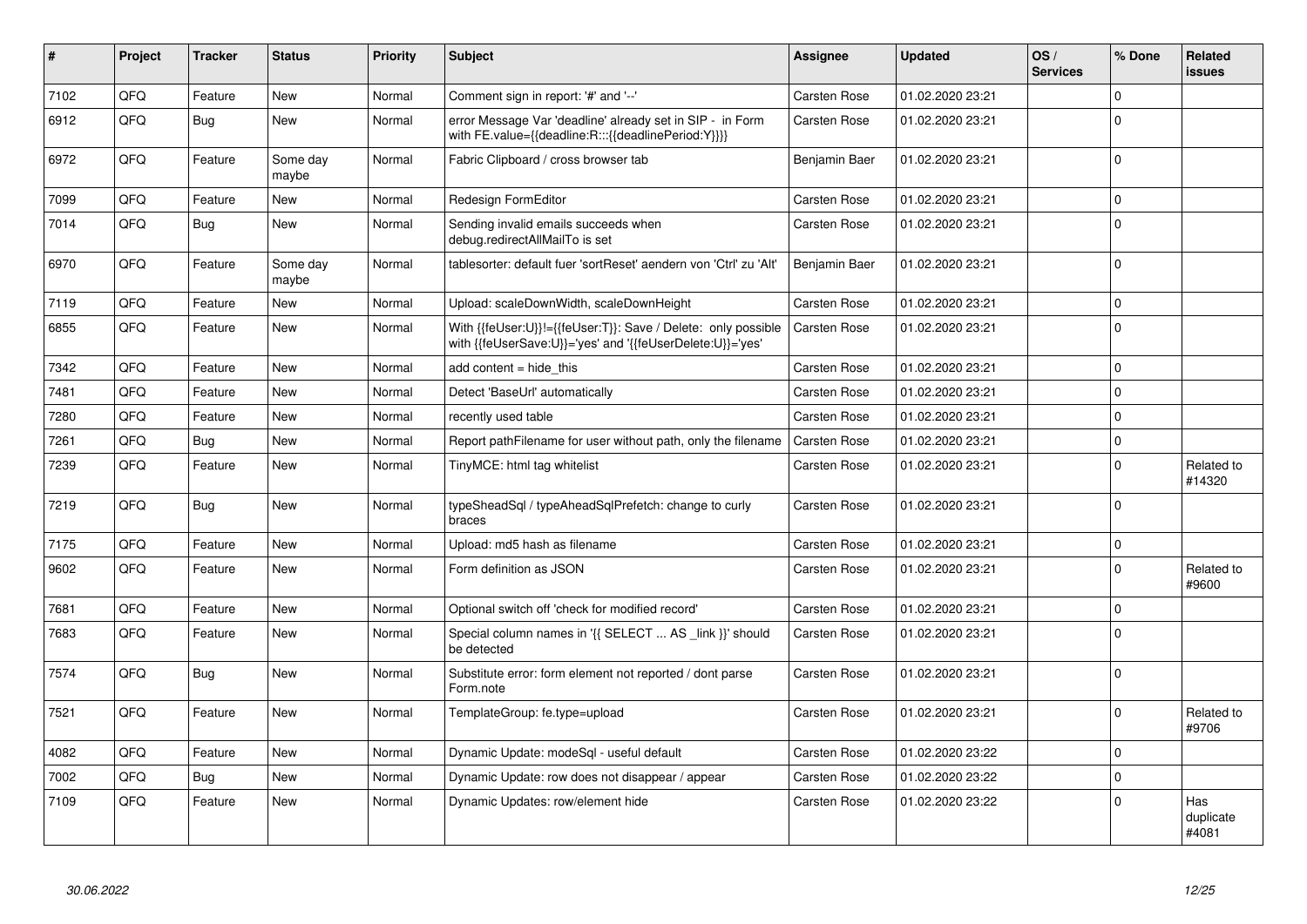| #    | Project | <b>Tracker</b> | <b>Status</b>     | <b>Priority</b> | <b>Subject</b>                                                                                                             | Assignee            | <b>Updated</b>   | OS/<br><b>Services</b> | % Done       | Related<br>issues         |
|------|---------|----------------|-------------------|-----------------|----------------------------------------------------------------------------------------------------------------------------|---------------------|------------------|------------------------|--------------|---------------------------|
| 7102 | QFQ     | Feature        | <b>New</b>        | Normal          | Comment sign in report: '#' and '--'                                                                                       | <b>Carsten Rose</b> | 01.02.2020 23:21 |                        | $\mathbf 0$  |                           |
| 6912 | QFQ     | <b>Bug</b>     | <b>New</b>        | Normal          | error Message Var 'deadline' already set in SIP - in Form<br>with FE.value={{deadline:R:::{{deadlinePeriod:Y}}}}           | Carsten Rose        | 01.02.2020 23:21 |                        | $\Omega$     |                           |
| 6972 | QFQ     | Feature        | Some day<br>maybe | Normal          | Fabric Clipboard / cross browser tab                                                                                       | Benjamin Baer       | 01.02.2020 23:21 |                        | $\mathbf 0$  |                           |
| 7099 | QFQ     | Feature        | <b>New</b>        | Normal          | Redesign FormEditor                                                                                                        | Carsten Rose        | 01.02.2020 23:21 |                        | $\mathbf{0}$ |                           |
| 7014 | QFQ     | Bug            | <b>New</b>        | Normal          | Sending invalid emails succeeds when<br>debug.redirectAllMailTo is set                                                     | <b>Carsten Rose</b> | 01.02.2020 23:21 |                        | $\Omega$     |                           |
| 6970 | QFQ     | Feature        | Some day<br>maybe | Normal          | tablesorter: default fuer 'sortReset' aendern von 'Ctrl' zu 'Alt'                                                          | Benjamin Baer       | 01.02.2020 23:21 |                        | $\Omega$     |                           |
| 7119 | QFQ     | Feature        | <b>New</b>        | Normal          | Upload: scaleDownWidth, scaleDownHeight                                                                                    | Carsten Rose        | 01.02.2020 23:21 |                        | $\Omega$     |                           |
| 6855 | QFQ     | Feature        | <b>New</b>        | Normal          | With {{feUser:U}}!={{feUser:T}}: Save / Delete: only possible<br>with {{feUserSave:U}}='yes' and '{{feUserDelete:U}}='yes' | <b>Carsten Rose</b> | 01.02.2020 23:21 |                        | $\mathbf 0$  |                           |
| 7342 | QFQ     | Feature        | <b>New</b>        | Normal          | add content $=$ hide this                                                                                                  | <b>Carsten Rose</b> | 01.02.2020 23:21 |                        | $\mathbf 0$  |                           |
| 7481 | QFQ     | Feature        | <b>New</b>        | Normal          | Detect 'BaseUrl' automatically                                                                                             | <b>Carsten Rose</b> | 01.02.2020 23:21 |                        | $\mathbf 0$  |                           |
| 7280 | QFQ     | Feature        | <b>New</b>        | Normal          | recently used table                                                                                                        | Carsten Rose        | 01.02.2020 23:21 |                        | $\Omega$     |                           |
| 7261 | QFQ     | <b>Bug</b>     | New               | Normal          | Report pathFilename for user without path, only the filename                                                               | Carsten Rose        | 01.02.2020 23:21 |                        | $\mathbf 0$  |                           |
| 7239 | QFQ     | Feature        | <b>New</b>        | Normal          | TinyMCE: html tag whitelist                                                                                                | Carsten Rose        | 01.02.2020 23:21 |                        | $\Omega$     | Related to<br>#14320      |
| 7219 | QFQ     | Bug            | <b>New</b>        | Normal          | typeSheadSql / typeAheadSqlPrefetch: change to curly<br>braces                                                             | Carsten Rose        | 01.02.2020 23:21 |                        | $\Omega$     |                           |
| 7175 | QFQ     | Feature        | <b>New</b>        | Normal          | Upload: md5 hash as filename                                                                                               | <b>Carsten Rose</b> | 01.02.2020 23:21 |                        | 0            |                           |
| 9602 | QFQ     | Feature        | <b>New</b>        | Normal          | Form definition as JSON                                                                                                    | <b>Carsten Rose</b> | 01.02.2020 23:21 |                        | $\Omega$     | Related to<br>#9600       |
| 7681 | QFQ     | Feature        | <b>New</b>        | Normal          | Optional switch off 'check for modified record'                                                                            | <b>Carsten Rose</b> | 01.02.2020 23:21 |                        | $\mathbf 0$  |                           |
| 7683 | QFQ     | Feature        | <b>New</b>        | Normal          | Special column names in '{{ SELECT  AS _link }}' should<br>be detected                                                     | Carsten Rose        | 01.02.2020 23:21 |                        | $\mathbf 0$  |                           |
| 7574 | QFQ     | Bug            | <b>New</b>        | Normal          | Substitute error: form element not reported / dont parse<br>Form.note                                                      | Carsten Rose        | 01.02.2020 23:21 |                        | 0            |                           |
| 7521 | QFQ     | Feature        | <b>New</b>        | Normal          | TemplateGroup: fe.type=upload                                                                                              | <b>Carsten Rose</b> | 01.02.2020 23:21 |                        | $\mathbf 0$  | Related to<br>#9706       |
| 4082 | QFQ     | Feature        | <b>New</b>        | Normal          | Dynamic Update: modeSql - useful default                                                                                   | Carsten Rose        | 01.02.2020 23:22 |                        | $\mathbf 0$  |                           |
| 7002 | QFQ     | Bug            | <b>New</b>        | Normal          | Dynamic Update: row does not disappear / appear                                                                            | <b>Carsten Rose</b> | 01.02.2020 23:22 |                        | $\mathbf 0$  |                           |
| 7109 | QFQ     | Feature        | <b>New</b>        | Normal          | Dynamic Updates: row/element hide                                                                                          | Carsten Rose        | 01.02.2020 23:22 |                        | $\Omega$     | Has<br>duplicate<br>#4081 |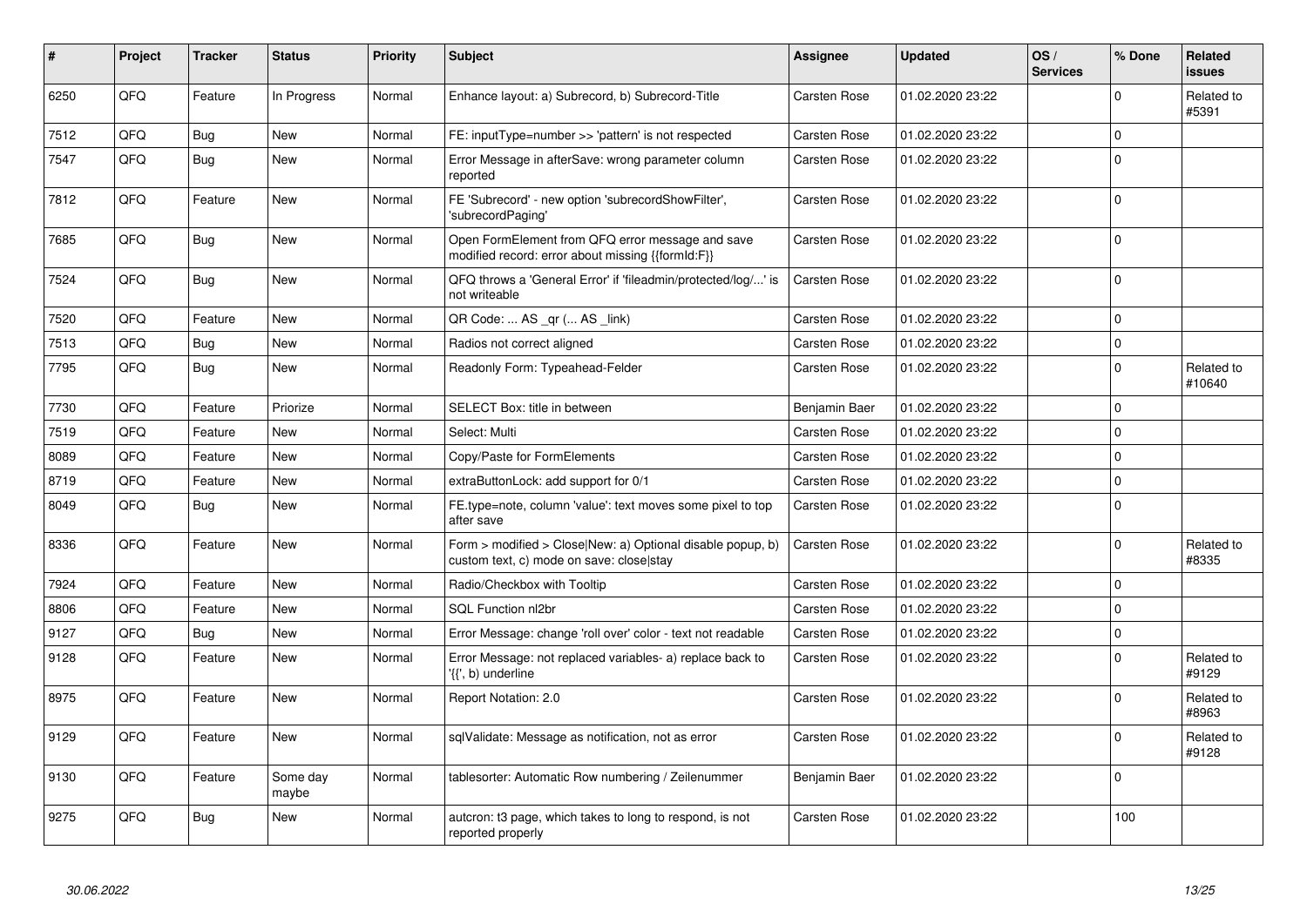| #    | Project | <b>Tracker</b> | <b>Status</b>     | <b>Priority</b> | <b>Subject</b>                                                                                         | Assignee            | <b>Updated</b>   | OS/<br><b>Services</b> | % Done       | <b>Related</b><br>issues |
|------|---------|----------------|-------------------|-----------------|--------------------------------------------------------------------------------------------------------|---------------------|------------------|------------------------|--------------|--------------------------|
| 6250 | QFQ     | Feature        | In Progress       | Normal          | Enhance layout: a) Subrecord, b) Subrecord-Title                                                       | <b>Carsten Rose</b> | 01.02.2020 23:22 |                        | $\mathbf 0$  | Related to<br>#5391      |
| 7512 | QFQ     | Bug            | <b>New</b>        | Normal          | FE: inputType=number >> 'pattern' is not respected                                                     | <b>Carsten Rose</b> | 01.02.2020 23:22 |                        | $\mathbf{0}$ |                          |
| 7547 | QFQ     | <b>Bug</b>     | <b>New</b>        | Normal          | Error Message in afterSave: wrong parameter column<br>reported                                         | <b>Carsten Rose</b> | 01.02.2020 23:22 |                        | $\Omega$     |                          |
| 7812 | QFQ     | Feature        | <b>New</b>        | Normal          | FE 'Subrecord' - new option 'subrecordShowFilter',<br>'subrecordPaging'                                | Carsten Rose        | 01.02.2020 23:22 |                        | $\mathbf 0$  |                          |
| 7685 | QFQ     | <b>Bug</b>     | <b>New</b>        | Normal          | Open FormElement from QFQ error message and save<br>modified record: error about missing {{formId:F}}  | Carsten Rose        | 01.02.2020 23:22 |                        | $\Omega$     |                          |
| 7524 | QFQ     | Bug            | New               | Normal          | QFQ throws a 'General Error' if 'fileadmin/protected/log/' is<br>not writeable                         | Carsten Rose        | 01.02.2020 23:22 |                        | $\Omega$     |                          |
| 7520 | QFQ     | Feature        | New               | Normal          | QR Code:  AS _qr ( AS _link)                                                                           | Carsten Rose        | 01.02.2020 23:22 |                        | $\mathbf 0$  |                          |
| 7513 | QFQ     | Bug            | <b>New</b>        | Normal          | Radios not correct aligned                                                                             | <b>Carsten Rose</b> | 01.02.2020 23:22 |                        | $\mathbf 0$  |                          |
| 7795 | QFQ     | Bug            | New               | Normal          | Readonly Form: Typeahead-Felder                                                                        | Carsten Rose        | 01.02.2020 23:22 |                        | $\mathbf 0$  | Related to<br>#10640     |
| 7730 | QFQ     | Feature        | Priorize          | Normal          | SELECT Box: title in between                                                                           | Benjamin Baer       | 01.02.2020 23:22 |                        | 0            |                          |
| 7519 | QFQ     | Feature        | New               | Normal          | Select: Multi                                                                                          | Carsten Rose        | 01.02.2020 23:22 |                        | $\mathbf 0$  |                          |
| 8089 | QFQ     | Feature        | <b>New</b>        | Normal          | Copy/Paste for FormElements                                                                            | <b>Carsten Rose</b> | 01.02.2020 23:22 |                        | 0            |                          |
| 8719 | QFQ     | Feature        | <b>New</b>        | Normal          | extraButtonLock: add support for 0/1                                                                   | <b>Carsten Rose</b> | 01.02.2020 23:22 |                        | $\mathbf 0$  |                          |
| 8049 | QFQ     | <b>Bug</b>     | <b>New</b>        | Normal          | FE.type=note, column 'value': text moves some pixel to top<br>after save                               | <b>Carsten Rose</b> | 01.02.2020 23:22 |                        | 0            |                          |
| 8336 | QFQ     | Feature        | New               | Normal          | Form > modified > Close New: a) Optional disable popup, b)<br>custom text, c) mode on save: close stay | <b>Carsten Rose</b> | 01.02.2020 23:22 |                        | $\mathbf 0$  | Related to<br>#8335      |
| 7924 | QFQ     | Feature        | <b>New</b>        | Normal          | Radio/Checkbox with Tooltip                                                                            | <b>Carsten Rose</b> | 01.02.2020 23:22 |                        | 0            |                          |
| 8806 | QFQ     | Feature        | <b>New</b>        | Normal          | SQL Function nl2br                                                                                     | <b>Carsten Rose</b> | 01.02.2020 23:22 |                        | $\Omega$     |                          |
| 9127 | QFQ     | Bug            | New               | Normal          | Error Message: change 'roll over' color - text not readable                                            | <b>Carsten Rose</b> | 01.02.2020 23:22 |                        | $\mathbf 0$  |                          |
| 9128 | QFQ     | Feature        | New               | Normal          | Error Message: not replaced variables- a) replace back to<br>'{{', b) underline                        | Carsten Rose        | 01.02.2020 23:22 |                        | 0            | Related to<br>#9129      |
| 8975 | QFQ     | Feature        | New               | Normal          | Report Notation: 2.0                                                                                   | Carsten Rose        | 01.02.2020 23:22 |                        | $\mathbf 0$  | Related to<br>#8963      |
| 9129 | QFQ     | Feature        | <b>New</b>        | Normal          | sqlValidate: Message as notification, not as error                                                     | Carsten Rose        | 01.02.2020 23:22 |                        | $\mathbf 0$  | Related to<br>#9128      |
| 9130 | QFQ     | Feature        | Some day<br>maybe | Normal          | tablesorter: Automatic Row numbering / Zeilenummer                                                     | Benjamin Baer       | 01.02.2020 23:22 |                        | $\mathbf 0$  |                          |
| 9275 | QFQ     | <b>Bug</b>     | <b>New</b>        | Normal          | auteron: t3 page, which takes to long to respond, is not<br>reported properly                          | Carsten Rose        | 01.02.2020 23:22 |                        | 100          |                          |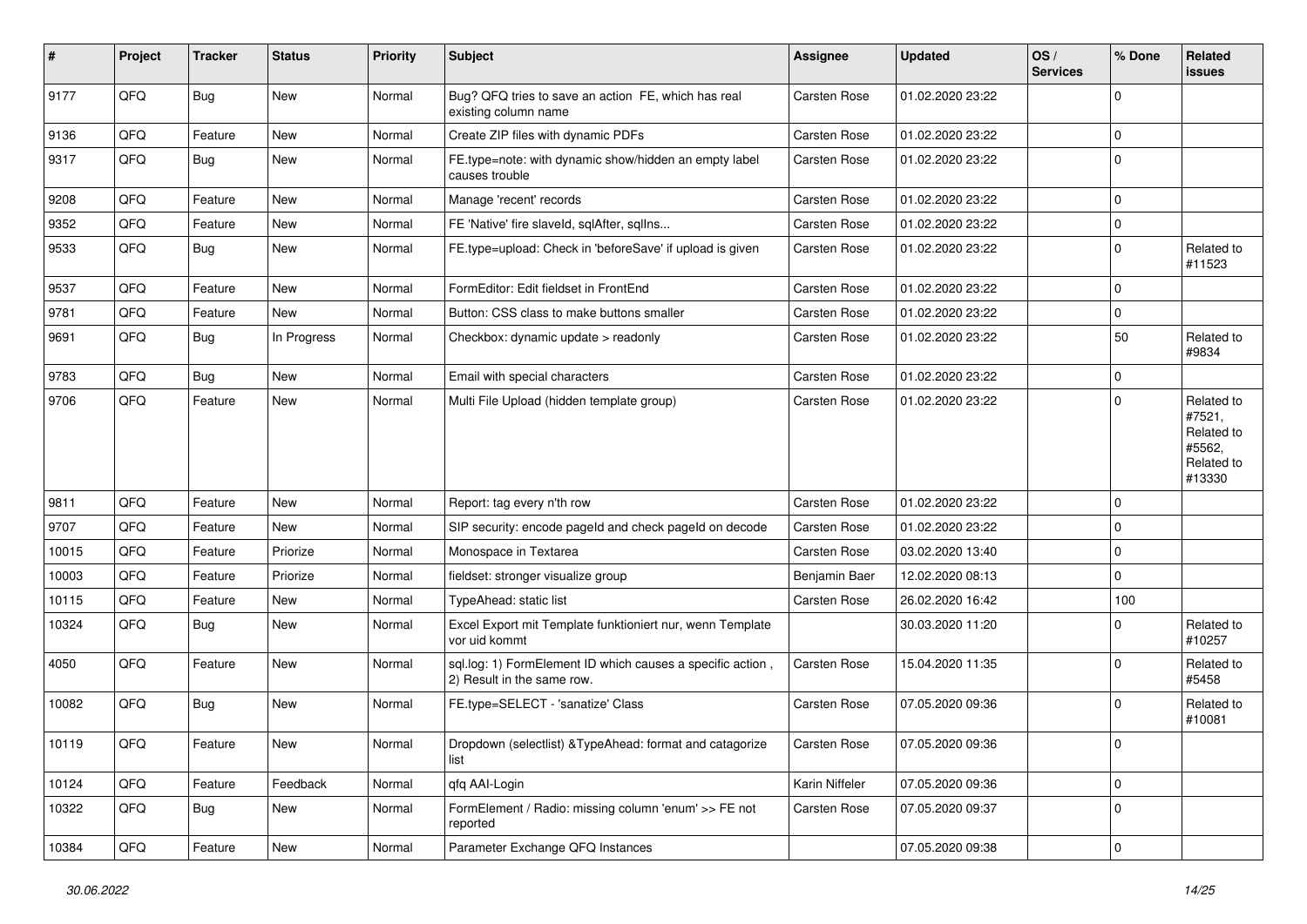| #     | Project    | <b>Tracker</b> | <b>Status</b> | <b>Priority</b> | Subject                                                                                  | <b>Assignee</b>     | <b>Updated</b>   | OS/<br><b>Services</b> | % Done      | Related<br>issues                                                    |
|-------|------------|----------------|---------------|-----------------|------------------------------------------------------------------------------------------|---------------------|------------------|------------------------|-------------|----------------------------------------------------------------------|
| 9177  | QFQ        | Bug            | <b>New</b>    | Normal          | Bug? QFQ tries to save an action FE, which has real<br>existing column name              | Carsten Rose        | 01.02.2020 23:22 |                        | $\Omega$    |                                                                      |
| 9136  | QFQ        | Feature        | New           | Normal          | Create ZIP files with dynamic PDFs                                                       | <b>Carsten Rose</b> | 01.02.2020 23:22 |                        | 0           |                                                                      |
| 9317  | QFQ        | Bug            | <b>New</b>    | Normal          | FE.type=note: with dynamic show/hidden an empty label<br>causes trouble                  | <b>Carsten Rose</b> | 01.02.2020 23:22 |                        | $\Omega$    |                                                                      |
| 9208  | QFQ        | Feature        | <b>New</b>    | Normal          | Manage 'recent' records                                                                  | Carsten Rose        | 01.02.2020 23:22 |                        | 0 I         |                                                                      |
| 9352  | QFQ        | Feature        | New           | Normal          | FE 'Native' fire slaveld, sqlAfter, sqlIns                                               | Carsten Rose        | 01.02.2020 23:22 |                        | $\Omega$    |                                                                      |
| 9533  | QFQ        | Bug            | New           | Normal          | FE.type=upload: Check in 'beforeSave' if upload is given                                 | Carsten Rose        | 01.02.2020 23:22 |                        | $\Omega$    | Related to<br>#11523                                                 |
| 9537  | QFQ        | Feature        | <b>New</b>    | Normal          | FormEditor: Edit fieldset in FrontEnd                                                    | Carsten Rose        | 01.02.2020 23:22 |                        | $\mathbf 0$ |                                                                      |
| 9781  | QFQ        | Feature        | New           | Normal          | Button: CSS class to make buttons smaller                                                | Carsten Rose        | 01.02.2020 23:22 |                        | $\mathbf 0$ |                                                                      |
| 9691  | QFQ        | Bug            | In Progress   | Normal          | Checkbox: dynamic update > readonly                                                      | <b>Carsten Rose</b> | 01.02.2020 23:22 |                        | 50          | Related to<br>#9834                                                  |
| 9783  | QFQ        | Bug            | <b>New</b>    | Normal          | Email with special characters                                                            | Carsten Rose        | 01.02.2020 23:22 |                        | $\mathbf 0$ |                                                                      |
| 9706  | QFQ        | Feature        | <b>New</b>    | Normal          | Multi File Upload (hidden template group)                                                | Carsten Rose        | 01.02.2020 23:22 |                        | $\Omega$    | Related to<br>#7521,<br>Related to<br>#5562,<br>Related to<br>#13330 |
| 9811  | QFQ        | Feature        | <b>New</b>    | Normal          | Report: tag every n'th row                                                               | <b>Carsten Rose</b> | 01.02.2020 23:22 |                        | $\Omega$    |                                                                      |
| 9707  | QFQ        | Feature        | New           | Normal          | SIP security: encode pageId and check pageId on decode                                   | <b>Carsten Rose</b> | 01.02.2020 23:22 |                        | $\mathbf 0$ |                                                                      |
| 10015 | QFQ        | Feature        | Priorize      | Normal          | Monospace in Textarea                                                                    | <b>Carsten Rose</b> | 03.02.2020 13:40 |                        | $\Omega$    |                                                                      |
| 10003 | QFQ        | Feature        | Priorize      | Normal          | fieldset: stronger visualize group                                                       | Benjamin Baer       | 12.02.2020 08:13 |                        | $\Omega$    |                                                                      |
| 10115 | QFQ        | Feature        | New           | Normal          | TypeAhead: static list                                                                   | Carsten Rose        | 26.02.2020 16:42 |                        | 100         |                                                                      |
| 10324 | QFQ        | <b>Bug</b>     | New           | Normal          | Excel Export mit Template funktioniert nur, wenn Template<br>vor uid kommt               |                     | 30.03.2020 11:20 |                        | $\Omega$    | Related to<br>#10257                                                 |
| 4050  | QFQ        | Feature        | <b>New</b>    | Normal          | sql.log: 1) FormElement ID which causes a specific action,<br>2) Result in the same row. | <b>Carsten Rose</b> | 15.04.2020 11:35 |                        | $\Omega$    | Related to<br>#5458                                                  |
| 10082 | QFQ        | Bug            | New           | Normal          | FE.type=SELECT - 'sanatize' Class                                                        | <b>Carsten Rose</b> | 07.05.2020 09:36 |                        | $\Omega$    | Related to<br>#10081                                                 |
| 10119 | <b>QFQ</b> | Feature        | New           | Normal          | Dropdown (selectlist) & TypeAhead: format and catagorize<br>list                         | <b>Carsten Rose</b> | 07.05.2020 09:36 |                        | 0           |                                                                      |
| 10124 | QFQ        | Feature        | Feedback      | Normal          | qfq AAI-Login                                                                            | Karin Niffeler      | 07.05.2020 09:36 |                        | 0           |                                                                      |
| 10322 | QFQ        | <b>Bug</b>     | New           | Normal          | FormElement / Radio: missing column 'enum' >> FE not<br>reported                         | Carsten Rose        | 07.05.2020 09:37 |                        | $\mathbf 0$ |                                                                      |
| 10384 | QFQ        | Feature        | New           | Normal          | Parameter Exchange QFQ Instances                                                         |                     | 07.05.2020 09:38 |                        | 0           |                                                                      |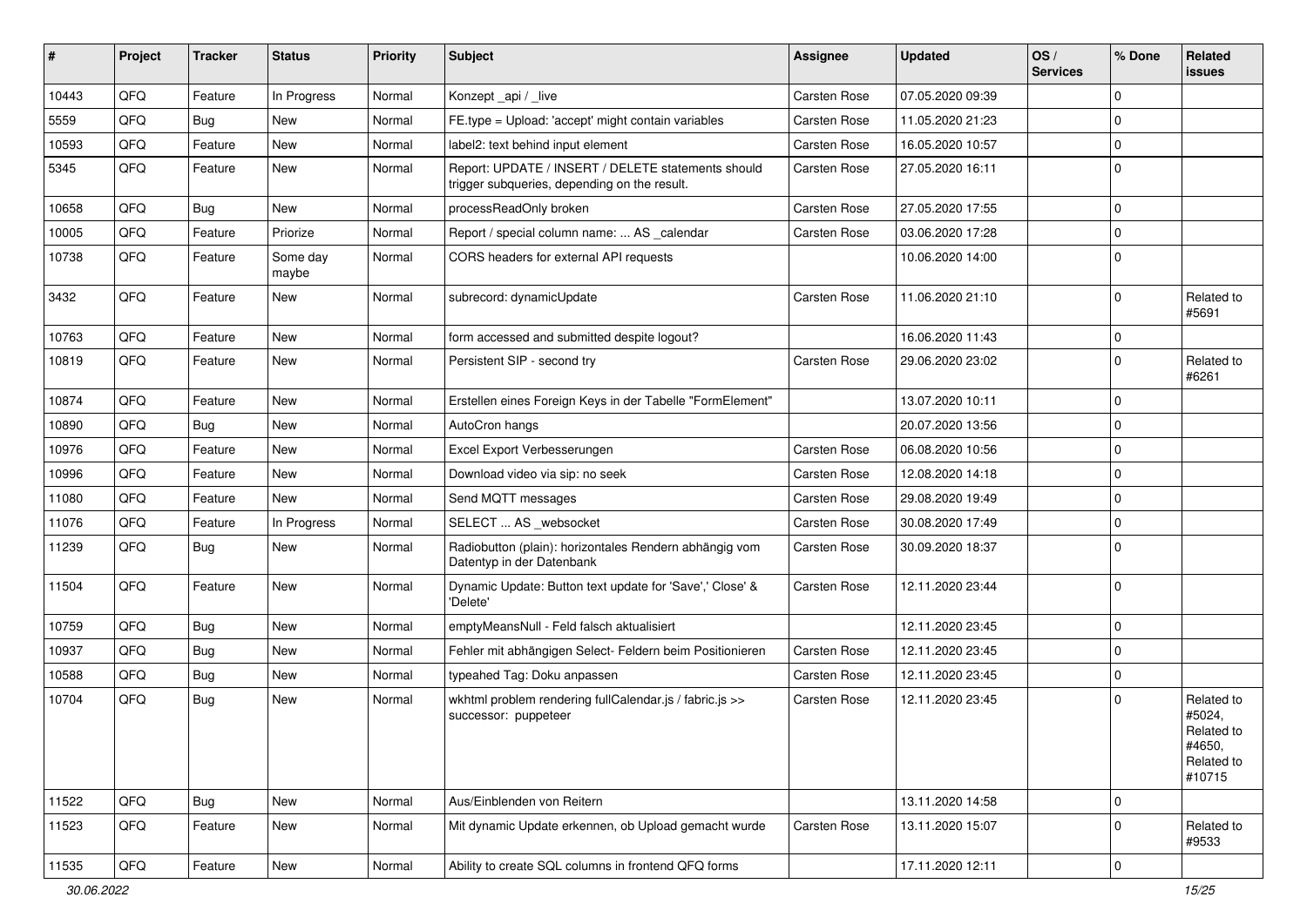| #     | Project | <b>Tracker</b> | <b>Status</b>     | <b>Priority</b> | <b>Subject</b>                                                                                     | <b>Assignee</b>     | <b>Updated</b>   | OS/<br><b>Services</b> | % Done      | Related<br>issues                                                    |
|-------|---------|----------------|-------------------|-----------------|----------------------------------------------------------------------------------------------------|---------------------|------------------|------------------------|-------------|----------------------------------------------------------------------|
| 10443 | QFQ     | Feature        | In Progress       | Normal          | Konzept_api / _live                                                                                | <b>Carsten Rose</b> | 07.05.2020 09:39 |                        | $\mathbf 0$ |                                                                      |
| 5559  | QFQ     | Bug            | New               | Normal          | FE.type = Upload: 'accept' might contain variables                                                 | <b>Carsten Rose</b> | 11.05.2020 21:23 |                        | $\mathbf 0$ |                                                                      |
| 10593 | QFQ     | Feature        | <b>New</b>        | Normal          | label2: text behind input element                                                                  | <b>Carsten Rose</b> | 16.05.2020 10:57 |                        | 0           |                                                                      |
| 5345  | QFQ     | Feature        | <b>New</b>        | Normal          | Report: UPDATE / INSERT / DELETE statements should<br>trigger subqueries, depending on the result. | Carsten Rose        | 27.05.2020 16:11 |                        | $\mathbf 0$ |                                                                      |
| 10658 | QFQ     | Bug            | <b>New</b>        | Normal          | processReadOnly broken                                                                             | <b>Carsten Rose</b> | 27.05.2020 17:55 |                        | 0           |                                                                      |
| 10005 | QFQ     | Feature        | Priorize          | Normal          | Report / special column name:  AS _calendar                                                        | <b>Carsten Rose</b> | 03.06.2020 17:28 |                        | 0           |                                                                      |
| 10738 | QFQ     | Feature        | Some day<br>maybe | Normal          | CORS headers for external API requests                                                             |                     | 10.06.2020 14:00 |                        | $\mathbf 0$ |                                                                      |
| 3432  | QFQ     | Feature        | New               | Normal          | subrecord: dynamicUpdate                                                                           | <b>Carsten Rose</b> | 11.06.2020 21:10 |                        | $\mathbf 0$ | Related to<br>#5691                                                  |
| 10763 | QFQ     | Feature        | <b>New</b>        | Normal          | form accessed and submitted despite logout?                                                        |                     | 16.06.2020 11:43 |                        | 0           |                                                                      |
| 10819 | QFQ     | Feature        | <b>New</b>        | Normal          | Persistent SIP - second try                                                                        | Carsten Rose        | 29.06.2020 23:02 |                        | 0           | Related to<br>#6261                                                  |
| 10874 | QFQ     | Feature        | <b>New</b>        | Normal          | Erstellen eines Foreign Keys in der Tabelle "FormElement"                                          |                     | 13.07.2020 10:11 |                        | $\mathbf 0$ |                                                                      |
| 10890 | QFQ     | Bug            | New               | Normal          | AutoCron hangs                                                                                     |                     | 20.07.2020 13:56 |                        | $\mathbf 0$ |                                                                      |
| 10976 | QFQ     | Feature        | <b>New</b>        | Normal          | Excel Export Verbesserungen                                                                        | <b>Carsten Rose</b> | 06.08.2020 10:56 |                        | 0           |                                                                      |
| 10996 | QFQ     | Feature        | New               | Normal          | Download video via sip: no seek                                                                    | <b>Carsten Rose</b> | 12.08.2020 14:18 |                        | 0           |                                                                      |
| 11080 | QFQ     | Feature        | New               | Normal          | Send MQTT messages                                                                                 | Carsten Rose        | 29.08.2020 19:49 |                        | 0           |                                                                      |
| 11076 | QFQ     | Feature        | In Progress       | Normal          | SELECT  AS _websocket                                                                              | <b>Carsten Rose</b> | 30.08.2020 17:49 |                        | $\mathbf 0$ |                                                                      |
| 11239 | QFQ     | Bug            | New               | Normal          | Radiobutton (plain): horizontales Rendern abhängig vom<br>Datentyp in der Datenbank                | Carsten Rose        | 30.09.2020 18:37 |                        | $\mathbf 0$ |                                                                      |
| 11504 | QFQ     | Feature        | New               | Normal          | Dynamic Update: Button text update for 'Save',' Close' &<br>'Delete'                               | Carsten Rose        | 12.11.2020 23:44 |                        | $\mathbf 0$ |                                                                      |
| 10759 | QFQ     | Bug            | <b>New</b>        | Normal          | emptyMeansNull - Feld falsch aktualisiert                                                          |                     | 12.11.2020 23:45 |                        | $\mathbf 0$ |                                                                      |
| 10937 | QFQ     | Bug            | <b>New</b>        | Normal          | Fehler mit abhängigen Select- Feldern beim Positionieren                                           | <b>Carsten Rose</b> | 12.11.2020 23:45 |                        | $\mathbf 0$ |                                                                      |
| 10588 | QFQ     | <b>Bug</b>     | <b>New</b>        | Normal          | typeahed Tag: Doku anpassen                                                                        | <b>Carsten Rose</b> | 12.11.2020 23:45 |                        | $\mathbf 0$ |                                                                      |
| 10704 | QFQ     | Bug            | New               | Normal          | wkhtml problem rendering fullCalendar.js / fabric.js >><br>successor: puppeteer                    | Carsten Rose        | 12.11.2020 23:45 |                        | 0           | Related to<br>#5024,<br>Related to<br>#4650,<br>Related to<br>#10715 |
| 11522 | QFQ     | <b>Bug</b>     | New               | Normal          | Aus/Einblenden von Reitern                                                                         |                     | 13.11.2020 14:58 |                        | 0           |                                                                      |
| 11523 | QFQ     | Feature        | New               | Normal          | Mit dynamic Update erkennen, ob Upload gemacht wurde                                               | Carsten Rose        | 13.11.2020 15:07 |                        | 0           | Related to<br>#9533                                                  |
| 11535 | QFG     | Feature        | New               | Normal          | Ability to create SQL columns in frontend QFQ forms                                                |                     | 17.11.2020 12:11 |                        | $\mathbf 0$ |                                                                      |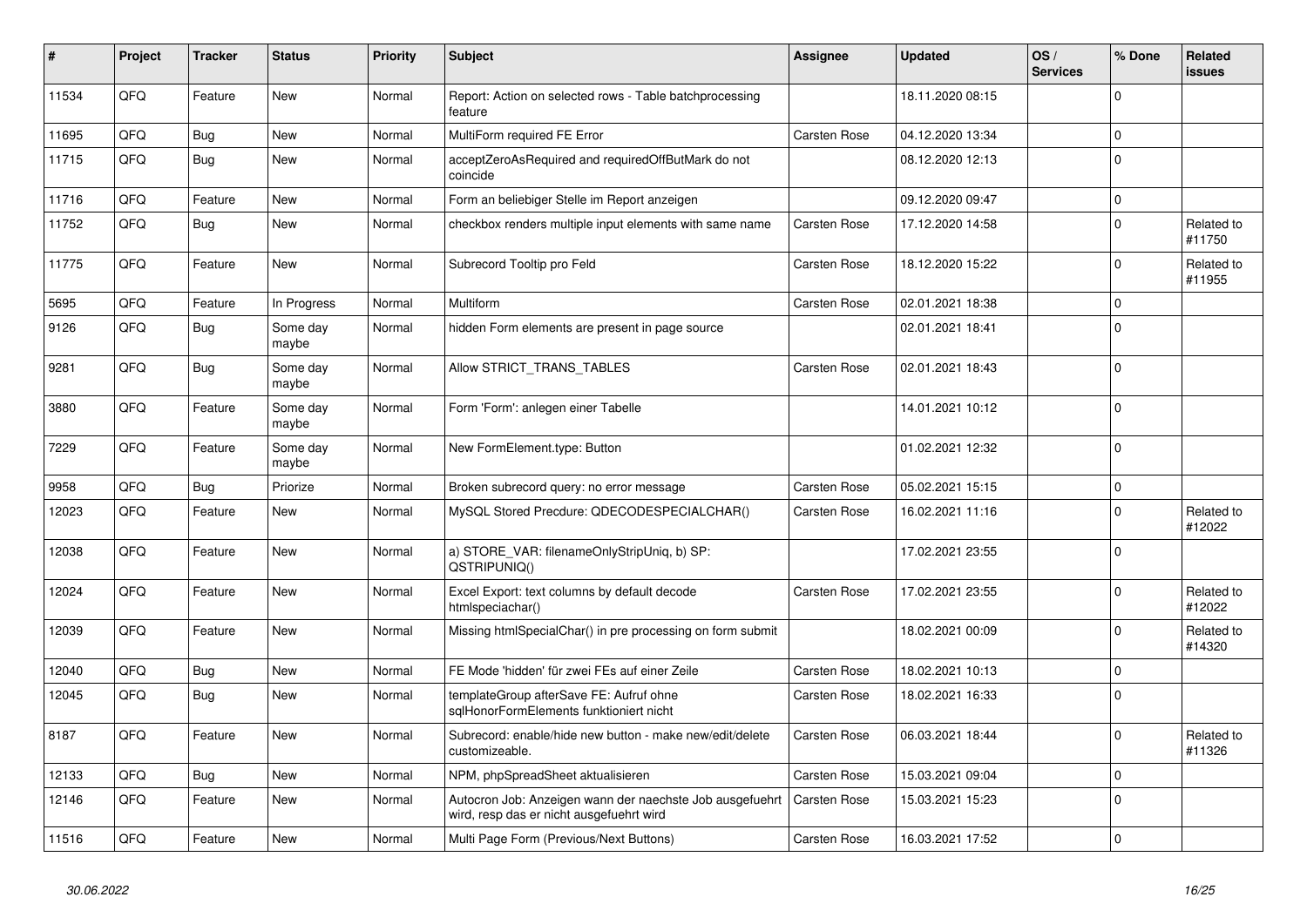| #     | Project | <b>Tracker</b> | <b>Status</b>     | <b>Priority</b> | <b>Subject</b>                                                                                       | Assignee            | <b>Updated</b>   | OS/<br><b>Services</b> | % Done       | Related<br><b>issues</b> |
|-------|---------|----------------|-------------------|-----------------|------------------------------------------------------------------------------------------------------|---------------------|------------------|------------------------|--------------|--------------------------|
| 11534 | QFQ     | Feature        | <b>New</b>        | Normal          | Report: Action on selected rows - Table batchprocessing<br>feature                                   |                     | 18.11.2020 08:15 |                        | $\Omega$     |                          |
| 11695 | QFQ     | Bug            | <b>New</b>        | Normal          | MultiForm required FE Error                                                                          | <b>Carsten Rose</b> | 04.12.2020 13:34 |                        | $\Omega$     |                          |
| 11715 | QFQ     | Bug            | <b>New</b>        | Normal          | acceptZeroAsRequired and requiredOffButMark do not<br>coincide                                       |                     | 08.12.2020 12:13 |                        | $\Omega$     |                          |
| 11716 | QFQ     | Feature        | <b>New</b>        | Normal          | Form an beliebiger Stelle im Report anzeigen                                                         |                     | 09.12.2020 09:47 |                        | 0            |                          |
| 11752 | QFQ     | <b>Bug</b>     | <b>New</b>        | Normal          | checkbox renders multiple input elements with same name                                              | <b>Carsten Rose</b> | 17.12.2020 14:58 |                        | $\Omega$     | Related to<br>#11750     |
| 11775 | QFQ     | Feature        | <b>New</b>        | Normal          | Subrecord Tooltip pro Feld                                                                           | Carsten Rose        | 18.12.2020 15:22 |                        | 0            | Related to<br>#11955     |
| 5695  | QFQ     | Feature        | In Progress       | Normal          | Multiform                                                                                            | Carsten Rose        | 02.01.2021 18:38 |                        | 0            |                          |
| 9126  | QFQ     | Bug            | Some day<br>maybe | Normal          | hidden Form elements are present in page source                                                      |                     | 02.01.2021 18:41 |                        | $\Omega$     |                          |
| 9281  | QFQ     | Bug            | Some day<br>maybe | Normal          | Allow STRICT_TRANS_TABLES                                                                            | <b>Carsten Rose</b> | 02.01.2021 18:43 |                        | $\Omega$     |                          |
| 3880  | QFQ     | Feature        | Some day<br>maybe | Normal          | Form 'Form': anlegen einer Tabelle                                                                   |                     | 14.01.2021 10:12 |                        | 0            |                          |
| 7229  | QFQ     | Feature        | Some day<br>maybe | Normal          | New FormElement.type: Button                                                                         |                     | 01.02.2021 12:32 |                        | $\Omega$     |                          |
| 9958  | QFQ     | Bug            | Priorize          | Normal          | Broken subrecord query: no error message                                                             | <b>Carsten Rose</b> | 05.02.2021 15:15 |                        | $\Omega$     |                          |
| 12023 | QFQ     | Feature        | <b>New</b>        | Normal          | MySQL Stored Precdure: QDECODESPECIALCHAR()                                                          | Carsten Rose        | 16.02.2021 11:16 |                        | $\Omega$     | Related to<br>#12022     |
| 12038 | QFQ     | Feature        | <b>New</b>        | Normal          | a) STORE VAR: filenameOnlyStripUniq, b) SP:<br>QSTRIPUNIQ()                                          |                     | 17.02.2021 23:55 |                        | $\Omega$     |                          |
| 12024 | QFQ     | Feature        | New               | Normal          | Excel Export: text columns by default decode<br>htmlspeciachar()                                     | Carsten Rose        | 17.02.2021 23:55 |                        | $\Omega$     | Related to<br>#12022     |
| 12039 | QFQ     | Feature        | <b>New</b>        | Normal          | Missing htmlSpecialChar() in pre processing on form submit                                           |                     | 18.02.2021 00:09 |                        | 0            | Related to<br>#14320     |
| 12040 | QFQ     | Bug            | <b>New</b>        | Normal          | FE Mode 'hidden' für zwei FEs auf einer Zeile                                                        | <b>Carsten Rose</b> | 18.02.2021 10:13 |                        | $\Omega$     |                          |
| 12045 | QFQ     | Bug            | <b>New</b>        | Normal          | templateGroup afterSave FE: Aufruf ohne<br>sglHonorFormElements funktioniert nicht                   | Carsten Rose        | 18.02.2021 16:33 |                        | $\Omega$     |                          |
| 8187  | QFQ     | Feature        | <b>New</b>        | Normal          | Subrecord: enable/hide new button - make new/edit/delete<br>customizeable.                           | <b>Carsten Rose</b> | 06.03.2021 18:44 |                        | <sup>0</sup> | Related to<br>#11326     |
| 12133 | QFQ     | <b>Bug</b>     | <b>New</b>        | Normal          | NPM, phpSpreadSheet aktualisieren                                                                    | Carsten Rose        | 15.03.2021 09:04 |                        | $\Omega$     |                          |
| 12146 | QFQ     | Feature        | New               | Normal          | Autocron Job: Anzeigen wann der naechste Job ausgefuehrt<br>wird, resp das er nicht ausgefuehrt wird | <b>Carsten Rose</b> | 15.03.2021 15:23 |                        | $\Omega$     |                          |
| 11516 | QFQ     | Feature        | New               | Normal          | Multi Page Form (Previous/Next Buttons)                                                              | Carsten Rose        | 16.03.2021 17:52 |                        | $\Omega$     |                          |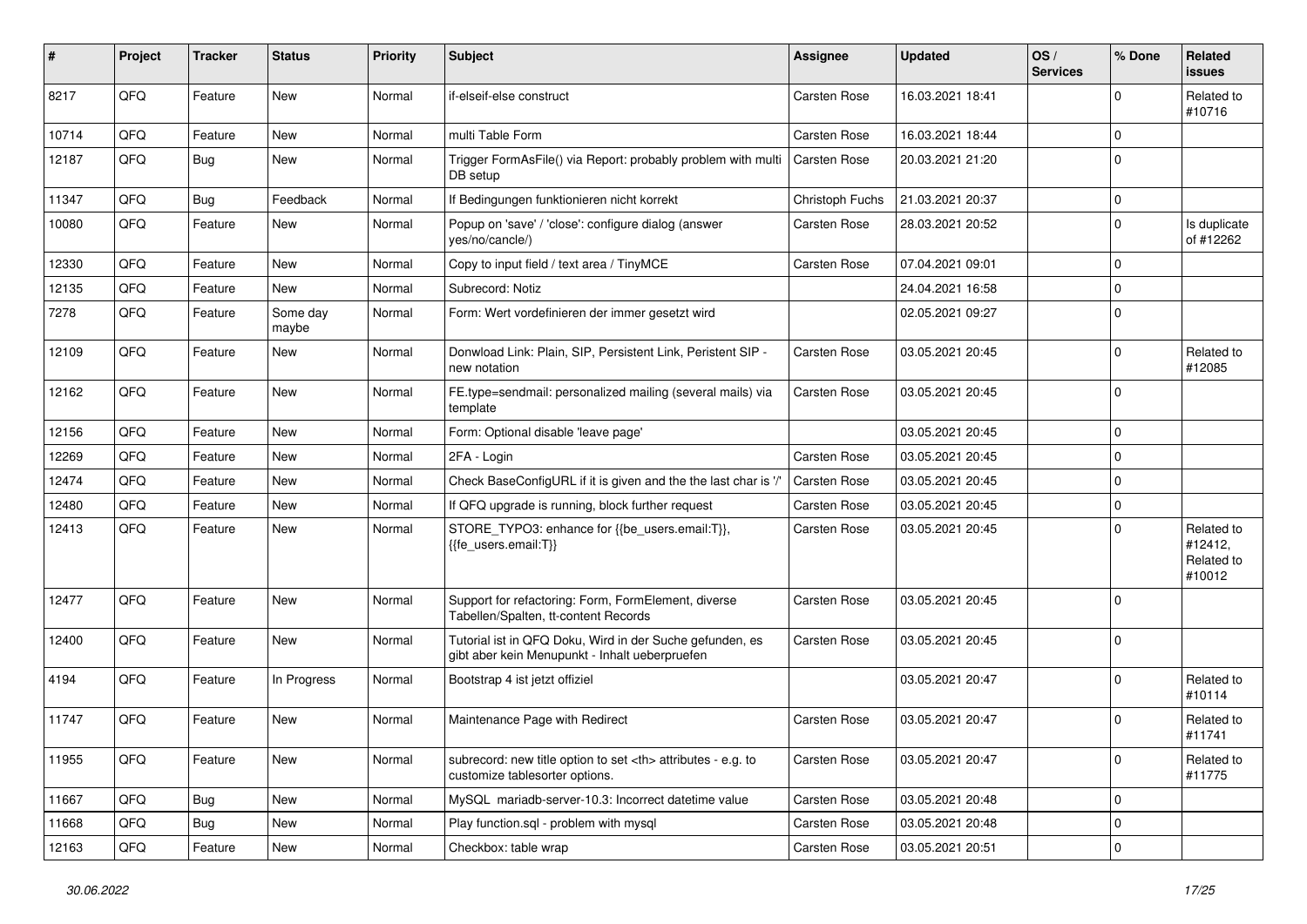| #     | Project | <b>Tracker</b> | <b>Status</b>     | <b>Priority</b> | <b>Subject</b>                                                                                             | <b>Assignee</b>                                        | <b>Updated</b>   | OS/<br><b>Services</b> | % Done      | Related<br>issues                             |                      |
|-------|---------|----------------|-------------------|-----------------|------------------------------------------------------------------------------------------------------------|--------------------------------------------------------|------------------|------------------------|-------------|-----------------------------------------------|----------------------|
| 8217  | QFQ     | Feature        | <b>New</b>        | Normal          | if-elseif-else construct                                                                                   | Carsten Rose                                           | 16.03.2021 18:41 |                        | 0           | Related to<br>#10716                          |                      |
| 10714 | QFQ     | Feature        | New               | Normal          | multi Table Form                                                                                           | <b>Carsten Rose</b>                                    | 16.03.2021 18:44 |                        | $\Omega$    |                                               |                      |
| 12187 | QFQ     | Bug            | New               | Normal          | Trigger FormAsFile() via Report: probably problem with multi<br>DB setup                                   | <b>Carsten Rose</b>                                    | 20.03.2021 21:20 |                        | $\Omega$    |                                               |                      |
| 11347 | QFQ     | Bug            | Feedback          | Normal          | If Bedingungen funktionieren nicht korrekt                                                                 | Christoph Fuchs                                        | 21.03.2021 20:37 |                        | $\Omega$    |                                               |                      |
| 10080 | QFQ     | Feature        | New               | Normal          | Popup on 'save' / 'close': configure dialog (answer<br>yes/no/cancle/)                                     | <b>Carsten Rose</b>                                    | 28.03.2021 20:52 |                        | $\mathbf 0$ | Is duplicate<br>of #12262                     |                      |
| 12330 | QFQ     | Feature        | <b>New</b>        | Normal          | Copy to input field / text area / TinyMCE                                                                  | <b>Carsten Rose</b>                                    | 07.04.2021 09:01 |                        | $\Omega$    |                                               |                      |
| 12135 | QFQ     | Feature        | New               | Normal          | Subrecord: Notiz                                                                                           |                                                        | 24.04.2021 16:58 |                        | $\Omega$    |                                               |                      |
| 7278  | QFQ     | Feature        | Some day<br>maybe | Normal          | Form: Wert vordefinieren der immer gesetzt wird                                                            |                                                        | 02.05.2021 09:27 |                        | $\Omega$    |                                               |                      |
| 12109 | QFQ     | Feature        | New               | Normal          | Donwload Link: Plain, SIP, Persistent Link, Peristent SIP -<br>new notation                                | <b>Carsten Rose</b>                                    | 03.05.2021 20:45 |                        | 0           | Related to<br>#12085                          |                      |
| 12162 | QFQ     | Feature        | <b>New</b>        | Normal          | FE.type=sendmail: personalized mailing (several mails) via<br>template                                     | <b>Carsten Rose</b>                                    | 03.05.2021 20:45 |                        | $\Omega$    |                                               |                      |
| 12156 | QFQ     | Feature        | New               | Normal          | Form: Optional disable 'leave page'                                                                        |                                                        | 03.05.2021 20:45 |                        | 0           |                                               |                      |
| 12269 | QFQ     | Feature        | <b>New</b>        | Normal          | 2FA - Login                                                                                                | <b>Carsten Rose</b>                                    | 03.05.2021 20:45 |                        | $\mathbf 0$ |                                               |                      |
| 12474 | QFQ     | Feature        | New               | Normal          | Check BaseConfigURL if it is given and the the last char is '/                                             | <b>Carsten Rose</b>                                    | 03.05.2021 20:45 |                        | $\Omega$    |                                               |                      |
| 12480 | QFQ     | Feature        | New               | Normal          | If QFQ upgrade is running, block further request                                                           | Carsten Rose                                           | 03.05.2021 20:45 |                        | 0           |                                               |                      |
| 12413 | QFQ     | Feature        | New               | Normal          | STORE_TYPO3: enhance for {{be_users.email:T}},<br>{{fe users.email:T}}                                     | <b>Carsten Rose</b>                                    | 03.05.2021 20:45 |                        | 0           | Related to<br>#12412,<br>Related to<br>#10012 |                      |
| 12477 | QFQ     | Feature        | New               | Normal          | Support for refactoring: Form, FormElement, diverse<br>Tabellen/Spalten, tt-content Records                | <b>Carsten Rose</b>                                    | 03.05.2021 20:45 |                        | $\mathbf 0$ |                                               |                      |
| 12400 | QFQ     | Feature        | New               | Normal          | Tutorial ist in QFQ Doku, Wird in der Suche gefunden, es<br>gibt aber kein Menupunkt - Inhalt ueberpruefen | <b>Carsten Rose</b>                                    | 03.05.2021 20:45 |                        | $\Omega$    |                                               |                      |
| 4194  | QFQ     | Feature        | In Progress       | Normal          | Bootstrap 4 ist jetzt offiziel                                                                             |                                                        | 03.05.2021 20:47 |                        | $\mathbf 0$ | Related to<br>#10114                          |                      |
| 11747 | QFQ     | Feature        | New               | Normal          | Maintenance Page with Redirect                                                                             | <b>Carsten Rose</b>                                    | 03.05.2021 20:47 |                        | $\Omega$    | Related to<br>#11741                          |                      |
| 11955 | QFQ     | Feature        | New               | Normal          | subrecord: new title option to set <th> attributes - e.g. to<br/>customize tablesorter options.</th>       | attributes - e.g. to<br>customize tablesorter options. | Carsten Rose     | 03.05.2021 20:47       |             | $\Omega$                                      | Related to<br>#11775 |
| 11667 | QFQ     | Bug            | New               | Normal          | MySQL mariadb-server-10.3: Incorrect datetime value                                                        | <b>Carsten Rose</b>                                    | 03.05.2021 20:48 |                        | 0           |                                               |                      |
| 11668 | QFQ     | <b>Bug</b>     | New               | Normal          | Play function.sql - problem with mysql                                                                     | Carsten Rose                                           | 03.05.2021 20:48 |                        | $\mathbf 0$ |                                               |                      |
| 12163 | QFQ     | Feature        | New               | Normal          | Checkbox: table wrap                                                                                       | Carsten Rose                                           | 03.05.2021 20:51 |                        | 0           |                                               |                      |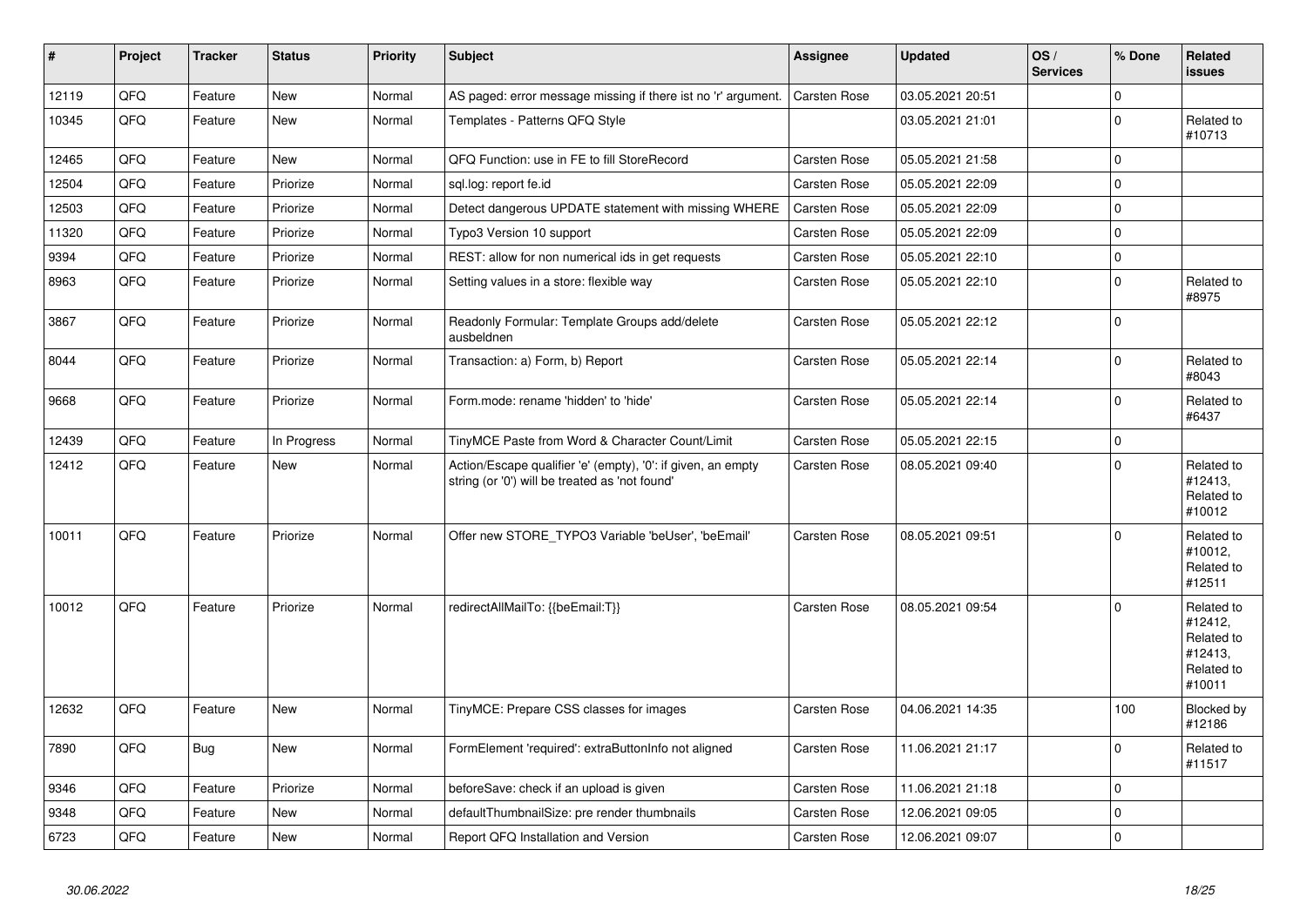| #     | Project | <b>Tracker</b> | <b>Status</b> | <b>Priority</b> | <b>Subject</b>                                                                                                 | <b>Assignee</b>     | <b>Updated</b>   | OS/<br><b>Services</b> | % Done         | Related<br><b>issues</b>                                               |
|-------|---------|----------------|---------------|-----------------|----------------------------------------------------------------------------------------------------------------|---------------------|------------------|------------------------|----------------|------------------------------------------------------------------------|
| 12119 | QFQ     | Feature        | <b>New</b>    | Normal          | AS paged: error message missing if there ist no 'r' argument.                                                  | Carsten Rose        | 03.05.2021 20:51 |                        | $\Omega$       |                                                                        |
| 10345 | QFQ     | Feature        | New           | Normal          | Templates - Patterns QFQ Style                                                                                 |                     | 03.05.2021 21:01 |                        | $\Omega$       | Related to<br>#10713                                                   |
| 12465 | QFQ     | Feature        | <b>New</b>    | Normal          | QFQ Function: use in FE to fill StoreRecord                                                                    | <b>Carsten Rose</b> | 05.05.2021 21:58 |                        | $\Omega$       |                                                                        |
| 12504 | QFQ     | Feature        | Priorize      | Normal          | sql.log: report fe.id                                                                                          | Carsten Rose        | 05.05.2021 22:09 |                        | $\mathbf 0$    |                                                                        |
| 12503 | QFQ     | Feature        | Priorize      | Normal          | Detect dangerous UPDATE statement with missing WHERE                                                           | Carsten Rose        | 05.05.2021 22:09 |                        | $\Omega$       |                                                                        |
| 11320 | QFQ     | Feature        | Priorize      | Normal          | Typo3 Version 10 support                                                                                       | Carsten Rose        | 05.05.2021 22:09 |                        | $\Omega$       |                                                                        |
| 9394  | QFQ     | Feature        | Priorize      | Normal          | REST: allow for non numerical ids in get requests                                                              | Carsten Rose        | 05.05.2021 22:10 |                        | $\mathbf 0$    |                                                                        |
| 8963  | QFQ     | Feature        | Priorize      | Normal          | Setting values in a store: flexible way                                                                        | Carsten Rose        | 05.05.2021 22:10 |                        | $\overline{0}$ | Related to<br>#8975                                                    |
| 3867  | QFQ     | Feature        | Priorize      | Normal          | Readonly Formular: Template Groups add/delete<br>ausbeldnen                                                    | <b>Carsten Rose</b> | 05.05.2021 22:12 |                        | $\Omega$       |                                                                        |
| 8044  | QFQ     | Feature        | Priorize      | Normal          | Transaction: a) Form, b) Report                                                                                | Carsten Rose        | 05.05.2021 22:14 |                        | $\Omega$       | Related to<br>#8043                                                    |
| 9668  | QFQ     | Feature        | Priorize      | Normal          | Form.mode: rename 'hidden' to 'hide'                                                                           | <b>Carsten Rose</b> | 05.05.2021 22:14 |                        | $\Omega$       | Related to<br>#6437                                                    |
| 12439 | QFQ     | Feature        | In Progress   | Normal          | TinyMCE Paste from Word & Character Count/Limit                                                                | Carsten Rose        | 05.05.2021 22:15 |                        | $\Omega$       |                                                                        |
| 12412 | QFQ     | Feature        | New           | Normal          | Action/Escape qualifier 'e' (empty), '0': if given, an empty<br>string (or '0') will be treated as 'not found' | <b>Carsten Rose</b> | 08.05.2021 09:40 |                        | $\Omega$       | Related to<br>#12413,<br>Related to<br>#10012                          |
| 10011 | QFQ     | Feature        | Priorize      | Normal          | Offer new STORE_TYPO3 Variable 'beUser', 'beEmail'                                                             | <b>Carsten Rose</b> | 08.05.2021 09:51 |                        | $\Omega$       | Related to<br>#10012,<br>Related to<br>#12511                          |
| 10012 | QFQ     | Feature        | Priorize      | Normal          | redirectAllMailTo: {{beEmail:T}}                                                                               | <b>Carsten Rose</b> | 08.05.2021 09:54 |                        | $\Omega$       | Related to<br>#12412,<br>Related to<br>#12413,<br>Related to<br>#10011 |
| 12632 | QFQ     | Feature        | <b>New</b>    | Normal          | TinyMCE: Prepare CSS classes for images                                                                        | <b>Carsten Rose</b> | 04.06.2021 14:35 |                        | 100            | Blocked by<br>#12186                                                   |
| 7890  | QFQ     | Bug            | <b>New</b>    | Normal          | FormElement 'required': extraButtonInfo not aligned                                                            | Carsten Rose        | 11.06.2021 21:17 |                        | $\Omega$       | Related to<br>#11517                                                   |
| 9346  | QFQ     | Feature        | Priorize      | Normal          | beforeSave: check if an upload is given                                                                        | Carsten Rose        | 11.06.2021 21:18 |                        | 0              |                                                                        |
| 9348  | QFQ     | Feature        | <b>New</b>    | Normal          | defaultThumbnailSize: pre render thumbnails                                                                    | Carsten Rose        | 12.06.2021 09:05 |                        | $\Omega$       |                                                                        |
| 6723  | QFQ     | Feature        | New           | Normal          | Report QFQ Installation and Version                                                                            | <b>Carsten Rose</b> | 12.06.2021 09:07 |                        | $\overline{0}$ |                                                                        |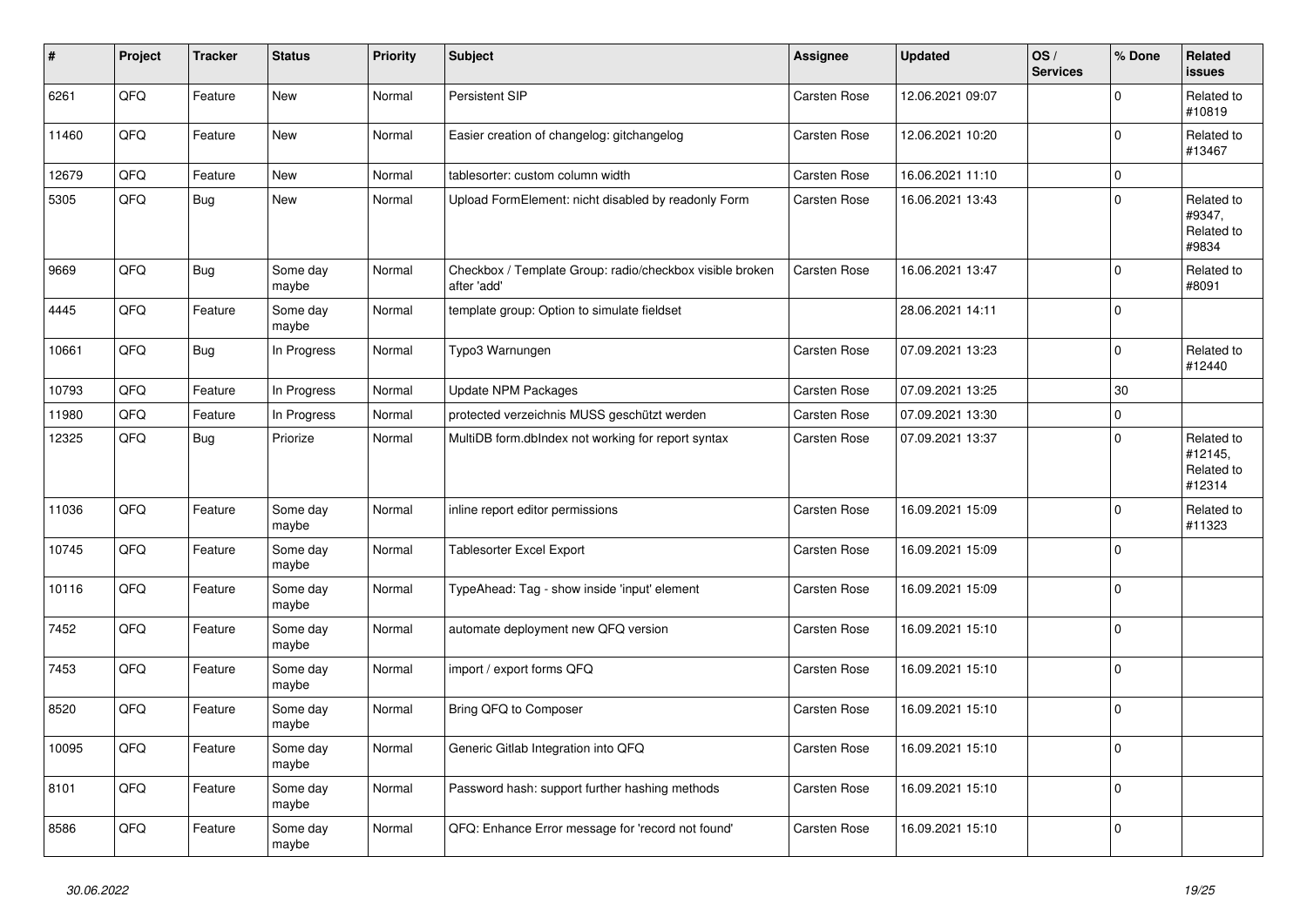| #     | Project | <b>Tracker</b> | <b>Status</b>     | <b>Priority</b> | <b>Subject</b>                                                          | Assignee            | <b>Updated</b>   | OS/<br><b>Services</b> | % Done         | Related<br><b>issues</b>                      |
|-------|---------|----------------|-------------------|-----------------|-------------------------------------------------------------------------|---------------------|------------------|------------------------|----------------|-----------------------------------------------|
| 6261  | QFQ     | Feature        | <b>New</b>        | Normal          | Persistent SIP                                                          | <b>Carsten Rose</b> | 12.06.2021 09:07 |                        | $\Omega$       | Related to<br>#10819                          |
| 11460 | QFQ     | Feature        | New               | Normal          | Easier creation of changelog: gitchangelog                              | <b>Carsten Rose</b> | 12.06.2021 10:20 |                        | $\mathbf 0$    | Related to<br>#13467                          |
| 12679 | QFQ     | Feature        | <b>New</b>        | Normal          | tablesorter: custom column width                                        | Carsten Rose        | 16.06.2021 11:10 |                        | $\mathbf 0$    |                                               |
| 5305  | QFQ     | <b>Bug</b>     | <b>New</b>        | Normal          | Upload FormElement: nicht disabled by readonly Form                     | Carsten Rose        | 16.06.2021 13:43 |                        | $\mathbf 0$    | Related to<br>#9347,<br>Related to<br>#9834   |
| 9669  | QFQ     | Bug            | Some day<br>maybe | Normal          | Checkbox / Template Group: radio/checkbox visible broken<br>after 'add' | <b>Carsten Rose</b> | 16.06.2021 13:47 |                        | $\Omega$       | Related to<br>#8091                           |
| 4445  | QFQ     | Feature        | Some day<br>maybe | Normal          | template group: Option to simulate fieldset                             |                     | 28.06.2021 14:11 |                        | $\mathbf 0$    |                                               |
| 10661 | QFQ     | Bug            | In Progress       | Normal          | Typo3 Warnungen                                                         | Carsten Rose        | 07.09.2021 13:23 |                        | $\Omega$       | Related to<br>#12440                          |
| 10793 | QFQ     | Feature        | In Progress       | Normal          | Update NPM Packages                                                     | <b>Carsten Rose</b> | 07.09.2021 13:25 |                        | 30             |                                               |
| 11980 | QFQ     | Feature        | In Progress       | Normal          | protected verzeichnis MUSS geschützt werden                             | Carsten Rose        | 07.09.2021 13:30 |                        | $\mathbf 0$    |                                               |
| 12325 | QFQ     | Bug            | Priorize          | Normal          | MultiDB form.dblndex not working for report syntax                      | Carsten Rose        | 07.09.2021 13:37 |                        | $\mathbf 0$    | Related to<br>#12145,<br>Related to<br>#12314 |
| 11036 | QFQ     | Feature        | Some day<br>maybe | Normal          | inline report editor permissions                                        | Carsten Rose        | 16.09.2021 15:09 |                        | $\Omega$       | Related to<br>#11323                          |
| 10745 | QFQ     | Feature        | Some day<br>maybe | Normal          | <b>Tablesorter Excel Export</b>                                         | Carsten Rose        | 16.09.2021 15:09 |                        | $\Omega$       |                                               |
| 10116 | QFQ     | Feature        | Some day<br>maybe | Normal          | TypeAhead: Tag - show inside 'input' element                            | <b>Carsten Rose</b> | 16.09.2021 15:09 |                        | $\overline{0}$ |                                               |
| 7452  | QFQ     | Feature        | Some day<br>maybe | Normal          | automate deployment new QFQ version                                     | Carsten Rose        | 16.09.2021 15:10 |                        | $\mathbf 0$    |                                               |
| 7453  | QFQ     | Feature        | Some day<br>maybe | Normal          | import / export forms QFQ                                               | Carsten Rose        | 16.09.2021 15:10 |                        | $\mathbf 0$    |                                               |
| 8520  | QFQ     | Feature        | Some day<br>maybe | Normal          | Bring QFQ to Composer                                                   | <b>Carsten Rose</b> | 16.09.2021 15:10 |                        | 0              |                                               |
| 10095 | QFQ     | Feature        | Some day<br>maybe | Normal          | Generic Gitlab Integration into QFQ                                     | Carsten Rose        | 16.09.2021 15:10 |                        | $\Omega$       |                                               |
| 8101  | QFQ     | Feature        | Some day<br>maybe | Normal          | Password hash: support further hashing methods                          | Carsten Rose        | 16.09.2021 15:10 |                        | $\Omega$       |                                               |
| 8586  | QFQ     | Feature        | Some day<br>maybe | Normal          | QFQ: Enhance Error message for 'record not found'                       | <b>Carsten Rose</b> | 16.09.2021 15:10 |                        | $\Omega$       |                                               |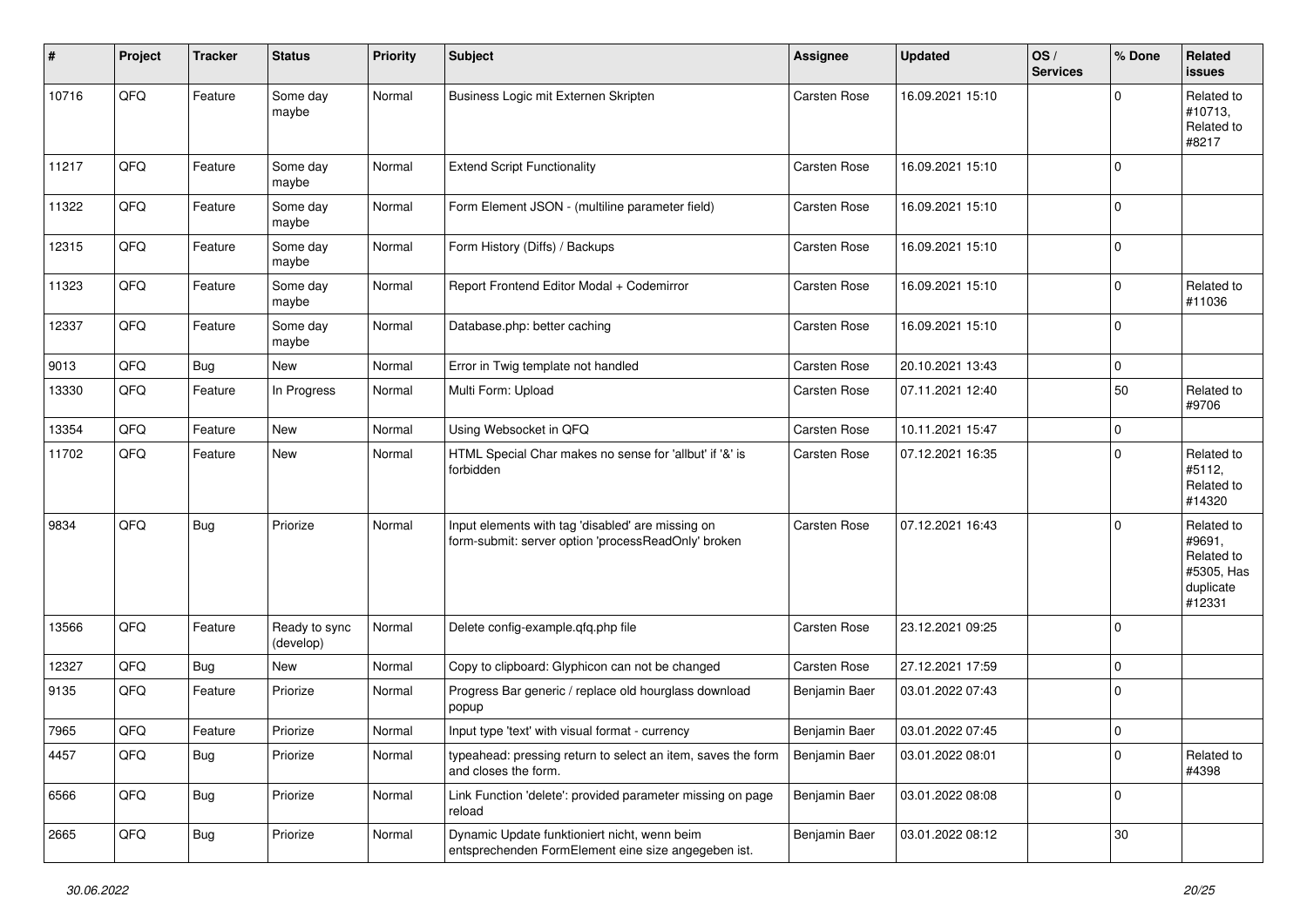| #     | Project | <b>Tracker</b> | <b>Status</b>              | <b>Priority</b> | <b>Subject</b>                                                                                           | <b>Assignee</b>     | <b>Updated</b>   | OS/<br><b>Services</b> | % Done      | Related<br><b>issues</b>                                                |
|-------|---------|----------------|----------------------------|-----------------|----------------------------------------------------------------------------------------------------------|---------------------|------------------|------------------------|-------------|-------------------------------------------------------------------------|
| 10716 | QFQ     | Feature        | Some day<br>maybe          | Normal          | Business Logic mit Externen Skripten                                                                     | Carsten Rose        | 16.09.2021 15:10 |                        | 0           | Related to<br>#10713,<br>Related to<br>#8217                            |
| 11217 | QFQ     | Feature        | Some day<br>maybe          | Normal          | <b>Extend Script Functionality</b>                                                                       | <b>Carsten Rose</b> | 16.09.2021 15:10 |                        | $\Omega$    |                                                                         |
| 11322 | QFQ     | Feature        | Some day<br>maybe          | Normal          | Form Element JSON - (multiline parameter field)                                                          | <b>Carsten Rose</b> | 16.09.2021 15:10 |                        | 0           |                                                                         |
| 12315 | QFQ     | Feature        | Some day<br>maybe          | Normal          | Form History (Diffs) / Backups                                                                           | <b>Carsten Rose</b> | 16.09.2021 15:10 |                        | $\mathbf 0$ |                                                                         |
| 11323 | QFQ     | Feature        | Some day<br>maybe          | Normal          | Report Frontend Editor Modal + Codemirror                                                                | <b>Carsten Rose</b> | 16.09.2021 15:10 |                        | $\Omega$    | Related to<br>#11036                                                    |
| 12337 | QFQ     | Feature        | Some day<br>maybe          | Normal          | Database.php: better caching                                                                             | <b>Carsten Rose</b> | 16.09.2021 15:10 |                        | $\Omega$    |                                                                         |
| 9013  | QFQ     | Bug            | New                        | Normal          | Error in Twig template not handled                                                                       | <b>Carsten Rose</b> | 20.10.2021 13:43 |                        | 0           |                                                                         |
| 13330 | QFQ     | Feature        | In Progress                | Normal          | Multi Form: Upload                                                                                       | <b>Carsten Rose</b> | 07.11.2021 12:40 |                        | 50          | Related to<br>#9706                                                     |
| 13354 | QFQ     | Feature        | <b>New</b>                 | Normal          | Using Websocket in QFQ                                                                                   | Carsten Rose        | 10.11.2021 15:47 |                        | $\mathbf 0$ |                                                                         |
| 11702 | QFQ     | Feature        | New                        | Normal          | HTML Special Char makes no sense for 'allbut' if '&' is<br>forbidden                                     | <b>Carsten Rose</b> | 07.12.2021 16:35 |                        | 0           | Related to<br>#5112,<br>Related to<br>#14320                            |
| 9834  | QFQ     | Bug            | Priorize                   | Normal          | Input elements with tag 'disabled' are missing on<br>form-submit: server option 'processReadOnly' broken | <b>Carsten Rose</b> | 07.12.2021 16:43 |                        | $\Omega$    | Related to<br>#9691,<br>Related to<br>#5305, Has<br>duplicate<br>#12331 |
| 13566 | QFQ     | Feature        | Ready to sync<br>(develop) | Normal          | Delete config-example.qfq.php file                                                                       | <b>Carsten Rose</b> | 23.12.2021 09:25 |                        | $\Omega$    |                                                                         |
| 12327 | QFQ     | Bug            | <b>New</b>                 | Normal          | Copy to clipboard: Glyphicon can not be changed                                                          | Carsten Rose        | 27.12.2021 17:59 |                        | $\Omega$    |                                                                         |
| 9135  | QFQ     | Feature        | Priorize                   | Normal          | Progress Bar generic / replace old hourglass download<br>popup                                           | Benjamin Baer       | 03.01.2022 07:43 |                        | $\Omega$    |                                                                         |
| 7965  | QFQ     | Feature        | Priorize                   | Normal          | Input type 'text' with visual format - currency                                                          | Benjamin Baer       | 03.01.2022 07:45 |                        | $\mathbf 0$ |                                                                         |
| 4457  | QFQ     | <b>Bug</b>     | Priorize                   | Normal          | typeahead: pressing return to select an item, saves the form<br>and closes the form.                     | Benjamin Baer       | 03.01.2022 08:01 |                        | $\mathbf 0$ | Related to<br>#4398                                                     |
| 6566  | QFO     | <b>Bug</b>     | Priorize                   | Normal          | Link Function 'delete': provided parameter missing on page<br>reload                                     | Benjamin Baer       | 03.01.2022 08:08 |                        | $\mathbf 0$ |                                                                         |
| 2665  | QFQ     | <b>Bug</b>     | Priorize                   | Normal          | Dynamic Update funktioniert nicht, wenn beim<br>entsprechenden FormElement eine size angegeben ist.      | Benjamin Baer       | 03.01.2022 08:12 |                        | $30\,$      |                                                                         |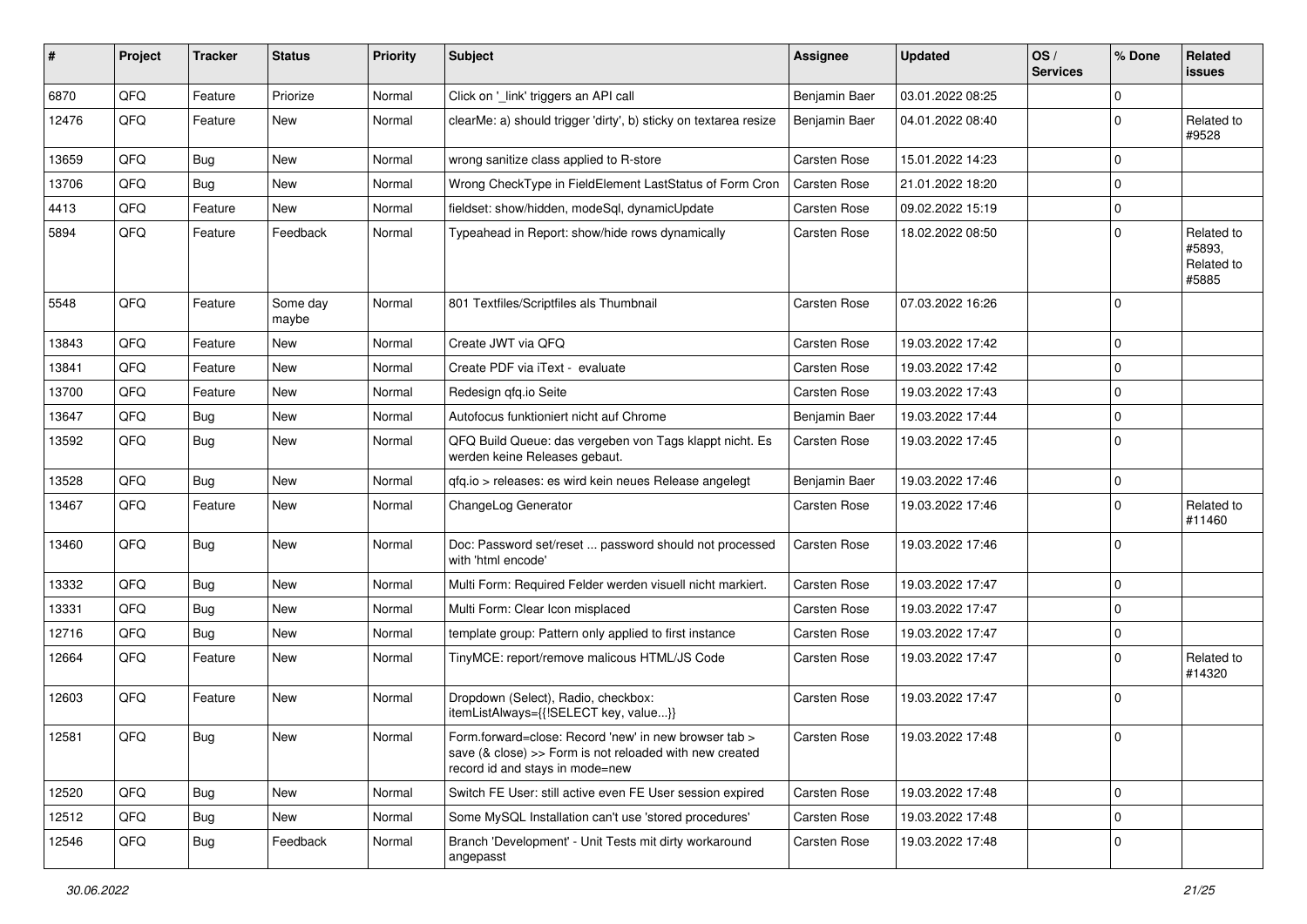| ∦     | Project | <b>Tracker</b> | <b>Status</b>     | <b>Priority</b> | Subject                                                                                                                                             | <b>Assignee</b>     | <b>Updated</b>   | OS/<br><b>Services</b> | % Done      | Related<br><b>issues</b>                    |
|-------|---------|----------------|-------------------|-----------------|-----------------------------------------------------------------------------------------------------------------------------------------------------|---------------------|------------------|------------------------|-------------|---------------------------------------------|
| 6870  | QFQ     | Feature        | Priorize          | Normal          | Click on '_link' triggers an API call                                                                                                               | Benjamin Baer       | 03.01.2022 08:25 |                        | 0           |                                             |
| 12476 | QFQ     | Feature        | New               | Normal          | clearMe: a) should trigger 'dirty', b) sticky on textarea resize                                                                                    | Benjamin Baer       | 04.01.2022 08:40 |                        | 0           | Related to<br>#9528                         |
| 13659 | QFQ     | Bug            | <b>New</b>        | Normal          | wrong sanitize class applied to R-store                                                                                                             | <b>Carsten Rose</b> | 15.01.2022 14:23 |                        | 0           |                                             |
| 13706 | QFQ     | Bug            | New               | Normal          | Wrong CheckType in FieldElement LastStatus of Form Cron                                                                                             | Carsten Rose        | 21.01.2022 18:20 |                        | 0           |                                             |
| 4413  | QFQ     | Feature        | New               | Normal          | fieldset: show/hidden, modeSql, dynamicUpdate                                                                                                       | <b>Carsten Rose</b> | 09.02.2022 15:19 |                        | $\Omega$    |                                             |
| 5894  | QFQ     | Feature        | Feedback          | Normal          | Typeahead in Report: show/hide rows dynamically                                                                                                     | <b>Carsten Rose</b> | 18.02.2022 08:50 |                        | $\Omega$    | Related to<br>#5893,<br>Related to<br>#5885 |
| 5548  | QFQ     | Feature        | Some day<br>maybe | Normal          | 801 Textfiles/Scriptfiles als Thumbnail                                                                                                             | <b>Carsten Rose</b> | 07.03.2022 16:26 |                        | 0           |                                             |
| 13843 | QFQ     | Feature        | <b>New</b>        | Normal          | Create JWT via QFQ                                                                                                                                  | <b>Carsten Rose</b> | 19.03.2022 17:42 |                        | $\Omega$    |                                             |
| 13841 | QFQ     | Feature        | New               | Normal          | Create PDF via iText - evaluate                                                                                                                     | <b>Carsten Rose</b> | 19.03.2022 17:42 |                        | $\Omega$    |                                             |
| 13700 | QFQ     | Feature        | <b>New</b>        | Normal          | Redesign qfq.io Seite                                                                                                                               | <b>Carsten Rose</b> | 19.03.2022 17:43 |                        | $\Omega$    |                                             |
| 13647 | QFQ     | Bug            | New               | Normal          | Autofocus funktioniert nicht auf Chrome                                                                                                             | Benjamin Baer       | 19.03.2022 17:44 |                        | 0           |                                             |
| 13592 | QFQ     | <b>Bug</b>     | <b>New</b>        | Normal          | QFQ Build Queue: das vergeben von Tags klappt nicht. Es<br>werden keine Releases gebaut.                                                            | <b>Carsten Rose</b> | 19.03.2022 17:45 |                        | $\Omega$    |                                             |
| 13528 | QFQ     | Bug            | <b>New</b>        | Normal          | qfq.io > releases: es wird kein neues Release angelegt                                                                                              | Benjamin Baer       | 19.03.2022 17:46 |                        | 0           |                                             |
| 13467 | QFQ     | Feature        | <b>New</b>        | Normal          | ChangeLog Generator                                                                                                                                 | <b>Carsten Rose</b> | 19.03.2022 17:46 |                        | 0           | Related to<br>#11460                        |
| 13460 | QFQ     | Bug            | New               | Normal          | Doc: Password set/reset  password should not processed<br>with 'html encode'                                                                        | <b>Carsten Rose</b> | 19.03.2022 17:46 |                        | $\Omega$    |                                             |
| 13332 | QFQ     | Bug            | <b>New</b>        | Normal          | Multi Form: Required Felder werden visuell nicht markiert.                                                                                          | <b>Carsten Rose</b> | 19.03.2022 17:47 |                        | 0           |                                             |
| 13331 | QFQ     | <b>Bug</b>     | New               | Normal          | Multi Form: Clear Icon misplaced                                                                                                                    | <b>Carsten Rose</b> | 19.03.2022 17:47 |                        | $\Omega$    |                                             |
| 12716 | QFQ     | Bug            | <b>New</b>        | Normal          | template group: Pattern only applied to first instance                                                                                              | <b>Carsten Rose</b> | 19.03.2022 17:47 |                        | $\mathbf 0$ |                                             |
| 12664 | QFQ     | Feature        | <b>New</b>        | Normal          | TinyMCE: report/remove malicous HTML/JS Code                                                                                                        | Carsten Rose        | 19.03.2022 17:47 |                        | 0           | Related to<br>#14320                        |
| 12603 | QFQ     | Feature        | <b>New</b>        | Normal          | Dropdown (Select), Radio, checkbox:<br>itemListAlways={{!SELECT key, value}}                                                                        | <b>Carsten Rose</b> | 19.03.2022 17:47 |                        | $\Omega$    |                                             |
| 12581 | QFQ     | Bug            | New               | Normal          | Form.forward=close: Record 'new' in new browser tab ><br>save (& close) >> Form is not reloaded with new created<br>record id and stays in mode=new | Carsten Rose        | 19.03.2022 17:48 |                        | $\Omega$    |                                             |
| 12520 | QFQ     | Bug            | New               | Normal          | Switch FE User: still active even FE User session expired                                                                                           | Carsten Rose        | 19.03.2022 17:48 |                        | $\Omega$    |                                             |
| 12512 | QFQ     | <b>Bug</b>     | New               | Normal          | Some MySQL Installation can't use 'stored procedures'                                                                                               | Carsten Rose        | 19.03.2022 17:48 |                        | 0           |                                             |
| 12546 | QFQ     | <b>Bug</b>     | Feedback          | Normal          | Branch 'Development' - Unit Tests mit dirty workaround<br>angepasst                                                                                 | Carsten Rose        | 19.03.2022 17:48 |                        | 0           |                                             |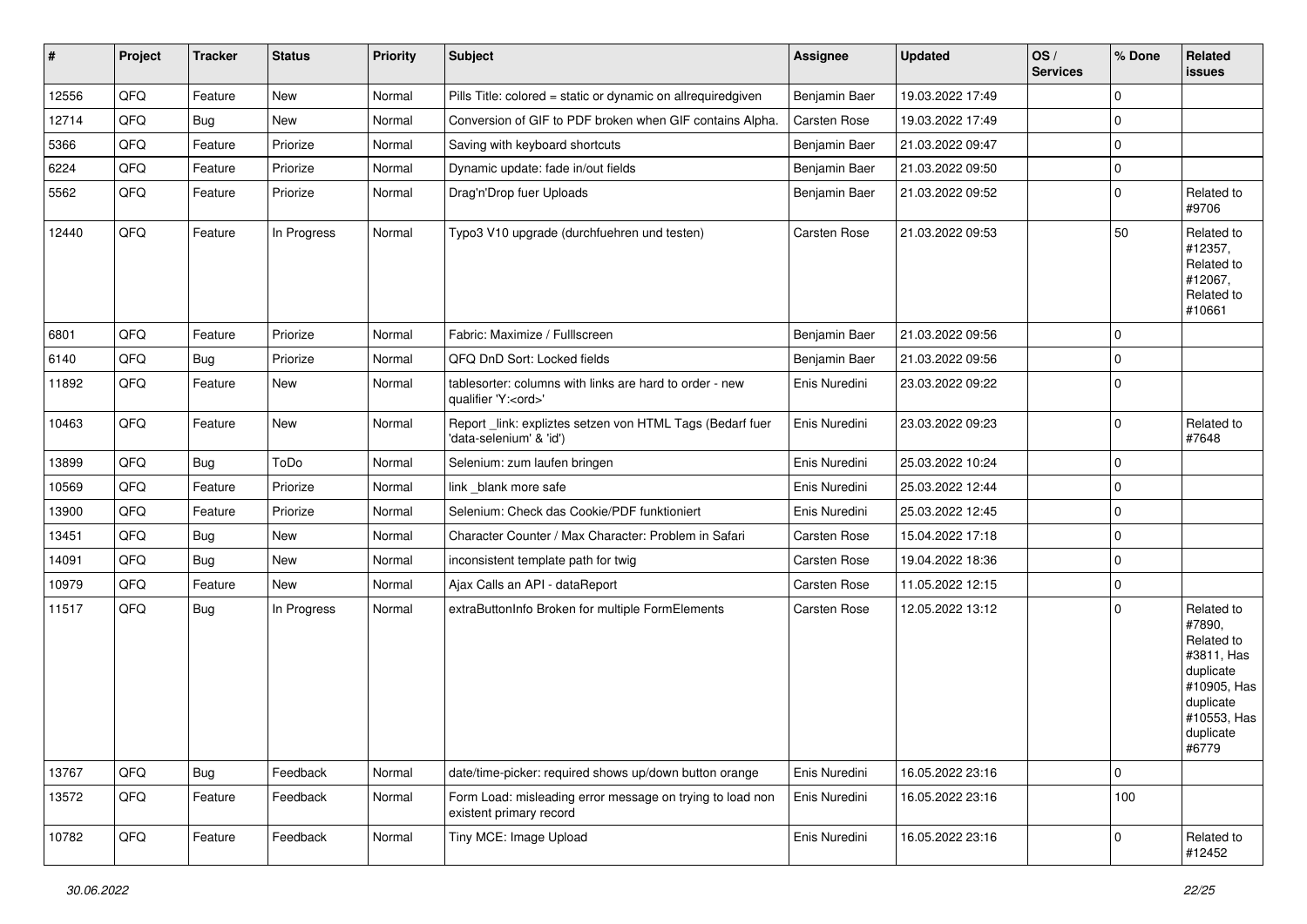| $\sharp$ | Project | <b>Tracker</b> | <b>Status</b> | <b>Priority</b> | <b>Subject</b>                                                                        | <b>Assignee</b>     | <b>Updated</b>   | OS/<br><b>Services</b> | % Done       | Related<br><b>issues</b>                                                                                                       |
|----------|---------|----------------|---------------|-----------------|---------------------------------------------------------------------------------------|---------------------|------------------|------------------------|--------------|--------------------------------------------------------------------------------------------------------------------------------|
| 12556    | QFQ     | Feature        | <b>New</b>    | Normal          | Pills Title: colored = static or dynamic on allrequiredgiven                          | Benjamin Baer       | 19.03.2022 17:49 |                        | $\mathbf 0$  |                                                                                                                                |
| 12714    | QFQ     | <b>Bug</b>     | New           | Normal          | Conversion of GIF to PDF broken when GIF contains Alpha.                              | <b>Carsten Rose</b> | 19.03.2022 17:49 |                        | 0            |                                                                                                                                |
| 5366     | QFQ     | Feature        | Priorize      | Normal          | Saving with keyboard shortcuts                                                        | Benjamin Baer       | 21.03.2022 09:47 |                        | $\mathbf 0$  |                                                                                                                                |
| 6224     | QFQ     | Feature        | Priorize      | Normal          | Dynamic update: fade in/out fields                                                    | Benjamin Baer       | 21.03.2022 09:50 |                        | $\mathbf 0$  |                                                                                                                                |
| 5562     | QFQ     | Feature        | Priorize      | Normal          | Drag'n'Drop fuer Uploads                                                              | Benjamin Baer       | 21.03.2022 09:52 |                        | $\mathbf 0$  | Related to<br>#9706                                                                                                            |
| 12440    | QFQ     | Feature        | In Progress   | Normal          | Typo3 V10 upgrade (durchfuehren und testen)                                           | <b>Carsten Rose</b> | 21.03.2022 09:53 |                        | 50           | Related to<br>#12357,<br>Related to<br>#12067,<br>Related to<br>#10661                                                         |
| 6801     | QFQ     | Feature        | Priorize      | Normal          | Fabric: Maximize / Fulllscreen                                                        | Benjamin Baer       | 21.03.2022 09:56 |                        | $\mathbf 0$  |                                                                                                                                |
| 6140     | QFQ     | Bug            | Priorize      | Normal          | QFQ DnD Sort: Locked fields                                                           | Benjamin Baer       | 21.03.2022 09:56 |                        | $\mathbf 0$  |                                                                                                                                |
| 11892    | QFQ     | Feature        | New           | Normal          | tablesorter: columns with links are hard to order - new<br>qualifier 'Y: <ord>'</ord> | Enis Nuredini       | 23.03.2022 09:22 |                        | $\mathbf 0$  |                                                                                                                                |
| 10463    | QFQ     | Feature        | <b>New</b>    | Normal          | Report_link: expliztes setzen von HTML Tags (Bedarf fuer<br>'data-selenium' & 'id')   | Enis Nuredini       | 23.03.2022 09:23 |                        | $\mathbf 0$  | Related to<br>#7648                                                                                                            |
| 13899    | QFQ     | Bug            | ToDo          | Normal          | Selenium: zum laufen bringen                                                          | Enis Nuredini       | 25.03.2022 10:24 |                        | $\mathbf 0$  |                                                                                                                                |
| 10569    | QFQ     | Feature        | Priorize      | Normal          | link_blank more safe                                                                  | Enis Nuredini       | 25.03.2022 12:44 |                        | $\mathbf 0$  |                                                                                                                                |
| 13900    | QFQ     | Feature        | Priorize      | Normal          | Selenium: Check das Cookie/PDF funktioniert                                           | Enis Nuredini       | 25.03.2022 12:45 |                        | $\mathbf 0$  |                                                                                                                                |
| 13451    | QFQ     | <b>Bug</b>     | New           | Normal          | Character Counter / Max Character: Problem in Safari                                  | Carsten Rose        | 15.04.2022 17:18 |                        | $\mathbf 0$  |                                                                                                                                |
| 14091    | QFQ     | Bug            | <b>New</b>    | Normal          | inconsistent template path for twig                                                   | Carsten Rose        | 19.04.2022 18:36 |                        | $\mathbf 0$  |                                                                                                                                |
| 10979    | QFQ     | Feature        | New           | Normal          | Ajax Calls an API - dataReport                                                        | Carsten Rose        | 11.05.2022 12:15 |                        | $\mathbf 0$  |                                                                                                                                |
| 11517    | QFQ     | <b>Bug</b>     | In Progress   | Normal          | extraButtonInfo Broken for multiple FormElements                                      | Carsten Rose        | 12.05.2022 13:12 |                        | $\mathbf 0$  | Related to<br>#7890,<br>Related to<br>#3811, Has<br>duplicate<br>#10905, Has<br>duplicate<br>#10553, Has<br>duplicate<br>#6779 |
| 13767    | QFQ     | Bug            | Feedback      | Normal          | date/time-picker: required shows up/down button orange                                | Enis Nuredini       | 16.05.2022 23:16 |                        | $\mathbf{0}$ |                                                                                                                                |
| 13572    | QFQ     | Feature        | Feedback      | Normal          | Form Load: misleading error message on trying to load non<br>existent primary record  | Enis Nuredini       | 16.05.2022 23:16 |                        | 100          |                                                                                                                                |
| 10782    | QFQ     | Feature        | Feedback      | Normal          | Tiny MCE: Image Upload                                                                | Enis Nuredini       | 16.05.2022 23:16 |                        | 0            | Related to<br>#12452                                                                                                           |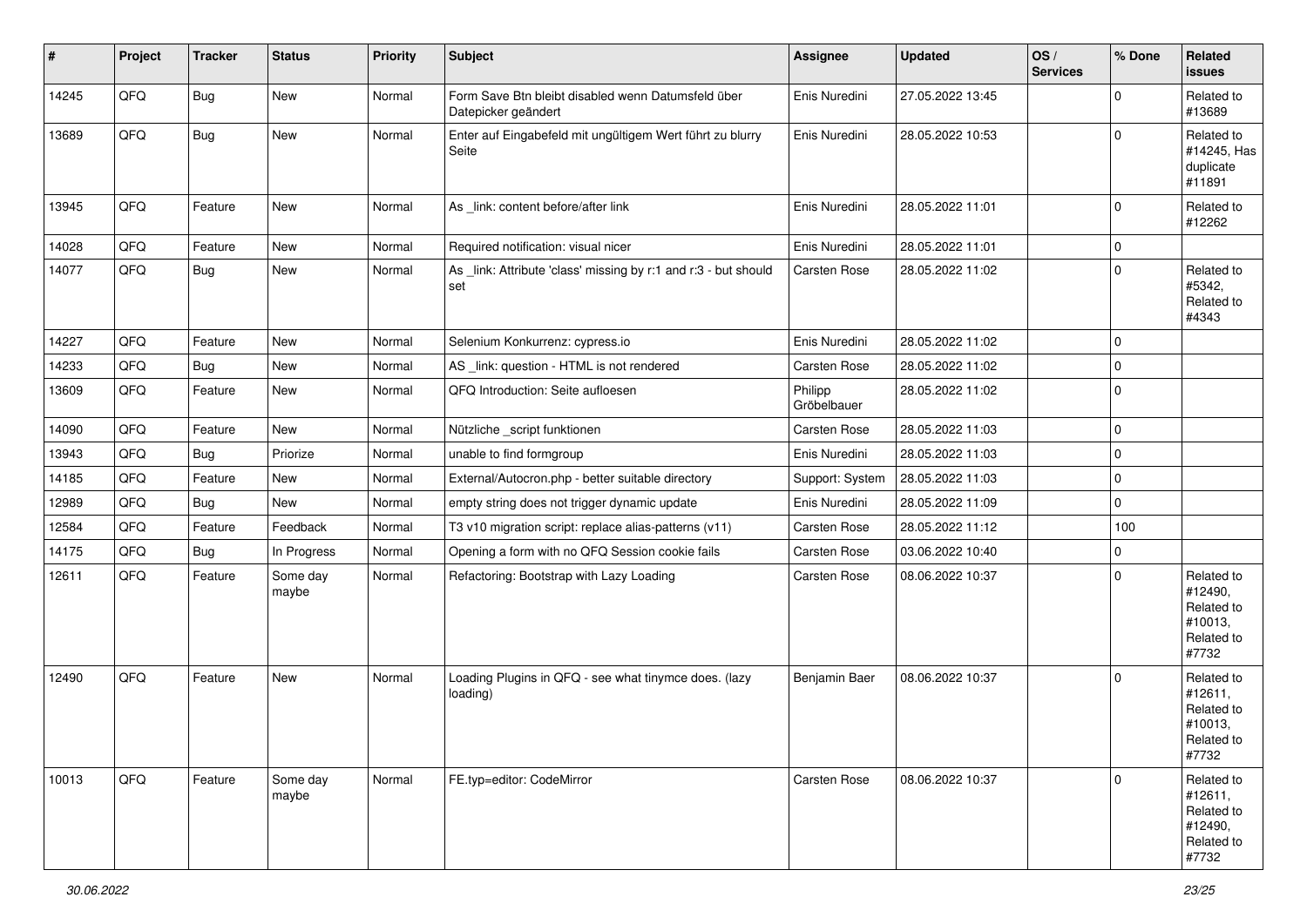| #     | Project | <b>Tracker</b> | <b>Status</b>     | <b>Priority</b> | Subject                                                                   | <b>Assignee</b>        | <b>Updated</b>   | OS/<br><b>Services</b> | % Done      | Related<br><b>issues</b>                                              |
|-------|---------|----------------|-------------------|-----------------|---------------------------------------------------------------------------|------------------------|------------------|------------------------|-------------|-----------------------------------------------------------------------|
| 14245 | QFQ     | <b>Bug</b>     | New               | Normal          | Form Save Btn bleibt disabled wenn Datumsfeld über<br>Datepicker geändert | Enis Nuredini          | 27.05.2022 13:45 |                        | $\mathbf 0$ | Related to<br>#13689                                                  |
| 13689 | QFQ     | Bug            | New               | Normal          | Enter auf Eingabefeld mit ungültigem Wert führt zu blurry<br>Seite        | Enis Nuredini          | 28.05.2022 10:53 |                        | $\mathbf 0$ | Related to<br>#14245, Has<br>duplicate<br>#11891                      |
| 13945 | QFQ     | Feature        | New               | Normal          | As _link: content before/after link                                       | Enis Nuredini          | 28.05.2022 11:01 |                        | $\mathbf 0$ | Related to<br>#12262                                                  |
| 14028 | QFQ     | Feature        | <b>New</b>        | Normal          | Required notification: visual nicer                                       | Enis Nuredini          | 28.05.2022 11:01 |                        | $\mathbf 0$ |                                                                       |
| 14077 | QFQ     | <b>Bug</b>     | New               | Normal          | As link: Attribute 'class' missing by r:1 and r:3 - but should<br>set     | <b>Carsten Rose</b>    | 28.05.2022 11:02 |                        | $\mathbf 0$ | Related to<br>#5342,<br>Related to<br>#4343                           |
| 14227 | QFQ     | Feature        | <b>New</b>        | Normal          | Selenium Konkurrenz: cypress.io                                           | Enis Nuredini          | 28.05.2022 11:02 |                        | 0           |                                                                       |
| 14233 | QFQ     | <b>Bug</b>     | New               | Normal          | AS _link: question - HTML is not rendered                                 | Carsten Rose           | 28.05.2022 11:02 |                        | $\mathbf 0$ |                                                                       |
| 13609 | QFQ     | Feature        | New               | Normal          | QFQ Introduction: Seite aufloesen                                         | Philipp<br>Gröbelbauer | 28.05.2022 11:02 |                        | $\Omega$    |                                                                       |
| 14090 | QFQ     | Feature        | New               | Normal          | Nützliche _script funktionen                                              | Carsten Rose           | 28.05.2022 11:03 |                        | $\mathbf 0$ |                                                                       |
| 13943 | QFQ     | Bug            | Priorize          | Normal          | unable to find formgroup                                                  | Enis Nuredini          | 28.05.2022 11:03 |                        | $\mathbf 0$ |                                                                       |
| 14185 | QFQ     | Feature        | New               | Normal          | External/Autocron.php - better suitable directory                         | Support: System        | 28.05.2022 11:03 |                        | $\mathbf 0$ |                                                                       |
| 12989 | QFQ     | <b>Bug</b>     | New               | Normal          | empty string does not trigger dynamic update                              | Enis Nuredini          | 28.05.2022 11:09 |                        | $\mathbf 0$ |                                                                       |
| 12584 | QFQ     | Feature        | Feedback          | Normal          | T3 v10 migration script: replace alias-patterns (v11)                     | <b>Carsten Rose</b>    | 28.05.2022 11:12 |                        | 100         |                                                                       |
| 14175 | QFQ     | Bug            | In Progress       | Normal          | Opening a form with no QFQ Session cookie fails                           | Carsten Rose           | 03.06.2022 10:40 |                        | $\Omega$    |                                                                       |
| 12611 | QFQ     | Feature        | Some day<br>maybe | Normal          | Refactoring: Bootstrap with Lazy Loading                                  | <b>Carsten Rose</b>    | 08.06.2022 10:37 |                        | $\Omega$    | Related to<br>#12490,<br>Related to<br>#10013,<br>Related to<br>#7732 |
| 12490 | QFQ     | Feature        | New               | Normal          | Loading Plugins in QFQ - see what tinymce does. (lazy<br>loading)         | Benjamin Baer          | 08.06.2022 10:37 |                        | 0           | Related to<br>#12611,<br>Related to<br>#10013,<br>Related to<br>#7732 |
| 10013 | QFQ     | Feature        | Some day<br>maybe | Normal          | FE.typ=editor: CodeMirror                                                 | Carsten Rose           | 08.06.2022 10:37 |                        | 0           | Related to<br>#12611,<br>Related to<br>#12490,<br>Related to<br>#7732 |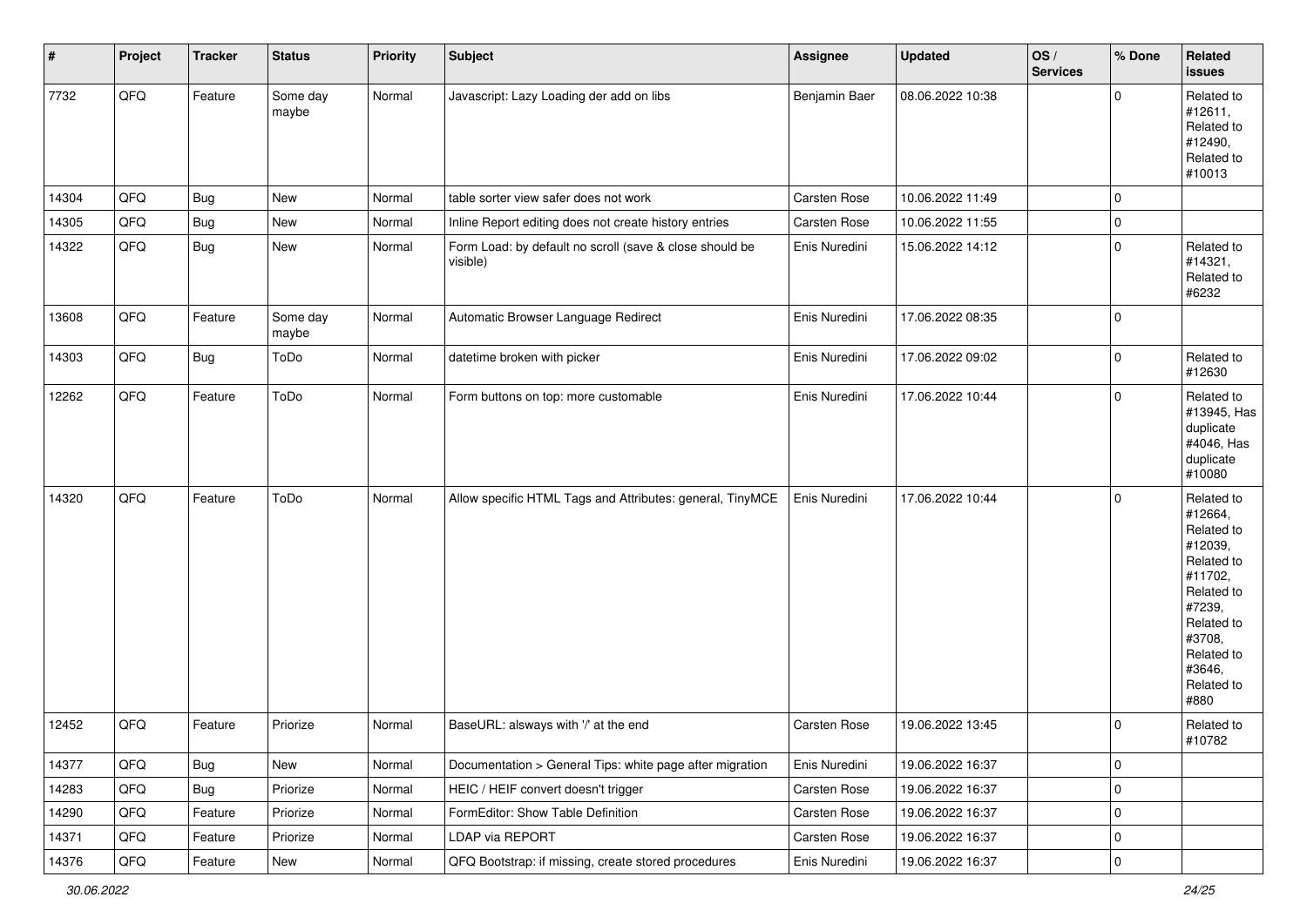| $\vert$ # | Project | <b>Tracker</b> | <b>Status</b>     | <b>Priority</b> | <b>Subject</b>                                                      | Assignee             | <b>Updated</b>   | OS/<br><b>Services</b> | % Done      | Related<br><b>issues</b>                                                                                                                                              |
|-----------|---------|----------------|-------------------|-----------------|---------------------------------------------------------------------|----------------------|------------------|------------------------|-------------|-----------------------------------------------------------------------------------------------------------------------------------------------------------------------|
| 7732      | QFQ     | Feature        | Some day<br>maybe | Normal          | Javascript: Lazy Loading der add on libs                            | <b>Benjamin Baer</b> | 08.06.2022 10:38 |                        | $\mathbf 0$ | Related to<br>#12611,<br>Related to<br>#12490,<br>Related to<br>#10013                                                                                                |
| 14304     | QFQ     | Bug            | New               | Normal          | table sorter view safer does not work                               | Carsten Rose         | 10.06.2022 11:49 |                        | $\mathbf 0$ |                                                                                                                                                                       |
| 14305     | QFQ     | <b>Bug</b>     | New               | Normal          | Inline Report editing does not create history entries               | Carsten Rose         | 10.06.2022 11:55 |                        | $\mathbf 0$ |                                                                                                                                                                       |
| 14322     | QFQ     | <b>Bug</b>     | New               | Normal          | Form Load: by default no scroll (save & close should be<br>visible) | Enis Nuredini        | 15.06.2022 14:12 |                        | $\mathbf 0$ | Related to<br>#14321,<br>Related to<br>#6232                                                                                                                          |
| 13608     | QFQ     | Feature        | Some day<br>maybe | Normal          | Automatic Browser Language Redirect                                 | Enis Nuredini        | 17.06.2022 08:35 |                        | $\mathbf 0$ |                                                                                                                                                                       |
| 14303     | QFQ     | <b>Bug</b>     | ToDo              | Normal          | datetime broken with picker                                         | Enis Nuredini        | 17.06.2022 09:02 |                        | $\mathbf 0$ | Related to<br>#12630                                                                                                                                                  |
| 12262     | QFQ     | Feature        | ToDo              | Normal          | Form buttons on top: more customable                                | Enis Nuredini        | 17.06.2022 10:44 |                        | $\mathbf 0$ | Related to<br>#13945, Has<br>duplicate<br>#4046, Has<br>duplicate<br>#10080                                                                                           |
| 14320     | QFQ     | Feature        | ToDo              | Normal          | Allow specific HTML Tags and Attributes: general, TinyMCE           | Enis Nuredini        | 17.06.2022 10:44 |                        | $\mathbf 0$ | Related to<br>#12664,<br>Related to<br>#12039,<br>Related to<br>#11702,<br>Related to<br>#7239,<br>Related to<br>#3708,<br>Related to<br>#3646,<br>Related to<br>#880 |
| 12452     | QFQ     | Feature        | Priorize          | Normal          | BaseURL: alsways with '/' at the end                                | <b>Carsten Rose</b>  | 19.06.2022 13:45 |                        | $\mathbf 0$ | Related to<br>#10782                                                                                                                                                  |
| 14377     | QFQ     | Bug            | New               | Normal          | Documentation > General Tips: white page after migration            | Enis Nuredini        | 19.06.2022 16:37 |                        | $\mathbf 0$ |                                                                                                                                                                       |
| 14283     | QFG     | Bug            | Priorize          | Normal          | HEIC / HEIF convert doesn't trigger                                 | Carsten Rose         | 19.06.2022 16:37 |                        | $\mathbf 0$ |                                                                                                                                                                       |
| 14290     | QFQ     | Feature        | Priorize          | Normal          | FormEditor: Show Table Definition                                   | Carsten Rose         | 19.06.2022 16:37 |                        | $\mathbf 0$ |                                                                                                                                                                       |
| 14371     | QFQ     | Feature        | Priorize          | Normal          | LDAP via REPORT                                                     | Carsten Rose         | 19.06.2022 16:37 |                        | 0           |                                                                                                                                                                       |
| 14376     | QFG     | Feature        | New               | Normal          | QFQ Bootstrap: if missing, create stored procedures                 | Enis Nuredini        | 19.06.2022 16:37 |                        | $\mathbf 0$ |                                                                                                                                                                       |